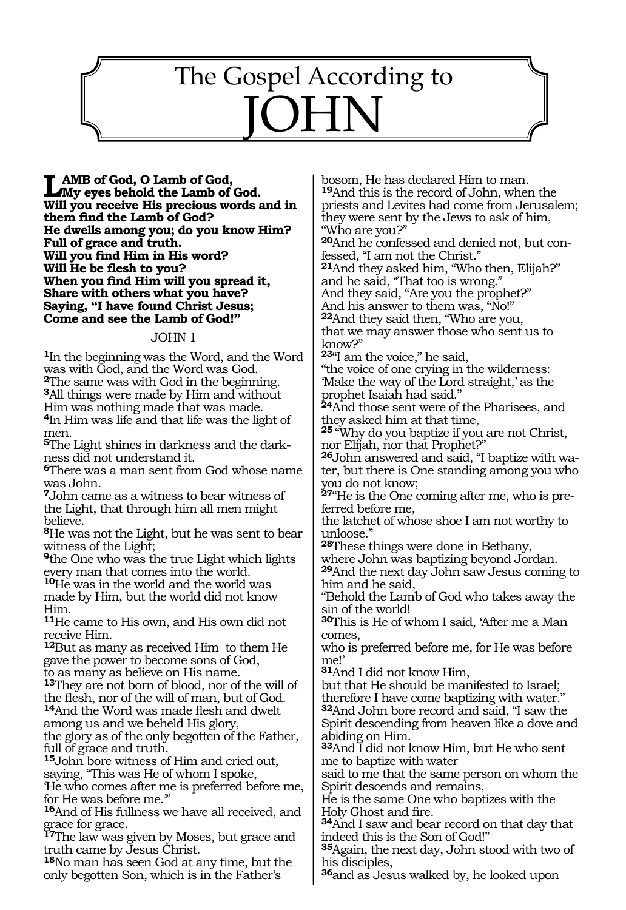## 1326 The Gospel According to JOHN

**LAMB of God, O Lamb of God,<br>My eyes behold the Lamb of God. Will you receive His precious words and in them find the Lamb of God? He dwells among you; do you know Him? Full of grace and truth. Will you find Him in His word? Will He be flesh to you? When you find Him will you spread it, Share with others what you have? Saying, "I have found Christ Jesus; Come and see the Lamb of God!"**

#### JOHN 1

**<sup>1</sup>**In the beginning was the Word, and the Word was with God, and the Word was God.

**<sup>2</sup>**The same was with God in the beginning. **<sup>3</sup>**All things were made by Him and without

Him was nothing made that was made.

**<sup>4</sup>**In Him was life and that life was the light of men.

**5**The Light shines in darkness and the darkness did not understand it.

**<sup>6</sup>**There was a man sent from God whose name was John.

**<sup>7</sup>**John came as a witness to bear witness of the Light, that through him all men might believe.

**<sup>8</sup>**He was not the Light, but he was sent to bear witness of the Light;

**<sup>9</sup>**the One who was the true Light which lights every man that comes into the world.

**<sup>10</sup>**He was in the world and the world was made by Him, but the world did not know Him.

**<sup>11</sup>**He came to His own, and His own did not receive Him.

**<sup>12</sup>**But as many as received Him to them He gave the power to become sons of God, to as many as believe on His name.

**<sup>13</sup>**They are not born of blood, nor of the will of the flesh, nor of the will of man, but of God.

**<sup>14</sup>**And the Word was made flesh and dwelt among us and we beheld His glory,

the glory as of the only begotten of the Father, full of grace and truth.

**<sup>15</sup>**John bore witness of Him and cried out, saying, "This was He of whom I spoke,

'He who comes after me is preferred before me, for He was before me.'"

**<sup>16</sup>**And of His fullness we have all received, and grace for grace.

**<sup>17</sup>**The law was given by Moses, but grace and truth came by Jesus Christ.

**<sup>18</sup>**No man has seen God at any time, but the only begotten Son, which is in the Father's

bosom, He has declared Him to man. **<sup>19</sup>**And this is the record of John, when the priests and Levites had come from Jerusalem; they were sent by the Jews to ask of him, "Who are you?"

**20**And he confessed and denied not, but confessed, "I am not the Christ."

**<sup>21</sup>**And they asked him, "Who then, Elijah?" and he said, "That too is wrong."

And they said, "Are you the prophet?"

And his answer to them was, "No!"

**<sup>22</sup>**And they said then, "Who are you, that we may answer those who sent us to know?"

**<sup>23</sup>**"I am the voice," he said,

"the voice of one crying in the wilderness: 'Make the way of the Lord straight,' as the prophet Isaiah had said."

**<sup>24</sup>**And those sent were of the Pharisees, and they asked him at that time,

**<sup>25</sup>** "Why do you baptize if you are not Christ, nor Elijah, nor that Prophet?"

**26**John answered and said, "I baptize with water, but there is One standing among you who you do not know;

**27**"He is the One coming after me, who is preferred before me,

the latchet of whose shoe I am not worthy to unloose.'

**<sup>28</sup>**These things were done in Bethany,

where John was baptizing beyond Jordan.

**<sup>29</sup>**And the next day John saw Jesus coming to him and he said,

"Behold the Lamb of God who takes away the sin of the world!

**<sup>30</sup>**This is He of whom I said, 'After me a Man comes,

who is preferred before me, for He was before me!'

**<sup>31</sup>**And I did not know Him,

but that He should be manifested to Israel; therefore I have come baptizing with water." **<sup>32</sup>**And John bore record and said, "I saw the

Spirit descending from heaven like a dove and abiding on Him.

**<sup>33</sup>**And I did not know Him, but He who sent me to baptize with water

said to me that the same person on whom the Spirit descends and remains,

He is the same One who baptizes with the Holy Ghost and fire.

**<sup>34</sup>**And I saw and bear record on that day that indeed this is the Son of God!"

**<sup>35</sup>**Again, the next day, John stood with two of his disciples,

**<sup>36</sup>**and as Jesus walked by, he looked upon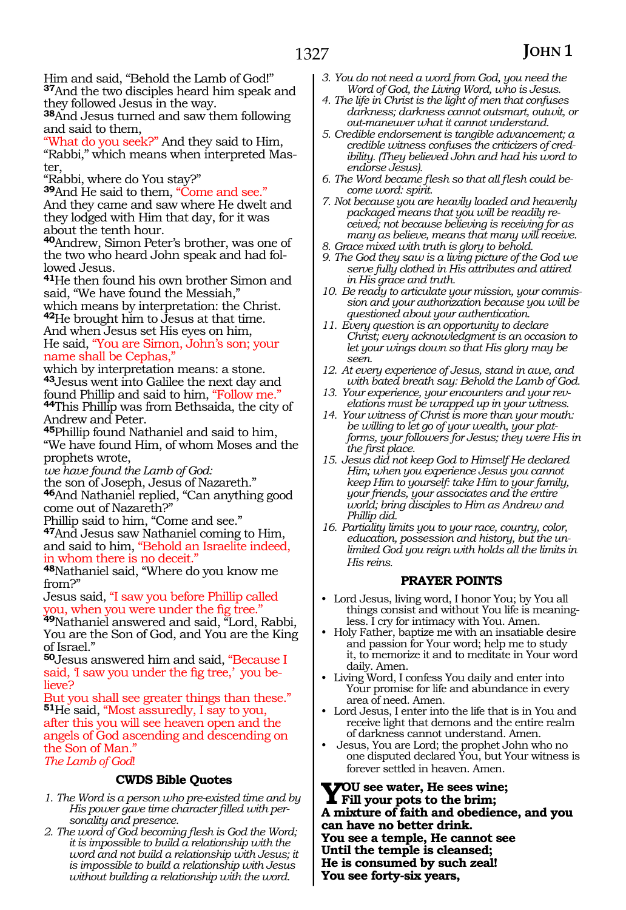Him and said, "Behold the Lamb of God!" **<sup>37</sup>**And the two disciples heard him speak and they followed Jesus in the way.

**<sup>38</sup>**And Jesus turned and saw them following and said to them,

"What do you seek?" And they said to Him, "Rabbi," which means when interpreted Master,

"Rabbi, where do You stay?"

**<sup>39</sup>**And He said to them, "Come and see." And they came and saw where He dwelt and they lodged with Him that day, for it was about the tenth hour.

**<sup>40</sup>**Andrew, Simon Peter's brother, was one of the two who heard John speak and had fol- lowed Jesus.

**<sup>41</sup>**He then found his own brother Simon and said, "We have found the Messiah,"

which means by interpretation: the Christ. **<sup>42</sup>**He brought him to Jesus at that time. And when Jesus set His eyes on him, He said, "You are Simon, John's son; your name shall be Cephas,

which by interpretation means: a stone. **<sup>43</sup>**Jesus went into Galilee the next day and **44This Phillip was from Bethsaida, the city of** Andrew and Peter.

**<sup>45</sup>**Phillip found Nathaniel and said to him, "We have found Him, of whom Moses and the prophets wrote,

*we have found the Lamb of God:*

the son of Joseph, Jesus of Nazareth." **<sup>46</sup>**And Nathaniel replied, "Can anything good come out of Nazareth?"

Phillip said to him, "Come and see." **<sup>47</sup>**And Jesus saw Nathaniel coming to Him, and said to him, "Behold an Israelite indeed, in whom there is no deceit."

**<sup>48</sup>**Nathaniel said, "Where do you know me from?"

Jesus said, "I saw you before Phillip called you, when you were under the fig tree."

**<sup>49</sup>**Nathaniel answered and said, "Lord, Rabbi, You are the Son of God, and You are the King of Israel."

**<sup>50</sup>**Jesus answered him and said, "Because I said, 'I saw you under the fig tree,' you believe?

But you shall see greater things than these." **<sup>51</sup>**He said, "Most assuredly, I say to you, after this you will see heaven open and the angels of God ascending and descending on the Son of Man."

*The Lamb of God*!

#### **CWDS Bible Quotes**

- *1. The Word is a person who pre-existed time and by His power gave time character filled with personality and presence.*
- *2. The word of God becoming flesh is God the Word; it is impossible to build a relationship with the word and not build a relationship with Jesus; it is impossible to build a relationship with Jesus without building a relationship with the word.*
- *3. You do not need a word from God, you need the Word of God, the Living Word, who is Jesus.*
- *4. The life in Christ is the light of men that confuses darkness; darkness cannot outsmart, outwit, or out-maneuver what it cannot understand.*
- *5. Credible endorsement is tangible advancement; a credible witness confuses the criticizers of credibility. (They believed John and had his word to endorse Jesus).*
- *6. The Word became flesh so that all flesh could become word: spirit.*
- *7. Not because you are heavily loaded and heavenly packaged means that you will be readily received; not because believing is receiving for as many as believe, means that many will receive.*
- *8. Grace mixed with truth is glory to behold.*
- *9. The God they saw is a living picture of the God we serve fully clothed in His attributes and attired in His grace and truth.*
- *10. Be ready to articulate your mission, your commission and your authorization because you will be questioned about your authentication.*
- *11. Every question is an opportunity to declare Christ; every acknowledgment is an occasion to let your wings down so that His glory may be seen.*
- *12. At every experience of Jesus, stand in awe, and with bated breath say: Behold the Lamb of God.*
- *13. Your experience, your encounters and your revelations must be wrapped up in your witness.*
- *14. Your witness of Christ is more than your mouth: be willing to let go of your wealth, your platforms, your followers for Jesus; they were His in the first place.*
- *15. Jesus did not keep God to Himself He declared Him; when you experience Jesus you cannot keep Him to yourself: take Him to your family, your friends, your associates and the entire world; bring disciples to Him as Andrew and Phillip did.*
- *16. Partiality limits you to your race, country, color, education, possession and history, but the un- limited God you reign with holds all the limits in His reins.*

#### **PRAYER POINTS**

- Lord Jesus, living word, I honor You; by You all things consist and without You life is meaningless. I cry for intimacy with You. Amen.
- Holy Father, baptize me with an insatiable desire and passion for Your word; help me to study it, to memorize it and to meditate in Your word daily. Amen.
- Living Word, I confess You daily and enter into Your promise for life and abundance in every area of need. Amen.
- Lord Jesus, I enter into the life that is in You and receive light that demons and the entire realm of darkness cannot understand. Amen.
- Jesus, You are Lord; the prophet John who no one disputed declared You, but Your witness is forever settled in heaven. Amen.

**You see water, He sees wine; Fill your pots to the brim; A mixture of faith and obedience, and you can have no better drink. You see a temple, He cannot see Until the temple is cleansed; He is consumed by such zeal! You see forty-six years,**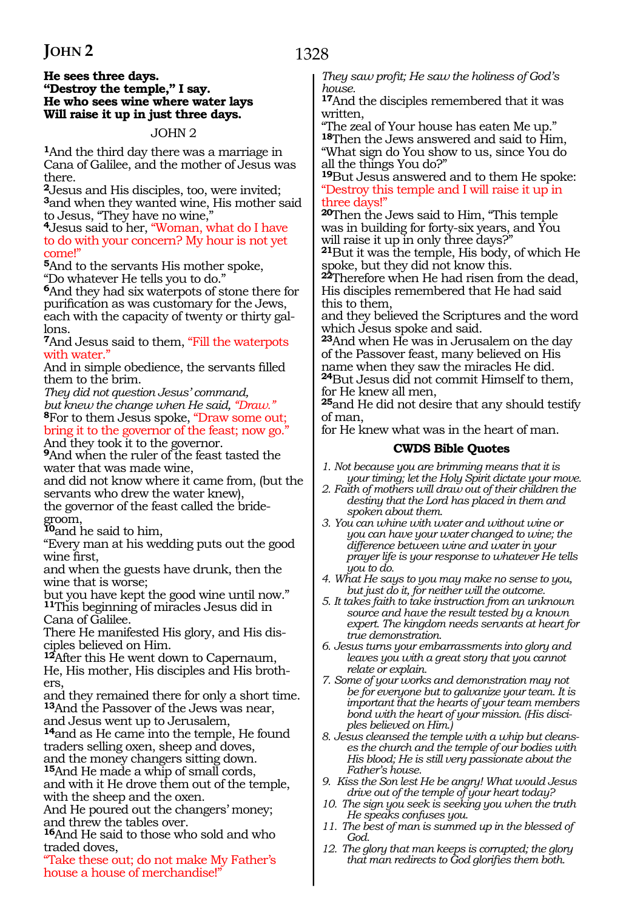### 1328

#### **He sees three days. "Destroy the temple," I say. He who sees wine where water lays Will raise it up in just three days.**

#### JOHN 2

**<sup>1</sup>**And the third day there was a marriage in Cana of Galilee, and the mother of Jesus was there.

**<sup>2</sup>**Jesus and His disciples, too, were invited; **<sup>3</sup>**and when they wanted wine, His mother said to Jesus, "They have no wine,"

**<sup>4</sup>**Jesus said to her, "Woman, what do I have to do with your concern? My hour is not yet come!"

**<sup>5</sup>**And to the servants His mother spoke, "Do whatever He tells you to do."

**<sup>6</sup>**And they had six waterpots of stone there for purification as was customary for the Jews, each with the capacity of twenty or thirty gallons.

**<sup>7</sup>**And Jesus said to them, "Fill the waterpots with water.'

And in simple obedience, the servants filled them to the brim.

*They did not question Jesus' command, but knew the change when He said, "Draw."* **<sup>8</sup>**For to them Jesus spoke, "Draw some out; bring it to the governor of the feast; now go."

And they took it to the governor.

**<sup>9</sup>**And when the ruler of the feast tasted the water that was made wine,

and did not know where it came from, (but the servants who drew the water knew),

the governor of the feast called the bridegroom,

**<sup>10</sup>**and he said to him,

"Every man at his wedding puts out the good wine first,

and when the guests have drunk, then the wine that is worse;

but you have kept the good wine until now." **<sup>11</sup>**This beginning of miracles Jesus did in Cana of Galilee.

There He manifested His glory, and His disciples believed on Him.

**<sup>12</sup>**After this He went down to Capernaum, He, His mother, His disciples and His brothers

and they remained there for only a short time. **<sup>13</sup>**And the Passover of the Jews was near, and Jesus went up to Jerusalem,

**<sup>14</sup>**and as He came into the temple, He found traders selling oxen, sheep and doves,

and the money changers sitting down.

**<sup>15</sup>**And He made a whip of small cords, and with it He drove them out of the temple, with the sheep and the oxen.

And He poured out the changers' money; and threw the tables over.

**<sup>16</sup>**And He said to those who sold and who traded doves,

"Take these out; do not make My Father's house a house of merchandise!"

*They saw profit; He saw the holiness of God's house.* 

**<sup>17</sup>**And the disciples remembered that it was written,

"The zeal of Your house has eaten Me up." **<sup>18</sup>**Then the Jews answered and said to Him, "What sign do You show to us, since You do all the things You do?"

**<sup>19</sup>**But Jesus answered and to them He spoke: "Destroy this temple and I will raise it up in three days!"

**<sup>20</sup>**Then the Jews said to Him, "This temple was in building for forty-six years, and You will raise it up in only three days?"

**<sup>21</sup>**But it was the temple, His body, of which He spoke, but they did not know this.

**<sup>22</sup>**Therefore when He had risen from the dead, His disciples remembered that He had said this to them,

and they believed the Scriptures and the word which Jesus spoke and said.

**<sup>23</sup>**And when He was in Jerusalem on the day of the Passover feast, many believed on His name when they saw the miracles He did. **<sup>24</sup>**But Jesus did not commit Himself to them, for He knew all men,

**<sup>25</sup>**and He did not desire that any should testify of man,

for He knew what was in the heart of man.

#### **CWDS Bible Quotes**

- *1. Not because you are brimming means that it is your timing; let the Holy Spirit dictate your move.*
- *2. Faith of mothers will draw out of their children the destiny that the Lord has placed in them and spoken about them.*
- *3. You can whine with water and without wine or you can have your water changed to wine; the difference between wine and water in your prayer life is your response to whatever He tells you to do.*
- *4. What He says to you may make no sense to you, but just do it, for neither will the outcome.*
- *5. It takes faith to take instruction from an unknown source and have the result tested by a known expert. The kingdom needs servants at heart for true demonstration.*
- *6. Jesus turns your embarrassments into glory and leaves you with a great story that you cannot relate or explain.*
- *7. Some of your works and demonstration may not be for everyone but to galvanize your team. It is important that the hearts of your team members bond with the heart of your mission. (His disciples believed on Him.)*
- *8. Jesus cleansed the temple with a whip but cleanses the church and the temple of our bodies with His blood; He is still very passionate about the Father's house.*
- *9. Kiss the Son lest He be angry! What would Jesus drive out of the temple of your heart today?*
- *10. The sign you seek is seeking you when the truth He speaks confuses you.*
- *11. The best of man is summed up in the blessed of God.*
- *12. The glory that man keeps is corrupted; the glory that man redirects to God glorifies them both.*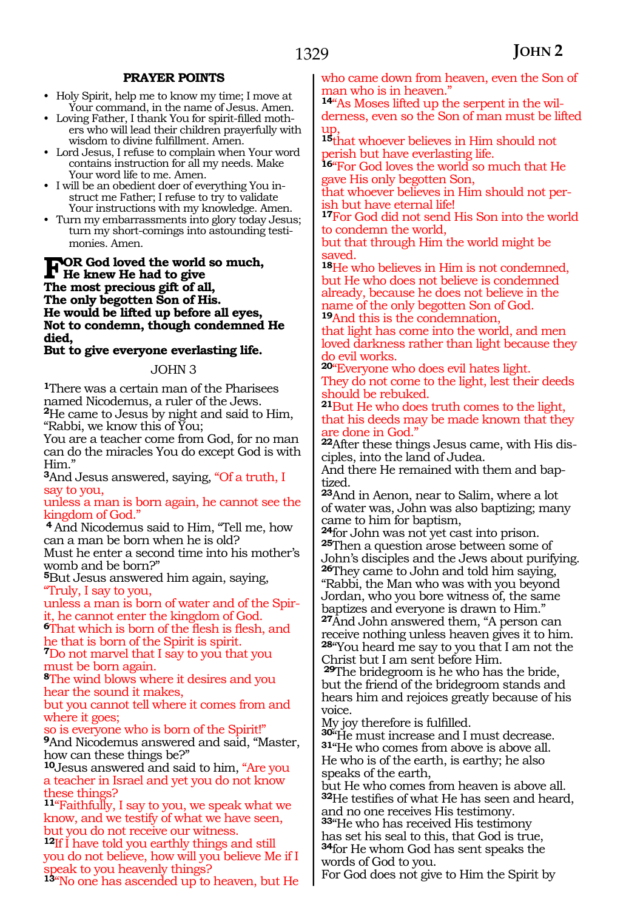#### **PRAYER POINTS**

- Holy Spirit, help me to know my time; I move at Your command, in the name of Jesus. Amen.
- Loving Father, I thank You for spirit-filled mothers who will lead their children prayerfully with wisdom to divine fulfillment. Amen.
- Lord Jesus, I refuse to complain when Your word contains instruction for all my needs. Make Your word life to me. Amen.
- I will be an obedient doer of everything You instruct me Father; I refuse to try to validate Your instructions with my knowledge. Amen.
- Turn my embarrassments into glory today Jesus; turn my short-comings into astounding testimonies. Amen.

**FOR God loved the world so much,**<br>
He knew He had to give<br>
The mest presions gift of all **The most precious gift of all, The only begotten Son of His. He would be lifted up before all eyes, Not to condemn, though condemned He died,** 

**But to give everyone everlasting life.** 

#### JOHN 3

**<sup>1</sup>**There was a certain man of the Pharisees named Nicodemus, a ruler of the Jews. **<sup>2</sup>**He came to Jesus by night and said to Him, "Rabbi, we know this of You;

You are a teacher come from God, for no man can do the miracles You do except God is with Him."

**<sup>3</sup>**And Jesus answered, saying, "Of a truth, I say to you,

unless a man is born again, he cannot see the kingdom of God."

**<sup>4</sup>**And Nicodemus said to Him, "Tell me, how can a man be born when he is old?

Must he enter a second time into his mother's womb and be born?"

**<sup>5</sup>**But Jesus answered him again, saying, "Truly, I say to you,

unless a man is born of water and of the Spirit, he cannot enter the kingdom of God.

**<sup>6</sup>**That which is born of the flesh is flesh, and he that is born of the Spirit is spirit.

**<sup>7</sup>**Do not marvel that I say to you that you must be born again.

**<sup>8</sup>**The wind blows where it desires and you hear the sound it makes,

but you cannot tell where it comes from and where it goes;

so is everyone who is born of the Spirit!" **<sup>9</sup>**And Nicodemus answered and said, "Master, how can these things be?"

**<sup>10</sup>**Jesus answered and said to him, "Are you a teacher in Israel and yet you do not know these things?

**<sup>11</sup>**"Faithfully, I say to you, we speak what we know, and we testify of what we have seen, but you do not receive our witness.

<sup>12</sup>If I have told you earthly things and still you do not believe, how will you believe Me if I speak to you heavenly things?

**<sup>13</sup>**"No one has ascended up to heaven, but He

who came down from heaven, even the Son of man who is in heaven.'

**14**"As Moses lifted up the serpent in the wilderness, even so the Son of man must be lifted up,

**<sup>15</sup>**that whoever believes in Him should not perish but have everlasting life.

16<sup>"</sup>For God loves the world so much that He gave His only begotten Son,

that whoever believes in Him should not perish but have eternal life!

**<sup>17</sup>**For God did not send His Son into the world to condemn the world,

but that through Him the world might be saved.

**<sup>18</sup>**He who believes in Him is not condemned, but He who does not believe is condemned already, because he does not believe in the name of the only begotten Son of God. **<sup>19</sup>**And this is the condemnation,

that light has come into the world, and men loved darkness rather than light because they do evil works.

**<sup>20</sup>**"Everyone who does evil hates light. They do not come to the light, lest their deeds should be rebuked.

**<sup>21</sup>**But He who does truth comes to the light, that his deeds may be made known that they are done in God."

**22**After these things Jesus came, with His disciples, into the land of Judea.

And there He remained with them and baptized.

**<sup>23</sup>**And in Aenon, near to Salim, where a lot of water was, John was also baptizing; many

came to him for baptism,<br>24 for John was not yet cast into prison. **25**Then a question arose between some of John's disciples and the Jews about purifying. **<sup>26</sup>**They came to John and told him saying, "Rabbi, the Man who was with you beyond Jordan, who you bore witness of, the same baptizes and everyone is drawn to Him." **<sup>27</sup>**And John answered them, "A person can receive nothing unless heaven gives it to him. **<sup>28</sup>**"You heard me say to you that I am not the

Christ but I am sent before Him. **<sup>29</sup>**The bridegroom is he who has the bride, but the friend of the bridegroom stands and hears him and rejoices greatly because of his voice.

My joy therefore is fulfilled.

**<sup>30</sup>**"He must increase and I must decrease. **<sup>31</sup>**"He who comes from above is above all. He who is of the earth, is earthy; he also speaks of the earth,

but He who comes from heaven is above all. **<sup>32</sup>**He testifies of what He has seen and heard, and no one receives His testimony.

**<sup>33</sup>**"He who has received His testimony has set his seal to this, that God is true, **<sup>34</sup>**for He whom God has sent speaks the words of God to you.

For God does not give to Him the Spirit by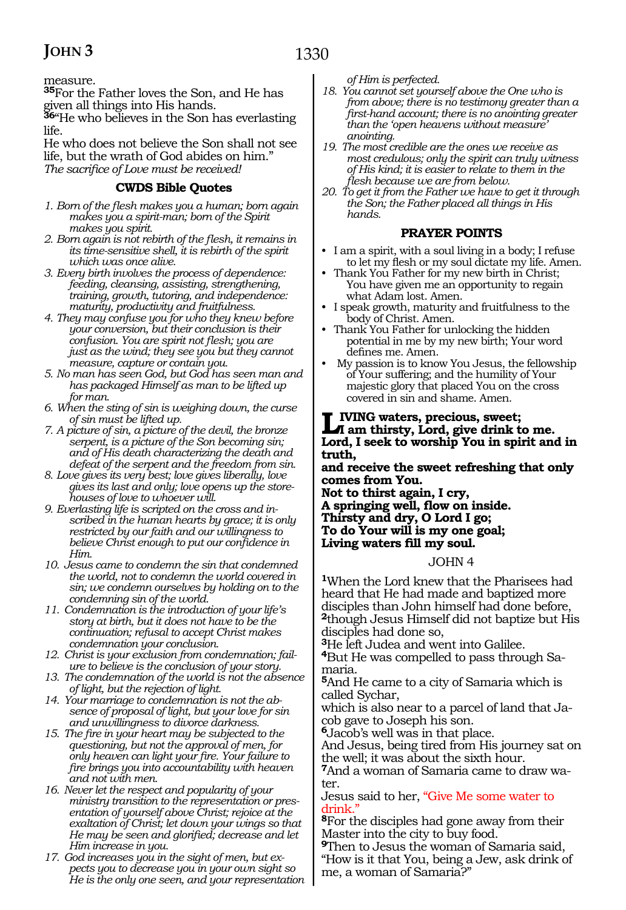1330

measure.

**<sup>35</sup>**For the Father loves the Son, and He has given all things into His hands.

**<sup>36</sup>**"He who believes in the Son has everlasting life.

He who does not believe the Son shall not see life, but the wrath of God abides on him." *The sacrifice of Love must be received!*

#### **CWDS Bible Quotes**

- *1. Born of the flesh makes you a human; born again makes you a spirit-man; born of the Spirit makes you spirit.*
- *2. Born again is not rebirth of the flesh, it remains in its time-sensitive shell, it is rebirth of the spirit which was once alive.*
- *3. Every birth involves the process of dependence: feeding, cleansing, assisting, strengthening, training, growth, tutoring, and independence: maturity, productivity and fruitfulness.*
- *4. They may confuse you for who they knew before your conversion, but their conclusion is their confusion. You are spirit not flesh; you are just as the wind; they see you but they cannot measure, capture or contain you.*
- *5. No man has seen God, but God has seen man and has packaged Himself as man to be lifted up for man.*
- *6. When the sting of sin is weighing down, the curse of sin must be lifted up.*
- *7. A picture of sin, a picture of the devil, the bronze serpent, is a picture of the Son becoming sin; and of His death characterizing the death and defeat of the serpent and the freedom from sin.*
- *8. Love gives its very best; love gives liberally, love gives its last and only; love opens up the storehouses of love to whoever will.*
- *9. Everlasting life is scripted on the cross and inscribed in the human hearts by grace; it is only restricted by our faith and our willingness to believe Christ enough to put our confidence in Him.*
- *10. Jesus came to condemn the sin that condemned the world, not to condemn the world covered in sin; we condemn ourselves by holding on to the condemning sin of the world.*
- *11. Condemnation is the introduction of your life's story at birth, but it does not have to be the continuation; refusal to accept Christ makes condemnation your conclusion.*
- *12. Christ is your exclusion from condemnation; failure to believe is the conclusion of your story.*
- *13. The condemnation of the world is not the absence of light, but the rejection of light.*
- *14. Your marriage to condemnation is not the absence of proposal of light, but your love for sin and unwillingness to divorce darkness.*
- *15. The fire in your heart may be subjected to the questioning, but not the approval of men, for only heaven can light your fire. Your failure to fire brings you into accountability with heaven and not with men.*
- *16. Never let the respect and popularity of your ministry transition to the representation or presentation of yourself above Christ; rejoice at the exaltation of Christ; let down your wings so that He may be seen and glorified; decrease and let Him increase in you.*
- *17. God increases you in the sight of men, but expects you to decrease you in your own sight so He is the only one seen, and your representation*

*of Him is perfected.*

- *18. You cannot set yourself above the One who is from above; there is no testimony greater than a first-hand account; there is no anointing greater than the 'open heavens without measure' anointing.*
- *19. The most credible are the ones we receive as most credulous; only the spirit can truly witness of His kind; it is easier to relate to them in the flesh because we are from below.*
- *20. To get it from the Father we have to get it through the Son; the Father placed all things in His hands.*

#### **PRAYER POINTS**

- I am a spirit, with a soul living in a body; I refuse to let my flesh or my soul dictate my life. Amen.
- Thank You Father for my new birth in Christ; You have given me an opportunity to regain what Adam lost. Amen.
- I speak growth, maturity and fruitfulness to the body of Christ. Amen.
- Thank You Father for unlocking the hidden potential in me by my new birth; Your word defines me. Amen.
- My passion is to know You Jesus, the fellowship of Your suffering; and the humility of Your majestic glory that placed You on the cross covered in sin and shame. Amen.

### **Living waters, precious, sweet; I am thirsty, Lord, give drink to me. Lord, I seek to worship You in spirit and in truth,**

**and receive the sweet refreshing that only comes from You.**

**Not to thirst again, I cry, A springing well, flow on inside. Thirsty and dry, O Lord I go; To do Your will is my one goal; Living waters fill my soul.** 

#### JOHN 4

**<sup>1</sup>**When the Lord knew that the Pharisees had heard that He had made and baptized more disciples than John himself had done before, **<sup>2</sup>**though Jesus Himself did not baptize but His disciples had done so,

**<sup>3</sup>**He left Judea and went into Galilee.

**4**But He was compelled to pass through Samaria.

**<sup>5</sup>**And He came to a city of Samaria which is called Sychar,

which is also near to a parcel of land that Jacob gave to Joseph his son.

**<sup>6</sup>**Jacob's well was in that place.

And Jesus, being tired from His journey sat on the well; it was about the sixth hour.

**7**And a woman of Samaria came to draw water.

Jesus said to her, "Give Me some water to drink."

**<sup>8</sup>**For the disciples had gone away from their Master into the city to buy food.

**<sup>9</sup>**Then to Jesus the woman of Samaria said, "How is it that You, being a Jew, ask drink of me, a woman of Samaria?"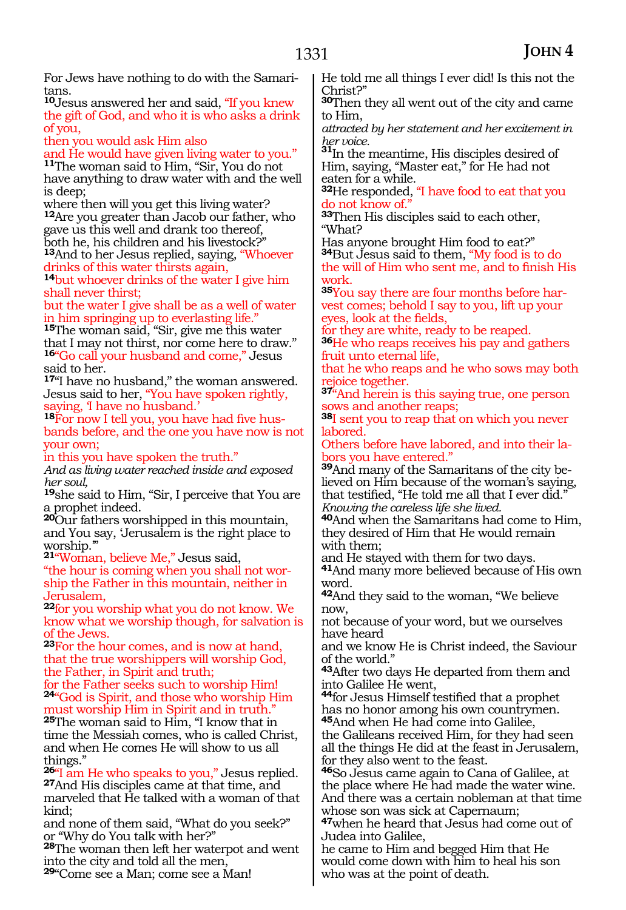For Jews have nothing to do with the Samaritans.

**<sup>10</sup>**Jesus answered her and said, "If you knew the gift of God, and who it is who asks a drink of you,

then you would ask Him also

and He would have given living water to you." **<sup>11</sup>**The woman said to Him, "Sir, You do not have anything to draw water with and the well is deep;

where then will you get this living water? **<sup>12</sup>**Are you greater than Jacob our father, who gave us this well and drank too thereof, both he, his children and his livestock?"

**<sup>13</sup>**And to her Jesus replied, saying, "Whoever drinks of this water thirsts again,

**<sup>14</sup>**but whoever drinks of the water I give him shall never thirst;

but the water I give shall be as a well of water in him springing up to everlasting life."

**<sup>15</sup>**The woman said, "Sir, give me this water that I may not thirst, nor come here to draw." 16<sup>"</sup>Go call your husband and come," Jesus said to her.

**<sup>17</sup>**"I have no husband," the woman answered. Jesus said to her, "You have spoken rightly, saying, I have no husband.<sup>'</sup>

**18**For now I tell you, you have had five husbands before, and the one you have now is not your own;

in this you have spoken the truth."

*And as living water reached inside and exposed her soul,*

**<sup>19</sup>**she said to Him, "Sir, I perceive that You are a prophet indeed.

**<sup>20</sup>**Our fathers worshipped in this mountain, and You say, 'Jerusalem is the right place to worship.'"

**<sup>21</sup>**"Woman, believe Me," Jesus said,

"the hour is coming when you shall not worship the Father in this mountain, neither in Jerusalem,

**<sup>22</sup>**for you worship what you do not know. We know what we worship though, for salvation is of the Jews.

**<sup>23</sup>**For the hour comes, and is now at hand, that the true worshippers will worship God, the Father, in Spirit and truth;

for the Father seeks such to worship Him! **<sup>24</sup>**"God is Spirit, and those who worship Him

must worship Him in Spirit and in truth." **<sup>25</sup>**The woman said to Him, "I know that in time the Messiah comes, who is called Christ, and when He comes He will show to us all things."

**<sup>26</sup>**"I am He who speaks to you," Jesus replied. **<sup>27</sup>**And His disciples came at that time, and marveled that He talked with a woman of that kind;

and none of them said, "What do you seek?" or "Why do You talk with her?"

**<sup>28</sup>**The woman then left her waterpot and went into the city and told all the men,

**<sup>29</sup>**"Come see a Man; come see a Man!

He told me all things I ever did! Is this not the Christ?"

**<sup>30</sup>**Then they all went out of the city and came to Him,

*attracted by her statement and her excitement in* 

*her voice.* **<sup>31</sup>**In the meantime, His disciples desired of Him, saying, "Master eat," for He had not eaten for a while.

**<sup>32</sup>**He responded, "I have food to eat that you do not know of."

**<sup>33</sup>**Then His disciples said to each other, "What?

Has anyone brought Him food to eat?" **<sup>34</sup>**But Jesus said to them, "My food is to do the will of Him who sent me, and to finish His work.

**35**You say there are four months before harvest comes; behold I say to you, lift up your eyes, look at the fields,

for they are white, ready to be reaped.

**<sup>36</sup>**He who reaps receives his pay and gathers fruit unto eternal life,

that he who reaps and he who sows may both rejoice together.

**<sup>37</sup>**"And herein is this saying true, one person sows and another reaps;

**<sup>38</sup>**I sent you to reap that on which you never labored.

Others before have labored, and into their labors you have entered."

**39**And many of the Samaritans of the city believed on Him because of the woman's saying, that testified, "He told me all that I ever did." *Knowing the careless life she lived.*

**<sup>40</sup>**And when the Samaritans had come to Him, they desired of Him that He would remain with them;

and He stayed with them for two days. **<sup>41</sup>**And many more believed because of His own word.

**<sup>42</sup>**And they said to the woman, "We believe now,

not because of your word, but we ourselves have heard

and we know He is Christ indeed, the Saviour of the world."

**<sup>43</sup>**After two days He departed from them and into Galilee He went,

**<sup>44</sup>**for Jesus Himself testified that a prophet has no honor among his own countrymen. **<sup>45</sup>**And when He had come into Galilee,

the Galileans received Him, for they had seen all the things He did at the feast in Jerusalem, for they also went to the feast.

**<sup>46</sup>**So Jesus came again to Cana of Galilee, at the place where He had made the water wine. And there was a certain nobleman at that time whose son was sick at Capernaum;

**<sup>47</sup>**when he heard that Jesus had come out of Judea into Galilee,

he came to Him and begged Him that He would come down with him to heal his son who was at the point of death.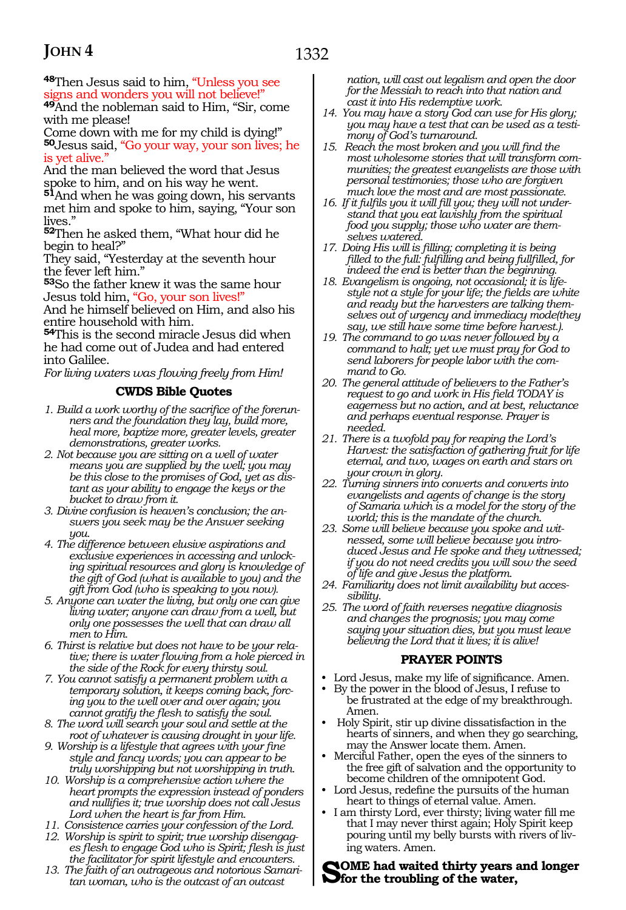1332

**<sup>48</sup>**Then Jesus said to him, "Unless you see signs and wonders you will not believe!"

**<sup>49</sup>**And the nobleman said to Him, "Sir, come with me please!

Come down with me for my child is dying!" **<sup>50</sup>**Jesus said, "Go your way, your son lives; he is yet alive."

And the man believed the word that Jesus spoke to him, and on his way he went.

**<sup>51</sup>**And when he was going down, his servants met him and spoke to him, saying, "Your son lives."

**<sup>52</sup>**Then he asked them, "What hour did he begin to heal?"

They said, "Yesterday at the seventh hour the fever left him."

**<sup>53</sup>**So the father knew it was the same hour Jesus told him, "Go, your son lives!"

And he himself believed on Him, and also his entire household with him.

**<sup>54</sup>**This is the second miracle Jesus did when he had come out of Judea and had entered into Galilee.

*For living waters was flowing freely from Him!*

#### **CWDS Bible Quotes**

- *1. Build a work worthy of the sacrifice of the forerunners and the foundation they lay, build more, heal more, baptize more, greater levels, greater demonstrations, greater works.*
- *2. Not because you are sitting on a well of water means you are supplied by the well; you may be this close to the promises of God, yet as distant as your ability to engage the keys or the bucket to draw from it.*
- *3. Divine confusion is heaven's conclusion; the answers you seek may be the Answer seeking you.*
- *4. The difference between elusive aspirations and exclusive experiences in accessing and unlocking spiritual resources and glory is knowledge of the gift of God (what is available to you) and the gift from God (who is speaking to you now).*
- *5. Anyone can water the living, but only one can give living water; anyone can draw from a well, but only one possesses the well that can draw all men to Him.*
- *6. Thirst is relative but does not have to be your relative; there is water flowing from a hole pierced in the side of the Rock for every thirsty soul.*
- *7. You cannot satisfy a permanent problem with a temporary solution, it keeps coming back, forcing you to the well over and over again; you cannot gratify the flesh to satisfy the soul.*
- *8. The word will search your soul and settle at the root of whatever is causing drought in your life.*
- *9. Worship is a lifestyle that agrees with your fine style and fancy words; you can appear to be truly worshipping but not worshipping in truth.*
- *10. Worship is a comprehensive action where the heart prompts the expression instead of ponders and nullifies it; true worship does not call Jesus Lord when the heart is far from Him.*
- *11. Consistence carries your confession of the Lord.*
- *12. Worship is spirit to spirit; true worship disengages flesh to engage God who is Spirit; flesh is just the facilitator for spirit lifestyle and encounters.*
- *13. The faith of an outrageous and notorious Samaritan woman, who is the outcast of an outcast*

*nation, will cast out legalism and open the door for the Messiah to reach into that nation and cast it into His redemptive work.*

- *14. You may have a story God can use for His glory; you may have a test that can be used as a testimony of God's turnaround.*
- *15. Reach the most broken and you will find the most wholesome stories that will transform communities; the greatest evangelists are those with personal testimonies; those who are forgiven much love the most and are most passionate.*
- *16. If it fulfils you it will fill you; they will not understand that you eat lavishly from the spiritual food you supply; those who water are themselves watered.*
- *17. Doing His will is filling; completing it is being filled to the full: fulfilling and being fullfilled, for indeed the end is better than the beginning.*
- *18. Evangelism is ongoing, not occasional; it is lifestyle not a style for your life; the fields are white and ready but the harvesters are talking themselves out of urgency and immediacy mode(they say, we still have some time before harvest.).*
- *19. The command to go was never followed by a command to halt; yet we must pray for God to send laborers for people labor with the command to Go.*
- *20. The general attitude of believers to the Father's request to go and work in His field TODAY is eagerness but no action, and at best, reluctance and perhaps eventual response. Prayer is needed.*
- *21. There is a twofold pay for reaping the Lord's Harvest: the satisfaction of gathering fruit for life eternal, and two, wages on earth and stars on your crown in glory.*
- *22. Turning sinners into converts and converts into evangelists and agents of change is the story of Samaria which is a model for the story of the world; this is the mandate of the church.*
- *23. Some will believe because you spoke and witnessed, some will believe because you introduced Jesus and He spoke and they witnessed; if you do not need credits you will sow the seed of life and give Jesus the platform.*
- *24. Familiarity does not limit availability but accessibility.*
- *25. The word of faith reverses negative diagnosis and changes the prognosis; you may come saying your situation dies, but you must leave believing the Lord that it lives; it is alive!*

#### **PRAYER POINTS**

- Lord Jesus, make my life of significance. Amen.
- By the power in the blood of Jesus, I refuse to be frustrated at the edge of my breakthrough. Amen.
- Holy Spirit, stir up divine dissatisfaction in the hearts of sinners, and when they go searching, may the Answer locate them. Amen.
- Merciful Father, open the eyes of the sinners to the free gift of salvation and the opportunity to become children of the omnipotent God.
- Lord Jesus, redefine the pursuits of the human heart to things of eternal value. Amen.
- I am thirsty Lord, ever thirsty; living water fill me that I may never thirst again; Holy Spirit keep pouring until my belly bursts with rivers of living waters. Amen.

#### **Some had waited thirty years and longer for the troubling of the water,**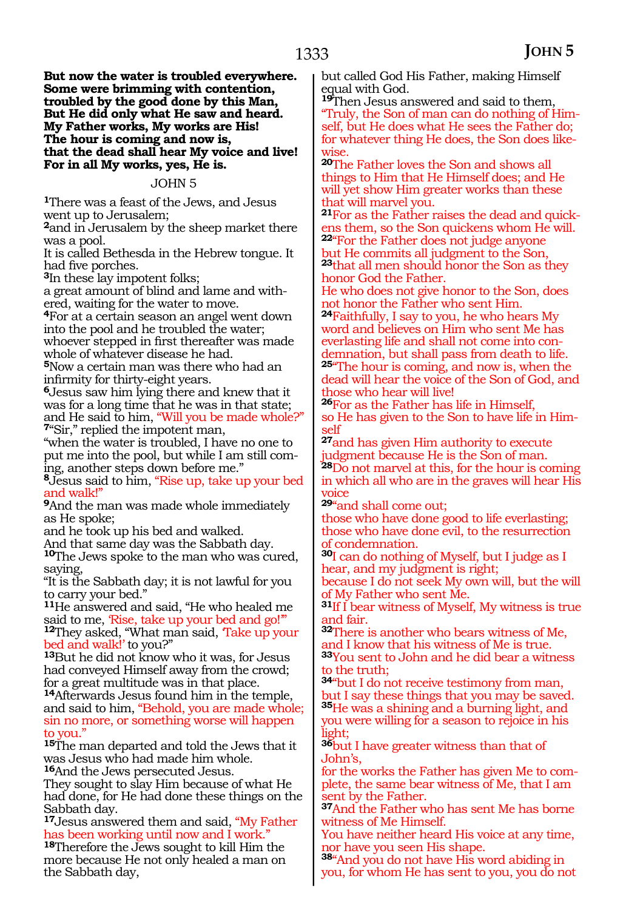**But now the water is troubled everywhere. Some were brimming with contention, troubled by the good done by this Man, But He did only what He saw and heard. My Father works, My works are His! The hour is coming and now is, that the dead shall hear My voice and live! For in all My works, yes, He is.**

#### JOHN 5

**<sup>1</sup>**There was a feast of the Jews, and Jesus went up to Jerusalem;

**<sup>2</sup>**and in Jerusalem by the sheep market there was a pool.

It is called Bethesda in the Hebrew tongue. It had five porches.

**<sup>3</sup>**In these lay impotent folks;

a great amount of blind and lame and withered, waiting for the water to move.

**<sup>4</sup>**For at a certain season an angel went down into the pool and he troubled the water; whoever stepped in first thereafter was made whole of whatever disease he had.

**<sup>5</sup>**Now a certain man was there who had an infirmity for thirty-eight years.

**<sup>6</sup>**Jesus saw him lying there and knew that it was for a long time that he was in that state; and He said to him, "Will you be made whole?" **<sup>7</sup>**"Sir," replied the impotent man,

"when the water is troubled, I have no one to put me into the pool, but while I am still coming, another steps down before me."

**<sup>8</sup>**Jesus said to him, "Rise up, take up your bed and walk!"

**<sup>9</sup>**And the man was made whole immediately as He spoke;

and he took up his bed and walked.

And that same day was the Sabbath day.

**<sup>10</sup>**The Jews spoke to the man who was cured, saying,

"It is the Sabbath day; it is not lawful for you to carry your bed."

<sup>11</sup>He answered and said, "He who healed me<br>said to me, *"Rise, take up your bed and go!"*" <sup>12</sup>They asked, "What man said, *Take up your*<br>bed and walk!' to you?"

<sup>13</sup>But he did not know who it was, for Jesus had conveyed Himself away from the crowd; for a great multitude was in that place.

**<sup>14</sup>**Afterwards Jesus found him in the temple, and said to him, "Behold, you are made whole; sin no more, or something worse will happen to you.'

**<sup>15</sup>**The man departed and told the Jews that it was Jesus who had made him whole. **<sup>16</sup>**And the Jews persecuted Jesus.

They sought to slay Him because of what He had done, for He had done these things on the Sabbath day.

**<sup>17</sup>**Jesus answered them and said, "My Father has been working until now and I work."

**<sup>18</sup>**Therefore the Jews sought to kill Him the more because He not only healed a man on the Sabbath day,

but called God His Father, making Himself equal with God.

**<sup>19</sup>**Then Jesus answered and said to them, "Truly, the Son of man can do nothing of Himself, but He does what He sees the Father do; for whatever thing He does, the Son does likewise.

**<sup>20</sup>**The Father loves the Son and shows all things to Him that He Himself does; and He will yet show Him greater works than these that will marvel you.

**21**For as the Father raises the dead and quickens them, so the Son quickens whom He will. **<sup>22</sup>**"For the Father does not judge anyone but He commits all judgment to the Son, **<sup>23</sup>**that all men should honor the Son as they honor God the Father.

He who does not give honor to the Son, does not honor the Father who sent Him.

**<sup>24</sup>**Faithfully, I say to you, he who hears My word and believes on Him who sent Me has everlasting life and shall not come into condemnation, but shall pass from death to life. **<sup>25</sup>**"The hour is coming, and now is, when the dead will hear the voice of the Son of God, and those who hear will live!

**<sup>26</sup>**For as the Father has life in Himself, so He has given to the Son to have life in Himself

**<sup>27</sup>**and has given Him authority to execute judgment because He is the Son of man. **<sup>28</sup>**Do not marvel at this, for the hour is coming in which all who are in the graves will hear His voice

**<sup>29</sup>**"and shall come out;

those who have done good to life everlasting; those who have done evil, to the resurrection of condemnation.

**<sup>30</sup>**I can do nothing of Myself, but I judge as I hear, and my judgment is right;

because I do not seek My own will, but the will of My Father who sent Me.

**<sup>31</sup>**If I bear witness of Myself, My witness is true and fair.

**<sup>32</sup>**There is another who bears witness of Me, and I know that his witness of Me is true.

**<sup>33</sup>**You sent to John and he did bear a witness to the truth;

**<sup>34</sup>**"but I do not receive testimony from man, but I say these things that you may be saved. **<sup>35</sup>**He was a shining and a burning light, and you were willing for a season to rejoice in his light;

**<sup>36</sup>**but I have greater witness than that of John's,

for the works the Father has given Me to complete, the same bear witness of Me, that I am sent by the Father.

**<sup>37</sup>**And the Father who has sent Me has borne witness of Me Himself.

You have neither heard His voice at any time, nor have you seen His shape.

**<sup>38</sup>**"And you do not have His word abiding in you, for whom He has sent to you, you do not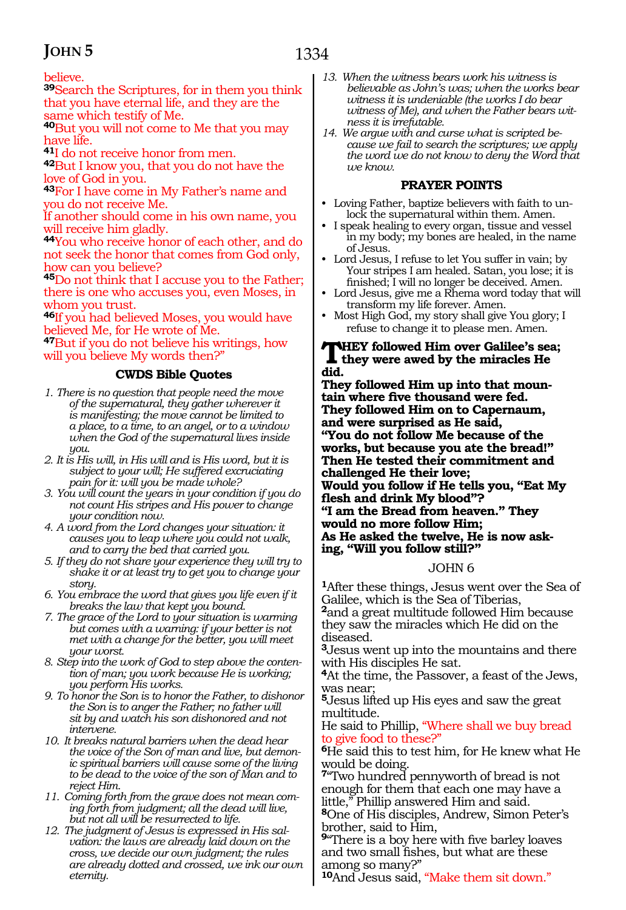#### believe.

**<sup>39</sup>**Search the Scriptures, for in them you think that you have eternal life, and they are the same which testify of Me.

**<sup>40</sup>**But you will not come to Me that you may have life.

**<sup>41</sup>**I do not receive honor from men.

**<sup>42</sup>**But I know you, that you do not have the love of God in you.

**<sup>43</sup>**For I have come in My Father's name and you do not receive Me.

If another should come in his own name, you will receive him gladly.

**<sup>44</sup>**You who receive honor of each other, and do not seek the honor that comes from God only, how can you believe?

**<sup>45</sup>**Do not think that I accuse you to the Father; there is one who accuses you, even Moses, in whom you trust.

**<sup>46</sup>**If you had believed Moses, you would have believed Me, for He wrote of Me.

**<sup>47</sup>**But if you do not believe his writings, how will you believe My words then?"

#### **CWDS Bible Quotes**

- *1. There is no question that people need the move of the supernatural, they gather wherever it is manifesting; the move cannot be limited to a place, to a time, to an angel, or to a window when the God of the supernatural lives inside you.*
- *2. It is His will, in His will and is His word, but it is subject to your will; He suffered excruciating pain for it: will you be made whole?*
- *3. You will count the years in your condition if you do not count His stripes and His power to change your condition now.*
- *4. A word from the Lord changes your situation: it causes you to leap where you could not walk, and to carry the bed that carried you.*
- *5. If they do not share your experience they will try to shake it or at least try to get you to change your story.*
- *6. You embrace the word that gives you life even if it breaks the law that kept you bound.*
- *7. The grace of the Lord to your situation is warming but comes with a warning: if your better is not met with a change for the better, you will meet your worst.*
- *8. Step into the work of God to step above the contention of man; you work because He is working; you perform His works.*
- *9. To honor the Son is to honor the Father, to dishonor the Son is to anger the Father; no father will sit by and watch his son dishonored and not intervene.*
- *10. It breaks natural barriers when the dead hear the voice of the Son of man and live, but demonic spiritual barriers will cause some of the living to be dead to the voice of the son of Man and to reject Him.*
- *11. Coming forth from the grave does not mean coming forth from judgment; all the dead will live, but not all will be resurrected to life.*
- *12. The judgment of Jesus is expressed in His salvation: the laws are already laid down on the cross, we decide our own judgment; the rules are already dotted and crossed, we ink our own eternity.*
- *13. When the witness bears work his witness is believable as John's was; when the works bear witness it is undeniable (the works I do bear witness of Me), and when the Father bears witness it is irrefutable.*
- *14. We argue with and curse what is scripted because we fail to search the scriptures; we apply the word we do not know to deny the Word that we know.*

#### **PRAYER POINTS**

- Loving Father, baptize believers with faith to unlock the supernatural within them. Amen.
- I speak healing to every organ, tissue and vessel in my body; my bones are healed, in the name of Jesus.
- Lord Jesus, I refuse to let You suffer in vain; by Your stripes I am healed. Satan, you lose; it is finished; I will no longer be deceived. Amen.
- Lord Jesus, give me a Rhema word today that will transform my life forever. Amen.
- Most High God, my story shall give You glory; I refuse to change it to please men. Amen.

### **THEY followed Him over Galilee's sea;**<br>they were awed by the miracles He **did.**

**They followed Him up into that mountain where five thousand were fed. They followed Him on to Capernaum, and were surprised as He said, "You do not follow Me because of the works, but because you ate the bread!" Then He tested their commitment and challenged He their love; Would you follow if He tells you, "Eat My flesh and drink My blood"? "I am the Bread from heaven." They would no more follow Him; As He asked the twelve, He is now asking, "Will you follow still?"** 

#### JOHN 6

**<sup>1</sup>**After these things, Jesus went over the Sea of Galilee, which is the Sea of Tiberias,

**<sup>2</sup>**and a great multitude followed Him because they saw the miracles which He did on the diseased.

**<sup>3</sup>**Jesus went up into the mountains and there with His disciples He sat.

**<sup>4</sup>**At the time, the Passover, a feast of the Jews, was near;

**<sup>5</sup>**Jesus lifted up His eyes and saw the great multitude.

He said to Phillip, "Where shall we buy bread to give food to these?"

**<sup>6</sup>**He said this to test him, for He knew what He would be doing.

**<sup>7</sup>**"Two hundred pennyworth of bread is not enough for them that each one may have a little," Phillip answered Him and said.

**<sup>8</sup>**One of His disciples, Andrew, Simon Peter's brother, said to Him,

**<sup>9</sup>**"There is a boy here with five barley loaves and two small fishes, but what are these among so many?"

**<sup>10</sup>**And Jesus said, "Make them sit down."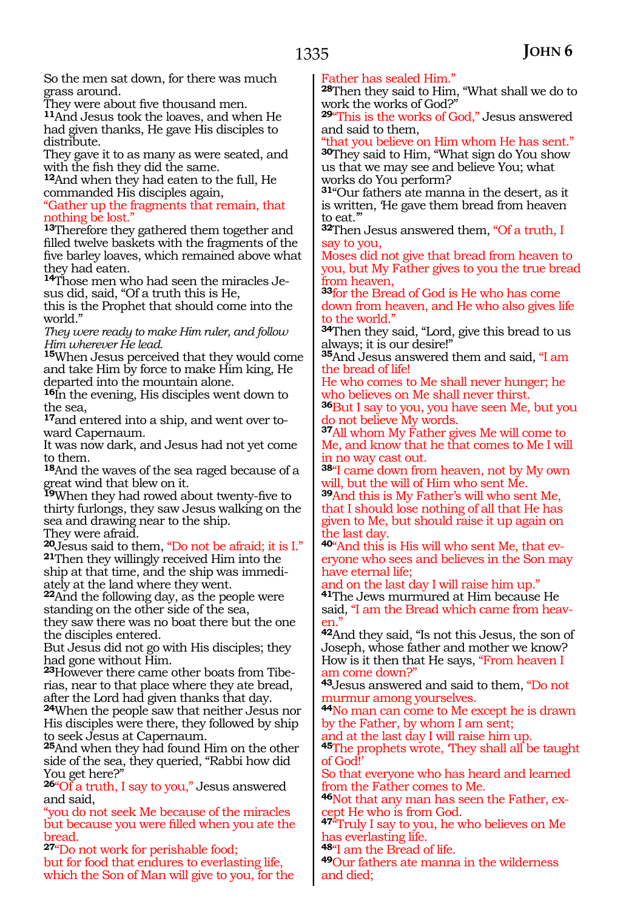So the men sat down, for there was much grass around.<br>They were about five thousand men.

11And Jesus took the loaves, and when He had given thanks, He gave His disciples to distribute.

They gave it to as many as were seated, and

<sup>12</sup>And when they had eaten to the full, He commanded His disciples again,

"Gather up the fragments that remain, that nothing be lost."

**<sup>13</sup>**Therefore they gathered them together and filled twelve baskets with the fragments of the five barley loaves, which remained above what they had eaten.

**14**Those men who had seen the miracles Jesus did, said, "Of a truth this is He,

this is the Prophet that should come into the world."

*They were ready to make Him ruler, and follow Him wherever He lead.* 

**<sup>15</sup>**When Jesus perceived that they would come and take Him by force to make Him king, He departed into the mountain alone.

**<sup>16</sup>**In the evening, His disciples went down to the sea,

**17**and entered into a ship, and went over toward Capernaum.

It was now dark, and Jesus had not yet come to them.

**<sup>18</sup>**And the waves of the sea raged because of a reat wind that blew on it.

great will that bic work...<br>**19**When they had rowed about twenty-five to thirty furlongs, they saw Jesus walking on the sea and drawing near to the ship. They were afraid.

**<sup>20</sup>**Jesus said to them, "Do not be afraid; it is I." **<sup>21</sup>**Then they willingly received Him into the ship at that time, and the ship was immedi- ately at the land where they went.

**<sup>22</sup>**And the following day, as the people were standing on the other side of the sea, they saw there was no boat there but the one the disciples entered.

But Jesus did not go with His disciples; they had gone without Him.

**23**However there came other boats from Tiberias, near to that place where they ate bread, after the Lord had given thanks that day. **<sup>24</sup>**When the people saw that neither Jesus nor

His disciples were there, they followed by ship to seek Jesus at Capernaum.

**<sup>25</sup>**And when they had found Him on the other side of the sea, they queried, "Rabbi how did You get here?"

**<sup>26</sup>**"Of a truth, I say to you," Jesus answered and said,

"you do not seek Me because of the miracles but because you were filled when you ate the bread.

**<sup>27</sup>**"Do not work for perishable food; but for food that endures to everlasting life, which the Son of Man will give to you, for the Father has sealed Him."

**<sup>28</sup>**Then they said to Him, "What shall we do to work the works of God?"

**<sup>29</sup>**"This is the works of God," Jesus answered and said to them,

"that you believe on Him whom He has sent." **<sup>30</sup>**They said to Him, "What sign do You show us that we may see and believe You; what works do You perform?

**<sup>31</sup>**"Our fathers ate manna in the desert, as it is written, 'He gave them bread from heaven to eat."

**<sup>32</sup>**Then Jesus answered them, "Of a truth, I say to you,

Moses did not give that bread from heaven to you, but My Father gives to you the true bread from heaven,

**<sup>33</sup>**for the Bread of God is He who has come down from heaven, and He who also gives life to the world."

**<sup>34</sup>**Then they said, "Lord, give this bread to us always; it is our desire!"

**<sup>35</sup>**And Jesus answered them and said, "I am the bread of life!

He who comes to Me shall never hunger; he who believes on Me shall never thirst.

**<sup>36</sup>**But I say to you, you have seen Me, but you do not believe My words.

**<sup>37</sup>**All whom My Father gives Me will come to Me, and know that he that comes to Me I will in no way cast out.

**<sup>38</sup>**"I came down from heaven, not by My own will, but the will of Him who sent Me.

**<sup>39</sup>**And this is My Father's will who sent Me, that I should lose nothing of all that He has given to Me, but should raise it up again on the last day.

**<sup>40</sup>**"And this is His will who sent Me, that ev- eryone who sees and believes in the Son may have eternal life;

and on the last day I will raise him up."

**<sup>41</sup>**The Jews murmured at Him because He said, "I am the Bread which came from heaven."

**<sup>42</sup>**And they said, "Is not this Jesus, the son of Joseph, whose father and mother we know? How is it then that He says, "From heaven I am come down?"

**<sup>43</sup>**Jesus answered and said to them, "Do not

44No man can come to Me except he is drawn by the Father, by whom I am sent;

and at the last day I will raise him up. **<sup>45</sup>**The prophets wrote, 'They shall all be taught of God!'

So that everyone who has heard and learned from the Father comes to Me.

**46**Not that any man has seen the Father, except He who is from God.

**<sup>47</sup>**"Truly I say to you, he who believes on Me has everlasting life.

**<sup>48</sup>**"I am the Bread of life.

**<sup>49</sup>**Our fathers ate manna in the wilderness and died;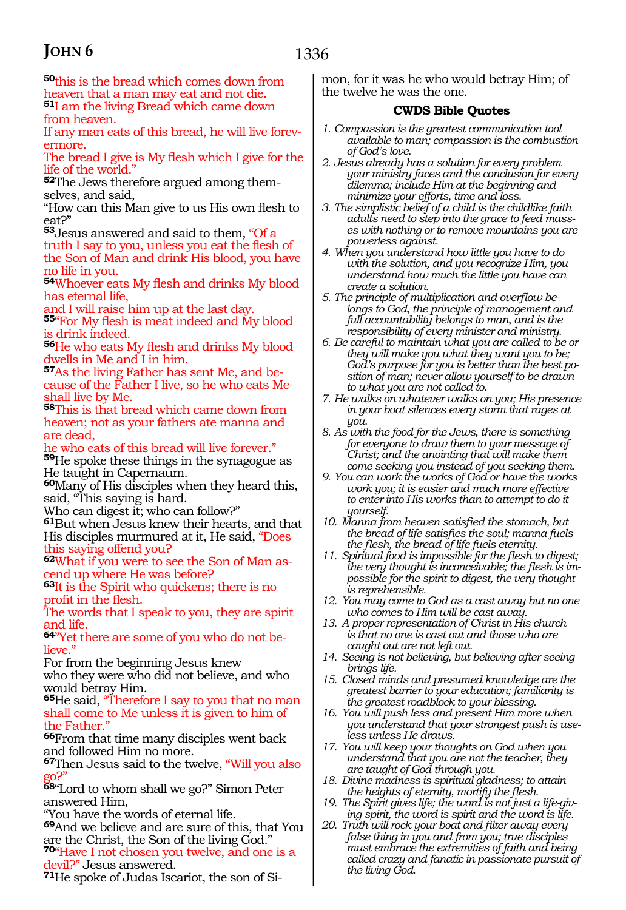**<sup>50</sup>**this is the bread which comes down from heaven that a man may eat and not die. **<sup>51</sup>**I am the living Bread which came down from heaven.

If any man eats of this bread, he will live forev- ermore.

The bread I give is My flesh which I give for the life of the world."

**52**The Jews therefore argued among them-<br>selves, and said,

"How can this Man give to us His own flesh to eat?"

**<sup>53</sup>**Jesus answered and said to them, "Of a truth I say to you, unless you eat the flesh of the Son of Man and drink His blood, you have no life in you.

**<sup>54</sup>**Whoever eats My flesh and drinks My blood has eternal life,

and I will raise him up at the last day.

**<sup>55</sup>**"For My flesh is meat indeed and My blood is drink indeed.

**<sup>56</sup>**He who eats My flesh and drinks My blood dwells in Me and I in him.

**57**As the living Father has sent Me, and because of the Father I live, so he who eats Me shall live by Me.

**<sup>58</sup>**This is that bread which came down from heaven; not as your fathers ate manna and are dead,

he who eats of this bread will live forever." **<sup>59</sup>**He spoke these things in the synagogue as He taught in Capernaum.

**<sup>60</sup>**Many of His disciples when they heard this, said, "This saying is hard.

Who can digest it; who can follow?"

**<sup>61</sup>**But when Jesus knew their hearts, and that His disciples murmured at it, He said, "Does<br>this saying offend you?

**62**What if you were to see the Son of Man ascend up where He was before?

**<sup>63</sup>**It is the Spirit who quickens; there is no profit in the flesh.

The words that I speak to you, they are spirit and life.

**64**"Yet there are some of you who do not believe.

For from the beginning Jesus knew

who they were who did not believe, and who would betray Him.

**<sup>65</sup>**He said, "Therefore I say to you that no man shall come to Me unless it is given to him of the Father.'

**<sup>66</sup>**From that time many disciples went back and followed Him no more.

**<sup>67</sup>**Then Jesus said to the twelve, "Will you also go?"

**<sup>68</sup>**"Lord to whom shall we go?" Simon Peter answered Him,

"You have the words of eternal life.

**<sup>69</sup>**And we believe and are sure of this, that You are the Christ, the Son of the living God." **<sup>70</sup>**"Have I not chosen you twelve, and one is a devil?" Jesus answered.

**71**He spoke of Judas Iscariot, the son of Si-

mon, for it was he who would betray Him; of the twelve he was the one.

#### **CWDS Bible Quotes**

- *1. Compassion is the greatest communication tool available to man; compassion is the combustion of God's love.*
- *2. Jesus already has a solution for every problem your ministry faces and the conclusion for every dilemma; include Him at the beginning and minimize your efforts, time and loss.*
- *3. The simplistic belief of a child is the childlike faith adults need to step into the grace to feed masses with nothing or to remove mountains you are powerless against.*
- *4. When you understand how little you have to do with the solution, and you recognize Him, you understand how much the little you have can create a solution.*
- *5. The principle of multiplication and overflow belongs to God, the principle of management and full accountability belongs to man, and is the responsibility of every minister and ministry.*
- *6. Be careful to maintain what you are called to be or they will make you what they want you to be; God's purpose for you is better than the best position of man; never allow yourself to be drawn to what you are not called to.*
- *7. He walks on whatever walks on you; His presence in your boat silences every storm that rages at you.*
- *8. As with the food for the Jews, there is something for everyone to draw them to your message of Christ; and the anointing that will make them come seeking you instead of you seeking them.*
- *9. You can work the works of God or have the works work you; it is easier and much more effective to enter into His works than to attempt to do it yourself.*
- *10. Manna from heaven satisfied the stomach, but the bread of life satisfies the soul; manna fuels the flesh, the bread of life fuels eternity.*
- *11. Spiritual food is impossible for the flesh to digest; the very thought is inconceivable; the flesh is impossible for the spirit to digest, the very thought is reprehensible.*
- *12. You may come to God as a cast away but no one who comes to Him will be cast away.*
- *13. A proper representation of Christ in His church is that no one is cast out and those who are caught out are not left out.*
- *14. Seeing is not believing, but believing after seeing brings life.*
- *15. Closed minds and presumed knowledge are the greatest barrier to your education; familiarity is the greatest roadblock to your blessing.*
- *16. You will push less and present Him more when you understand that your strongest push is useless unless He draws.*
- *17. You will keep your thoughts on God when you understand that you are not the teacher, they are taught of God through you.*
- *18. Divine madness is spiritual gladness; to attain the heights of eternity, mortify the flesh.*
- *19. The Spirit gives life; the word is not just a life-giving spirit, the word is spirit and the word is life.*
- *20. Truth will rock your boat and filter away every false thing in you and from you; true disciples must embrace the extremities of faith and being called crazy and fanatic in passionate pursuit of the living God.*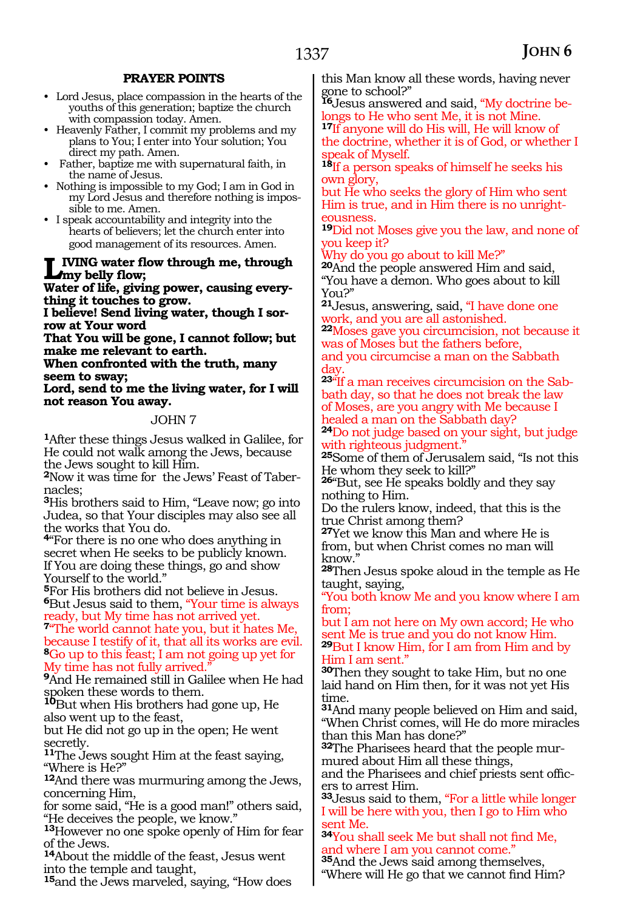#### **PRAYER POINTS**

- Lord Jesus, place compassion in the hearts of the youths of this generation; baptize the church with compassion today. Amen.
- Heavenly Father, I commit my problems and my plans to You; I enter into Your solution; You direct my path. Amen.
- Father, baptize me with supernatural faith, in the name of Jesus.
- Nothing is impossible to my God; I am in God in my Lord Jesus and therefore nothing is impossible to me. Amen.
- I speak accountability and integrity into the hearts of believers; let the church enter into good management of its resources. Amen.

#### **Living water flow through me, through my belly flow;**

**Water of life, giving power, causing everything it touches to grow.**

**I believe! Send living water, though I sorrow at Your word**

**That You will be gone, I cannot follow; but make me relevant to earth.**

**When confronted with the truth, many seem to sway;**

**Lord, send to me the living water, for I will not reason You away.**

#### JOHN 7

**<sup>1</sup>**After these things Jesus walked in Galilee, for He could not walk among the Jews, because the Jews sought to kill Him.

**2**Now it was time for the Jews' Feast of Tabernacles;

**<sup>3</sup>**His brothers said to Him, "Leave now; go into Judea, so that Your disciples may also see all the works that You do.

**<sup>4</sup>**"For there is no one who does anything in secret when He seeks to be publicly known. If You are doing these things, go and show Yourself to the world."

**<sup>5</sup>**For His brothers did not believe in Jesus. **<sup>6</sup>**But Jesus said to them, "Your time is always ready, but My time has not arrived yet.

**<sup>7</sup>**"The world cannot hate you, but it hates Me, because I testify of it, that all its works are evil. **<sup>8</sup>**Go up to this feast; I am not going up yet for My time has not fully arrived."

**<sup>9</sup>**And He remained still in Galilee when He had spoken these words to them.

**<sup>10</sup>**But when His brothers had gone up, He also went up to the feast,

but He did not go up in the open; He went secretly.

**<sup>11</sup>**The Jews sought Him at the feast saying, "Where is He?"

**<sup>12</sup>**And there was murmuring among the Jews, concerning Him,

for some said, "He is a good man!" others said, "He deceives the people, we know."

**<sup>13</sup>**However no one spoke openly of Him for fear of the Jews.

**<sup>14</sup>**About the middle of the feast, Jesus went into the temple and taught,

**<sup>15</sup>**and the Jews marveled, saying, "How does

this Man know all these words, having never gone to school?"

**16**Jesus answered and said, "My doctrine belongs to He who sent Me, it is not Mine.

**<sup>17</sup>**If anyone will do His will, He will know of the doctrine, whether it is of God, or whether I speak of Myself.

**<sup>18</sup>**If a person speaks of himself he seeks his own glory,

but He who seeks the glory of Him who sent Him is true, and in Him there is no unrighteousness.

**<sup>19</sup>**Did not Moses give you the law, and none of you keep it?

Why do you go about to kill Me?"

**<sup>20</sup>**And the people answered Him and said, "You have a demon. Who goes about to kill You?"

**<sup>21</sup>**Jesus, answering, said, "I have done one work, and you are all astonished.

**<sup>22</sup>**Moses gave you circumcision, not because it was of Moses but the fathers before, and you circumcise a man on the Sabbath day.

**23**"If a man receives circumcision on the Sabbath day, so that he does not break the law of Moses, are you angry with Me because I healed a man on the Sabbath day?

**<sup>24</sup>**Do not judge based on your sight, but judge with righteous judgment."

**<sup>25</sup>**Some of them of Jerusalem said, "Is not this He whom they seek to kill?"

**<sup>26</sup>**"But, see He speaks boldly and they say nothing to Him.

Do the rulers know, indeed, that this is the true Christ among them?

**<sup>27</sup>**Yet we know this Man and where He is from, but when Christ comes no man will know."

**<sup>28</sup>**Then Jesus spoke aloud in the temple as He taught, saying,

"You both know Me and you know where I am from;

but I am not here on My own accord; He who sent Me is true and you do not know Him. **<sup>29</sup>**But I know Him, for I am from Him and by Him I am sent."

**<sup>30</sup>**Then they sought to take Him, but no one laid hand on Him then, for it was not yet His time.

**<sup>31</sup>**And many people believed on Him and said, "When Christ comes, will He do more miracles than this Man has done?"

**32**The Pharisees heard that the people murmured about Him all these things,

and the Pharisees and chief priests sent officers to arrest Him.

**<sup>33</sup>**Jesus said to them, "For a little while longer I will be here with you, then I go to Him who sent Me.

**<sup>34</sup>**You shall seek Me but shall not find Me, and where I am you cannot come."

**<sup>35</sup>**And the Jews said among themselves, "Where will He go that we cannot find Him?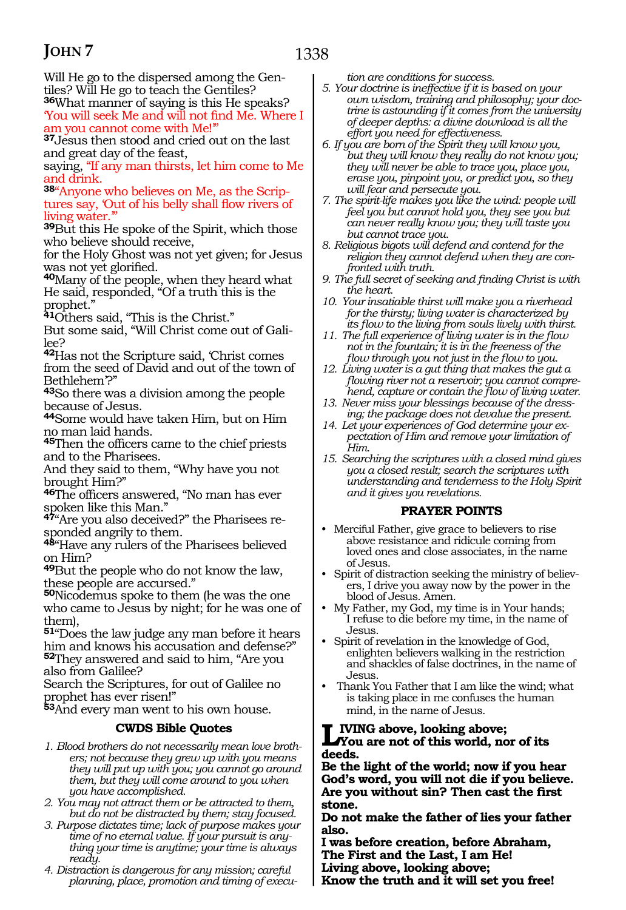1338

Will He go to the dispersed among the Gentiles? Will He go to teach the Gentiles? **<sup>36</sup>**What manner of saying is this He speaks?

'You will seek Me and will not find Me. Where I am you cannot come with Me!'" **<sup>37</sup>**Jesus then stood and cried out on the last

and great day of the feast,

saying, "If any man thirsts, let him come to Me and drink.

**38**"Anyone who believes on Me, as the Scriptures say, 'Out of his belly shall flow rivers of living water.'"

**<sup>39</sup>**But this He spoke of the Spirit, which those who believe should receive,

for the Holy Ghost was not yet given; for Jesus was not yet glorified.

**<sup>40</sup>**Many of the people, when they heard what He said, responded, "Of a truth this is the prophet."

**<sup>41</sup>**Others said, "This is the Christ."

But some said, "Will Christ come out of Galilee?

**<sup>42</sup>**Has not the Scripture said, 'Christ comes from the seed of David and out of the town of Bethlehem'?"

**<sup>43</sup>**So there was a division among the people because of Jesus.

**<sup>44</sup>**Some would have taken Him, but on Him no man laid hands.

**<sup>45</sup>**Then the officers came to the chief priests and to the Pharisees.

And they said to them, "Why have you not brought Him?"

**<sup>46</sup>**The officers answered, "No man has ever spoken like this Man."

**47**"Are you also deceived?" the Pharisees responded angrily to them.

**<sup>48</sup>**"Have any rulers of the Pharisees believed on Him?

**<sup>49</sup>**But the people who do not know the law, these people are accursed."

**<sup>50</sup>**Nicodemus spoke to them (he was the one who came to Jesus by night; for he was one of them),

 $51^{\circ}$ Does the law judge any man before it hears him and knows his accusation and defense?" **<sup>52</sup>**They answered and said to him, "Are you also from Galilee?

Search the Scriptures, for out of Galilee no prophet has ever risen!"

**<sup>53</sup>**And every man went to his own house.

#### **CWDS Bible Quotes**

- *1. Blood brothers do not necessarily mean love brothers; not because they grew up with you means they will put up with you; you cannot go around them, but they will come around to you when you have accomplished.*
- *2. You may not attract them or be attracted to them, but do not be distracted by them; stay focused.*
- *3. Purpose dictates time; lack of purpose makes your time of no eternal value. If your pursuit is anything your time is anytime; your time is always ready.*
- *4. Distraction is dangerous for any mission; careful planning, place, promotion and timing of execu-*

*tion are conditions for success.*

- *5. Your doctrine is ineffective if it is based on your own wisdom, training and philosophy; your doctrine is astounding if it comes from the university of deeper depths: a divine download is all the effort you need for effectiveness.*
- *6. If you are born of the Spirit they will know you, but they will know they really do not know you; they will never be able to trace you, place you, erase you, pinpoint you, or predict you, so they will fear and persecute you.*
- *7. The spirit-life makes you like the wind: people will feel you but cannot hold you, they see you but can never really know you; they will taste you but cannot trace you.*
- *8. Religious bigots will defend and contend for the religion they cannot defend when they are confronted with truth.*
- *9. The full secret of seeking and finding Christ is with the heart.*
- *10. Your insatiable thirst will make you a riverhead for the thirsty; living water is characterized by its flow to the living from souls lively with thirst.*
- *11. The full experience of living water is in the flow not in the fountain; it is in the freeness of the flow through you not just in the flow to you.*
- *12. Living water is a gut thing that makes the gut a flowing river not a reservoir; you cannot comprehend, capture or contain the flow of living water.*
- *13. Never miss your blessings because of the dressing; the package does not devalue the present.*
- *14. Let your experiences of God determine your expectation of Him and remove your limitation of Him.*
- *15. Searching the scriptures with a closed mind gives you a closed result; search the scriptures with understanding and tenderness to the Holy Spirit and it gives you revelations.*

#### **PRAYER POINTS**

- Merciful Father, give grace to believers to rise above resistance and ridicule coming from loved ones and close associates, in the name of Jesus.
- Spirit of distraction seeking the ministry of believers, I drive you away now by the power in the blood of Jesus. Amen.
- My Father, my God, my time is in Your hands; I refuse to die before my time, in the name of Jesus.
- Spirit of revelation in the knowledge of God, enlighten believers walking in the restriction and shackles of false doctrines, in the name of Jesus.
- Thank You Father that I am like the wind; what is taking place in me confuses the human mind, in the name of Jesus.

# **Living above, looking above; You are not of this world, nor of its**

**deeds.**

**Be the light of the world; now if you hear God's word, you will not die if you believe. Are you without sin? Then cast the first stone.**

**Do not make the father of lies your father also.**

**I was before creation, before Abraham, The First and the Last, I am He! Living above, looking above; Know the truth and it will set you free!**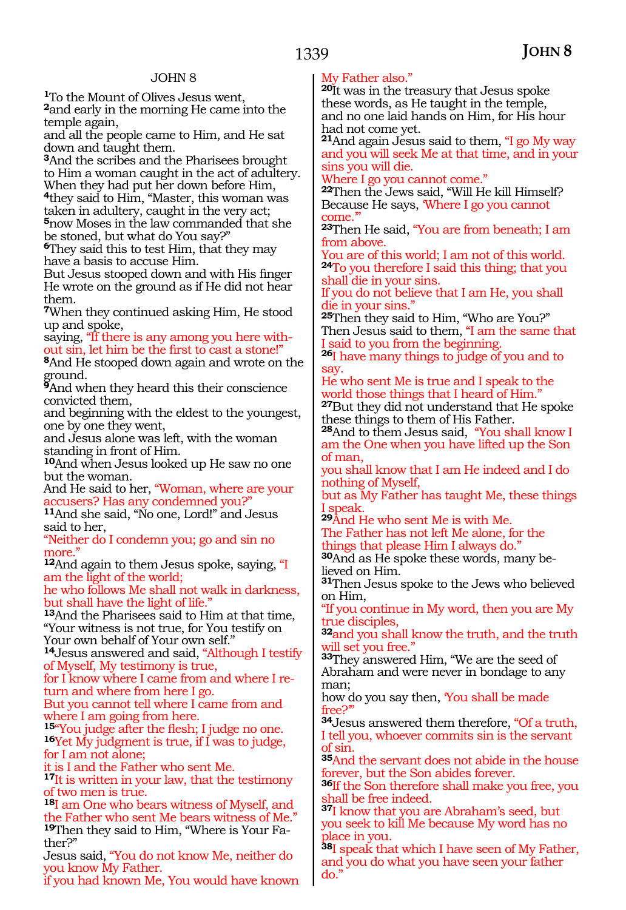**<sup>1</sup>**To the Mount of Olives Jesus went, **<sup>2</sup>**and early in the morning He came into the temple again,

and all the people came to Him, and He sat down and taught them.

**<sup>3</sup>**And the scribes and the Pharisees brought to Him a woman caught in the act of adultery. When they had put her down before Him, **<sup>4</sup>**they said to Him, "Master, this woman was

taken in adultery, caught in the very act; **<sup>5</sup>**now Moses in the law commanded that she be stoned, but what do You say?"

**<sup>6</sup>**They said this to test Him, that they may have a basis to accuse Him.

But Jesus stooped down and with His finger He wrote on the ground as if He did not hear them.

**<sup>7</sup>**When they continued asking Him, He stood up and spoke,

saying, "If there is any among you here without sin, let him be the first to cast a stone!"

**<sup>8</sup>**And He stooped down again and wrote on the ground.

**<sup>9</sup>**And when they heard this their conscience convicted them,

and beginning with the eldest to the youngest, one by one they went,

and Jesus alone was left, with the woman standing in front of Him.

**<sup>10</sup>**And when Jesus looked up He saw no one but the woman.

And He said to her, "Woman, where are your accusers? Has any condemned you?"

**<sup>11</sup>**And she said, "No one, Lord!" and Jesus said to her,

"Neither do I condemn you; go and sin no more."

**<sup>12</sup>**And again to them Jesus spoke, saying, "I am the light of the world;

he who follows Me shall not walk in darkness, but shall have the light of life."

**<sup>13</sup>**And the Pharisees said to Him at that time, "Your witness is not true, for You testify on Your own behalf of Your own self."

**<sup>14</sup>**Jesus answered and said, "Although I testify of Myself, My testimony is true,

for I know where I came from and where I re- turn and where from here I go.

But you cannot tell where I came from and where I am going from here.

**<sup>15</sup>**"You judge after the flesh; I judge no one. **16**Yet My judgment is true, if I was to judge, for I am not alone;

it is I and the Father who sent Me.

**<sup>17</sup>**It is written in your law, that the testimony of two men is true.

**<sup>18</sup>**I am One who bears witness of Myself, and the Father who sent Me bears witness of Me." **19**Then they said to Him, "Where is Your Father?"

Jesus said, "You do not know Me, neither do you know My Father.

if you had known Me, You would have known

#### My Father also."

**<sup>20</sup>**It was in the treasury that Jesus spoke these words, as He taught in the temple, and no one laid hands on Him, for His hour had not come yet.

**<sup>21</sup>**And again Jesus said to them, "I go My way and you will seek Me at that time, and in your sins you will die.

Where I go you cannot come."

**<sup>22</sup>**Then the Jews said, "Will He kill Himself? Because He says, 'Where I go you cannot come.'"

**<sup>23</sup>**Then He said, "You are from beneath; I am from above.

You are of this world; I am not of this world. **<sup>24</sup>**To you therefore I said this thing; that you shall die in your sins.

If you do not believe that I am He, you shall die in your sins."

**<sup>25</sup>**Then they said to Him, "Who are You?" Then Jesus said to them, "I am the same that I said to you from the beginning.

**<sup>26</sup>**I have many things to judge of you and to say.

He who sent Me is true and I speak to the world those things that I heard of Him." **<sup>27</sup>**But they did not understand that He spoke

these things to them of His Father.

**<sup>28</sup>**And to them Jesus said, "You shall know I am the One when you have lifted up the Son of man,

you shall know that I am He indeed and I do nothing of Myself,

but as My Father has taught Me, these things I speak.

**<sup>29</sup>**And He who sent Me is with Me. The Father has not left Me alone, for the things that please Him I always do."

**30**And as He spoke these words, many believed on Him.

**<sup>31</sup>**Then Jesus spoke to the Jews who believed on Him,

"If you continue in My word, then you are My true disciples,

**<sup>32</sup>**and you shall know the truth, and the truth will set you free.'

**<sup>33</sup>**They answered Him, "We are the seed of Abraham and were never in bondage to any man;

how do you say then, 'You shall be made free?'"

**<sup>34</sup>**Jesus answered them therefore, "Of a truth, I tell you, whoever commits sin is the servant of sin.

**<sup>35</sup>**And the servant does not abide in the house forever, but the Son abides forever.

**<sup>36</sup>**If the Son therefore shall make you free, you shall be free indeed.

**<sup>37</sup>**I know that you are Abraham's seed, but you seek to kill Me because My word has no place in you.

**<sup>38</sup>**I speak that which I have seen of My Father, and you do what you have seen your father do."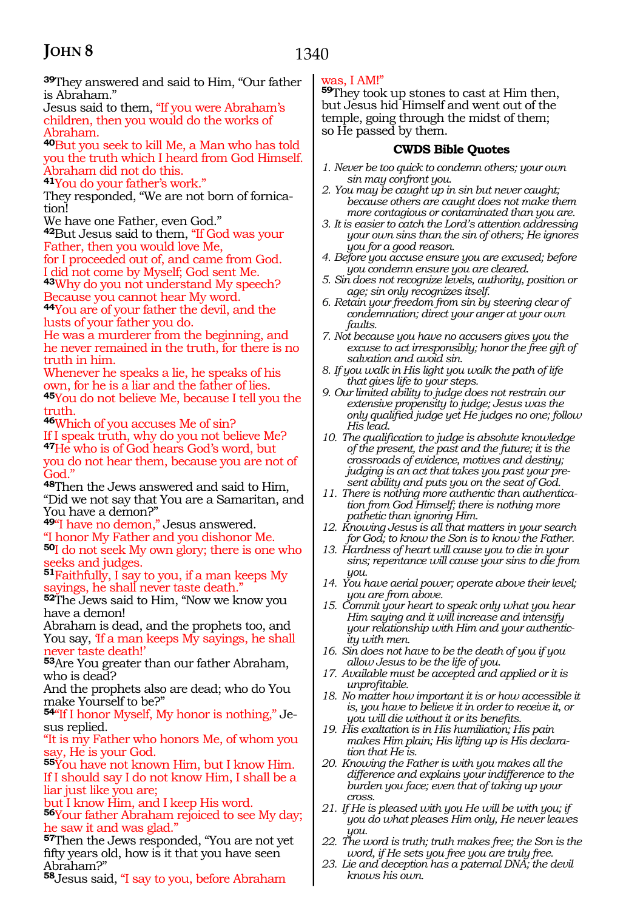**<sup>39</sup>**They answered and said to Him, "Our father is Abraham."

Jesus said to them, "If you were Abraham's children, then you would do the works of Abraham.

**<sup>40</sup>**But you seek to kill Me, a Man who has told you the truth which I heard from God Himself. Abraham did not do this.

**<sup>41</sup>**You do your father's work."

They responded, "We are not born of fornica- tion!

We have one Father, even God."

**<sup>42</sup>**But Jesus said to them, "If God was your Father, then you would love Me,

for I proceeded out of, and came from God. I did not come by Myself; God sent Me. **<sup>43</sup>**Why do you not understand My speech?

Because you cannot hear My word.

**<sup>44</sup>**You are of your father the devil, and the lusts of your father you do.

He was a murderer from the beginning, and he never remained in the truth, for there is no truth in him.

Whenever he speaks a lie, he speaks of his own, for he is a liar and the father of lies. **<sup>45</sup>**You do not believe Me, because I tell you the truth.

**<sup>46</sup>**Which of you accuses Me of sin?

If I speak truth, why do you not believe Me? **<sup>47</sup>**He who is of God hears God's word, but you do not hear them, because you are not of God."

**<sup>48</sup>**Then the Jews answered and said to Him, "Did we not say that You are a Samaritan, and You have a demon?"

**<sup>49</sup>**"I have no demon," Jesus answered. "I honor My Father and you dishonor Me. **<sup>50</sup>**I do not seek My own glory; there is one who

seeks and judges. **<sup>51</sup>**Faithfully, I say to you, if a man keeps My sayings, he shall never taste death.'

**<sup>52</sup>**The Jews said to Him, "Now we know you have a demon!

Abraham is dead, and the prophets too, and You say, 'If a man keeps My sayings, he shall never taste death!'

**<sup>53</sup>**Are You greater than our father Abraham, who is dead?

And the prophets also are dead; who do You make Yourself to be?"

**54**"If I honor Myself, My honor is nothing," Jesus replied.

"It is my Father who honors Me, of whom you say, He is your God.

**<sup>55</sup>**You have not known Him, but I know Him. If I should say I do not know Him, I shall be a liar just like you are;

but I know Him, and I keep His word.

**<sup>56</sup>**Your father Abraham rejoiced to see My day; he saw it and was glad."

**<sup>57</sup>**Then the Jews responded, "You are not yet fifty years old, how is it that you have seen Abraham?"

**<sup>58</sup>**Jesus said, "I say to you, before Abraham

#### was, I AM!"

**<sup>59</sup>**They took up stones to cast at Him then, but Jesus hid Himself and went out of the temple, going through the midst of them; so He passed by them.

#### **CWDS Bible Quotes**

- *1. Never be too quick to condemn others; your own sin may confront you.*
- *2. You may be caught up in sin but never caught; because others are caught does not make them more contagious or contaminated than you are.*
- *3. It is easier to catch the Lord's attention addressing your own sins than the sin of others; He ignores you for a good reason.*
- *4. Before you accuse ensure you are excused; before you condemn ensure you are cleared.*
- *5. Sin does not recognize levels, authority, position or age; sin only recognizes itself.*
- *6. Retain your freedom from sin by steering clear of condemnation; direct your anger at your own faults.*
- *7. Not because you have no accusers gives you the excuse to act irresponsibly; honor the free gift of salvation and avoid sin.*
- *8. If you walk in His light you walk the path of life that gives life to your steps.*
- *9. Our limited ability to judge does not restrain our extensive propensity to judge; Jesus was the only qualified judge yet He judges no one; follow His lead.*
- *10. The qualification to judge is absolute knowledge of the present, the past and the future; it is the crossroads of evidence, motives and destiny; judging is an act that takes you past your present ability and puts you on the seat of God.*
- *11. There is nothing more authentic than authentication from God Himself; there is nothing more pathetic than ignoring Him.*
- *12. Knowing Jesus is all that matters in your search for God; to know the Son is to know the Father.*
- *13. Hardness of heart will cause you to die in your sins; repentance will cause your sins to die from you.*
- *14. You have aerial power; operate above their level; you are from above.*
- *15. Commit your heart to speak only what you hear Him saying and it will increase and intensify your relationship with Him and your authenticity with men.*
- *16. Sin does not have to be the death of you if you allow Jesus to be the life of you.*
- *17. Available must be accepted and applied or it is unprofitable.*
- *18. No matter how important it is or how accessible it is, you have to believe it in order to receive it, or you will die without it or its benefits.*
- *19. His exaltation is in His humiliation; His pain makes Him plain; His lifting up is His declaration that He is.*
- *20. Knowing the Father is with you makes all the difference and explains your indifference to the burden you face; even that of taking up your cross.*
- *21. If He is pleased with you He will be with you; if you do what pleases Him only, He never leaves you.*
- *22. The word is truth; truth makes free; the Son is the word, if He sets you free you are truly free.*
- *23. Lie and deception has a paternal DNA; the devil knows his own.*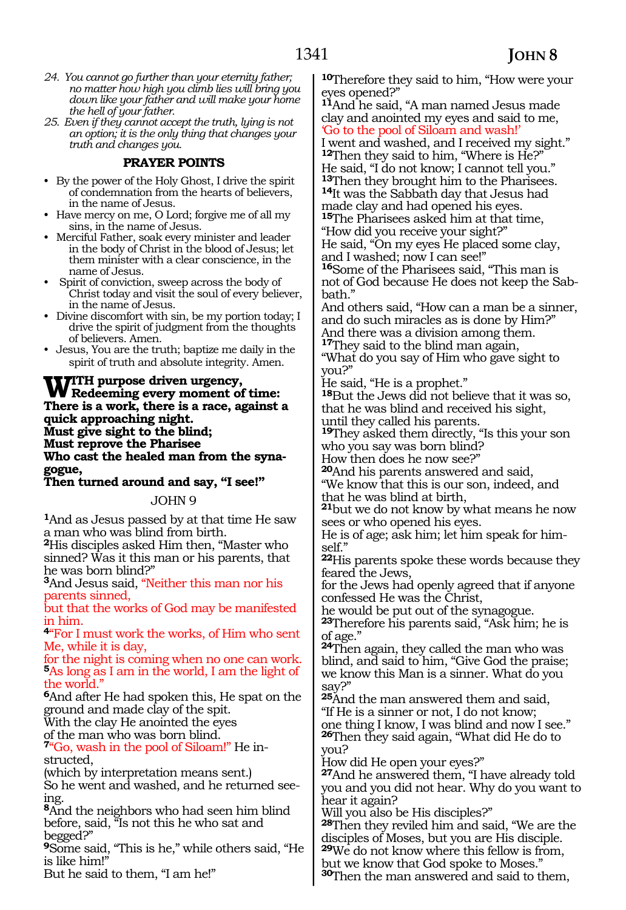- *24. You cannot go further than your eternity father; no matter how high you climb lies will bring you down like your father and will make your home the hell of your father.*
- *25. Even if they cannot accept the truth, lying is not an option; it is the only thing that changes your truth and changes you.*

#### **PRAYER POINTS**

- By the power of the Holy Ghost, I drive the spirit of condemnation from the hearts of believers, in the name of Jesus.
- Have mercy on me, O Lord; forgive me of all my sins, in the name of Jesus.
- Merciful Father, soak every minister and leader in the body of Christ in the blood of Jesus; let them minister with a clear conscience, in the name of Jesus.
- Spirit of conviction, sweep across the body of Christ today and visit the soul of every believer, in the name of Jesus.
- Divine discomfort with sin, be my portion today; I drive the spirit of judgment from the thoughts of believers. Amen.
- Jesus, You are the truth; baptize me daily in the spirit of truth and absolute integrity. Amen.

### **With purpose driven urgency, Redeeming every moment of time: There is a work, there is a race, against a quick approaching night. Must give sight to the blind; Must reprove the Pharisee Who cast the healed man from the syna- gogue,**

**Then turned around and say, "I see!"**

JOHN 9

**<sup>1</sup>**And as Jesus passed by at that time He saw a man who was blind from birth.

**<sup>2</sup>**His disciples asked Him then, "Master who sinned? Was it this man or his parents, that he was born blind?"

**<sup>3</sup>**And Jesus said, "Neither this man nor his parents sinned,

but that the works of God may be manifested in him.

**<sup>4</sup>**"For I must work the works, of Him who sent Me, while it is day,

for the night is coming when no one can work. **<sup>5</sup>**As long as I am in the world, I am the light of the world."

**<sup>6</sup>**And after He had spoken this, He spat on the ground and made clay of the spit.

With the clay He anointed the eyes of the man who was born blind.

**7**"Go, wash in the pool of Siloam!" He instructed,

(which by interpretation means sent.)

So he went and washed, and he returned seeing.

**<sup>8</sup>**And the neighbors who had seen him blind before, said, "Is not this he who sat and begged?"

**<sup>9</sup>**Some said, "This is he," while others said, "He is like him!"

But he said to them, "I am he!"

**<sup>10</sup>**Therefore they said to him, "How were your eyes opened?"

**<sup>11</sup>**And he said, "A man named Jesus made clay and anointed my eyes and said to me, 'Go to the pool of Siloam and wash!'

I went and washed, and I received my sight." **<sup>12</sup>**Then they said to him, "Where is He?" He said, "I do not know; I cannot tell you."<br><sup>13</sup>Then they brought him to the Pharisees. 14It was the Sabbath day that Jesus had made clay and had opened his eyes.

**<sup>15</sup>**The Pharisees asked him at that time, "How did you receive your sight?"

He said, "On my eyes He placed some clay, and I washed; now I can see!"

**<sup>16</sup>**Some of the Pharisees said, "This man is not of God because He does not keep the Sab- bath."

And others said, "How can a man be a sinner, and do such miracles as is done by Him?" And there was a division among them.

**<sup>17</sup>**They said to the blind man again,

"What do you say of Him who gave sight to you?"

He said, "He is a prophet."

**<sup>18</sup>**But the Jews did not believe that it was so, that he was blind and received his sight, until they called his parents.

**<sup>19</sup>**They asked them directly, "Is this your son who you say was born blind?

How then does he now see?"

**<sup>20</sup>**And his parents answered and said, "We know that this is our son, indeed, and

that he was blind at birth,

**<sup>21</sup>**but we do not know by what means he now sees or who opened his eyes.

He is of age; ask him; let him speak for him- self."

**<sup>22</sup>**His parents spoke these words because they feared the Jews,

for the Jews had openly agreed that if anyone confessed He was the Christ,

he would be put out of the synagogue.

**<sup>23</sup>**Therefore his parents said, "Ask him; he is of age."

**<sup>24</sup>**Then again, they called the man who was blind, and said to him, "Give God the praise; we know this Man is a sinner. What do you say?"

**<sup>25</sup>**And the man answered them and said, "If He is a sinner or not, I do not know; one thing I know, I was blind and now I see." **<sup>26</sup>**Then they said again, "What did He do to

you?

How did He open your eyes?"

**<sup>27</sup>**And he answered them, "I have already told you and you did not hear. Why do you want to hear it again?

Will you also be His disciples?"

**<sup>28</sup>**Then they reviled him and said, "We are the disciples of Moses, but you are His disciple.

**<sup>29</sup>**We do not know where this fellow is from, but we know that God spoke to Moses."

**<sup>30</sup>**Then the man answered and said to them,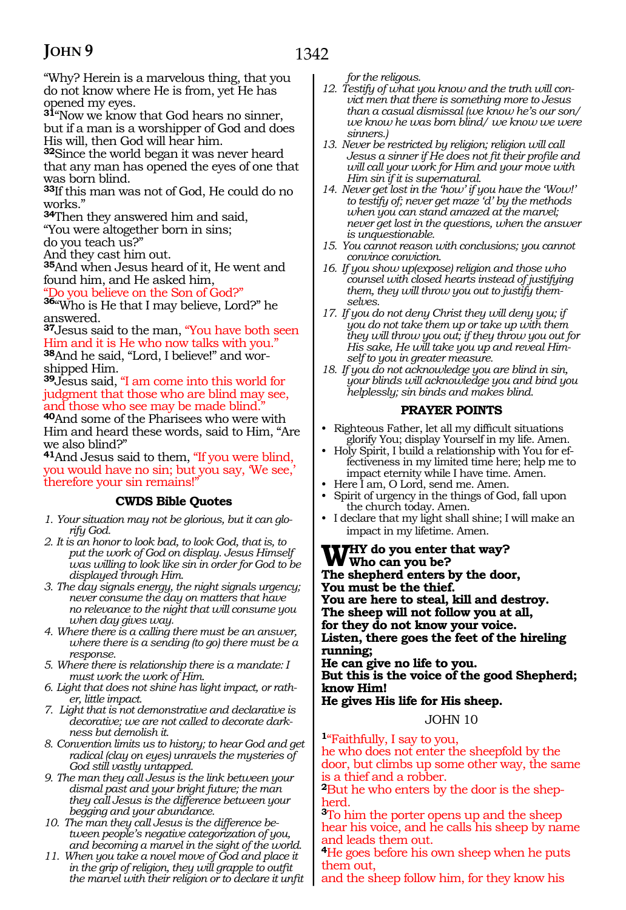"Why? Herein is a marvelous thing, that you do not know where He is from, yet He has opened my eyes.

**<sup>31</sup>**"Now we know that God hears no sinner, but if a man is a worshipper of God and does His will, then God will hear him.

**<sup>32</sup>**Since the world began it was never heard that any man has opened the eyes of one that was born blind.

**<sup>33</sup>**If this man was not of God, He could do no works."

**<sup>34</sup>**Then they answered him and said, "You were altogether born in sins;

do you teach us?"

And they cast him out.

**<sup>35</sup>**And when Jesus heard of it, He went and found him, and He asked him,

"Do you believe on the Son of God?"

**<sup>36</sup>**"Who is He that I may believe, Lord?" he answered.

**<sup>37</sup>**Jesus said to the man, "You have both seen Him and it is He who now talks with you." **38**And he said, "Lord, I believe!" and worshipped Him.

**<sup>39</sup>**Jesus said, "I am come into this world for judgment that those who are blind may see, and those who see may be made blind.

**<sup>40</sup>**And some of the Pharisees who were with Him and heard these words, said to Him, "Are we also blind?"

**<sup>41</sup>**And Jesus said to them, "If you were blind, you would have no sin; but you say, 'We see,' therefore your sin remains!"

#### **CWDS Bible Quotes**

- *1. Your situation may not be glorious, but it can glorify God.*
- *2. It is an honor to look bad, to look God, that is, to put the work of God on display. Jesus Himself was willing to look like sin in order for God to be displayed through Him.*
- *3. The day signals energy, the night signals urgency; never consume the day on matters that have no relevance to the night that will consume you when day gives way.*
- *4. Where there is a calling there must be an answer, where there is a sending (to go) there must be a response.*
- *5. Where there is relationship there is a mandate: I must work the work of Him.*
- *6. Light that does not shine has light impact, or rather, little impact.*
- *7. Light that is not demonstrative and declarative is decorative; we are not called to decorate darkness but demolish it.*
- *8. Convention limits us to history; to hear God and get radical (clay on eyes) unravels the mysteries of God still vastly untapped.*
- *9. The man they call Jesus is the link between your dismal past and your bright future; the man they call Jesus is the difference between your begging and your abundance.*
- *10. The man they call Jesus is the difference between people's negative categorization of you, and becoming a marvel in the sight of the world.*
- *11. When you take a novel move of God and place it in the grip of religion, they will grapple to outfit the marvel with their religion or to declare it unfit*

*for the religous.*

- *12. Testify of what you know and the truth will convict men that there is something more to Jesus than a casual dismissal (we know he's our son/ we know he was born blind/ we know we were sinners.)*
- *13. Never be restricted by religion; religion will call Jesus a sinner if He does not fit their profile and will call your work for Him and your move with Him sin if it is supernatural.*
- *14. Never get lost in the 'how' if you have the 'Wow!' to testify of; never get maze 'd' by the methods when you can stand amazed at the marvel; never get lost in the questions, when the answer is unquestionable.*
- *15. You cannot reason with conclusions; you cannot convince conviction.*
- *16. If you show up(expose) religion and those who counsel with closed hearts instead of justifying them, they will throw you out to justify themselves.*
- *17. If you do not deny Christ they will deny you; if you do not take them up or take up with them they will throw you out; if they throw you out for His sake, He will take you up and reveal Himself to you in greater measure.*
- *18. If you do not acknowledge you are blind in sin, your blinds will acknowledge you and bind you helplessly; sin binds and makes blind.*

#### **PRAYER POINTS**

- Righteous Father, let all my difficult situations glorify You; display Yourself in my life. Amen.
- Holy Spirit, I build a relationship with You for effectiveness in my limited time here; help me to impact eternity while I have time. Amen.
- Here I am, O Lord, send me. Amen.
- Spirit of urgency in the things of God, fall upon the church today. Amen.
- I declare that my light shall shine; I will make an impact in my lifetime. Amen.

**Why do you enter that way? Who can you be? The shepherd enters by the door, You must be the thief. You are here to steal, kill and destroy. The sheep will not follow you at all, for they do not know your voice. Listen, there goes the feet of the hireling running; He can give no life to you. But this is the voice of the good Shepherd; know Him!**

**He gives His life for His sheep.**

JOHN 10

#### **<sup>1</sup>**"Faithfully, I say to you, he who does not enter the sheepfold by the

door, but climbs up some other way, the same is a thief and a robber.

**2**But he who enters by the door is the shepherd.

**<sup>3</sup>**To him the porter opens up and the sheep hear his voice, and he calls his sheep by name and leads them out.

**<sup>4</sup>**He goes before his own sheep when he puts them out,

and the sheep follow him, for they know his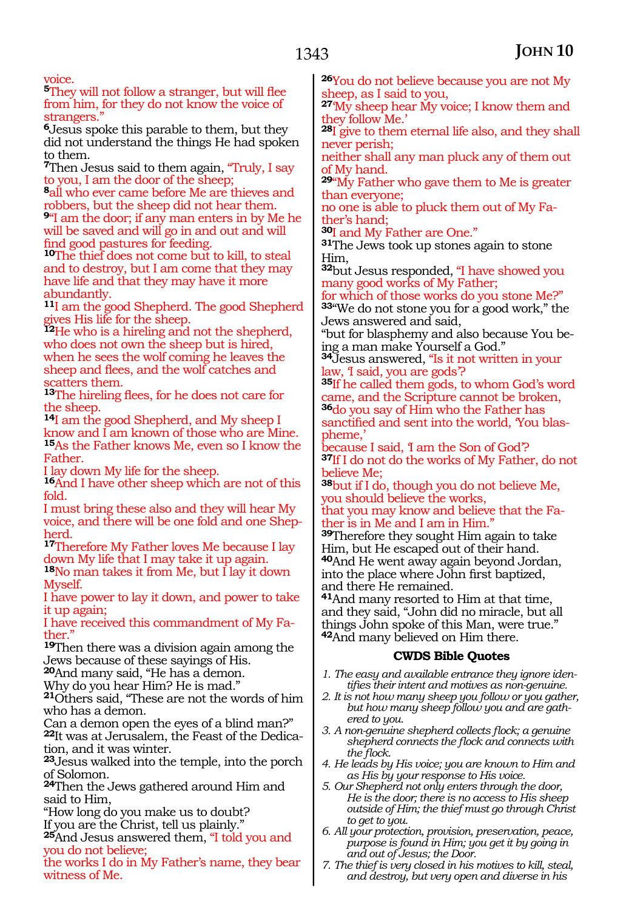voice.

**<sup>5</sup>**They will not follow a stranger, but will flee from him, for they do not know the voice of strangers."

**<sup>6</sup>**Jesus spoke this parable to them, but they did not understand the things He had spoken to them.

**<sup>7</sup>**Then Jesus said to them again, "Truly, I say to you, I am the door of the sheep;

**<sup>8</sup>**all who ever came before Me are thieves and robbers, but the sheep did not hear them.

**<sup>9</sup>**"I am the door; if any man enters in by Me he will be saved and will go in and out and will find good pastures for feeding.

**<sup>10</sup>**The thief does not come but to kill, to steal and to destroy, but I am come that they may have life and that they may have it more abundantly.

**<sup>11</sup>**I am the good Shepherd. The good Shepherd gives His life for the sheep.

**<sup>12</sup>**He who is a hireling and not the shepherd, who does not own the sheep but is hired, when he sees the wolf coming he leaves the sheep and flees, and the wolf catches and scatters them.

**<sup>13</sup>**The hireling flees, for he does not care for the sheep.

**<sup>14</sup>**I am the good Shepherd, and My sheep I know and I am known of those who are Mine. **<sup>15</sup>**As the Father knows Me, even so I know the Father.

I lay down My life for the sheep.

**<sup>16</sup>**And I have other sheep which are not of this fold.

I must bring these also and they will hear My voice, and there will be one fold and one Shepherd.

**<sup>17</sup>**Therefore My Father loves Me because I lay down My life that I may take it up again.

**<sup>18</sup>**No man takes it from Me, but I lay it down Myself.

I have power to lay it down, and power to take it up again;

I have received this commandment of My Fa- ther."

**<sup>19</sup>**Then there was a division again among the Jews because of these sayings of His.

**<sup>20</sup>**And many said, "He has a demon.

Why do you hear Him? He is mad."

**<sup>21</sup>**Others said, "These are not the words of him who has a demon.

Can a demon open the eyes of a blind man?" **22**It was at Jerusalem, the Feast of the Dedication, and it was winter.

**<sup>23</sup>**Jesus walked into the temple, into the porch of Solomon.

**<sup>24</sup>**Then the Jews gathered around Him and said to Him,

"How long do you make us to doubt?

If you are the Christ, tell us plainly."

**<sup>25</sup>**And Jesus answered them, "I told you and you do not believe;

the works I do in My Father's name, they bear witness of Me.

**<sup>26</sup>**You do not believe because you are not My sheep, as I said to you,

**<sup>27</sup>**'My sheep hear My voice; I know them and they follow Me.'

**<sup>28</sup>**I give to them eternal life also, and they shall never perish;

neither shall any man pluck any of them out of My hand.

**<sup>29</sup>**"My Father who gave them to Me is greater than everyone;

no one is able to pluck them out of My Fa-

ther's hand;<br><sup>30</sup>I and My Father are One."

**31**The Jews took up stones again to stone Him,

**<sup>32</sup>**but Jesus responded, "I have showed you many good works of My Father;

for which of those works do you stone Me?" **<sup>33</sup>**"We do not stone you for a good work," the Jews answered and said,

"but for blasphemy and also because You being a man make Yourself a God."

**<sup>34</sup>**Jesus answered, "Is it not written in your law, I said, you are gods?

**<sup>35</sup>**If he called them gods, to whom God's word came, and the Scripture cannot be broken, **<sup>36</sup>**do you say of Him who the Father has sanctified and sent into the world, 'You blaspheme,'

because I said, 'I am the Son of God'? **<sup>37</sup>**If I do not do the works of My Father, do not believe Me;

**<sup>38</sup>**but if I do, though you do not believe Me, you should believe the works,

that you may know and believe that the Fa- ther is in Me and I am in Him."

**<sup>39</sup>**Therefore they sought Him again to take Him, but He escaped out of their hand. **<sup>40</sup>**And He went away again beyond Jordan, into the place where John first baptized, and there He remained.

**<sup>41</sup>**And many resorted to Him at that time, and they said, "John did no miracle, but all things John spoke of this Man, were true." **<sup>42</sup>**And many believed on Him there.

#### **CWDS Bible Quotes**

- *1. The easy and available entrance they ignore identifies their intent and motives as non-genuine.*
- *2. It is not how many sheep you follow or you gather, but how many sheep follow you and are gathered to you.*
- *3. A non-genuine shepherd collects flock; a genuine shepherd connects the flock and connects with the flock.*
- *4. He leads by His voice; you are known to Him and as His by your response to His voice.*
- *5. Our Shepherd not only enters through the door, He is the door; there is no access to His sheep outside of Him; the thief must go through Christ to get to you.*
- *6. All your protection, provision, preservation, peace, purpose is found in Him; you get it by going in and out of Jesus; the Door.*
- *7. The thief is very closed in his motives to kill, steal, and destroy, but very open and diverse in his*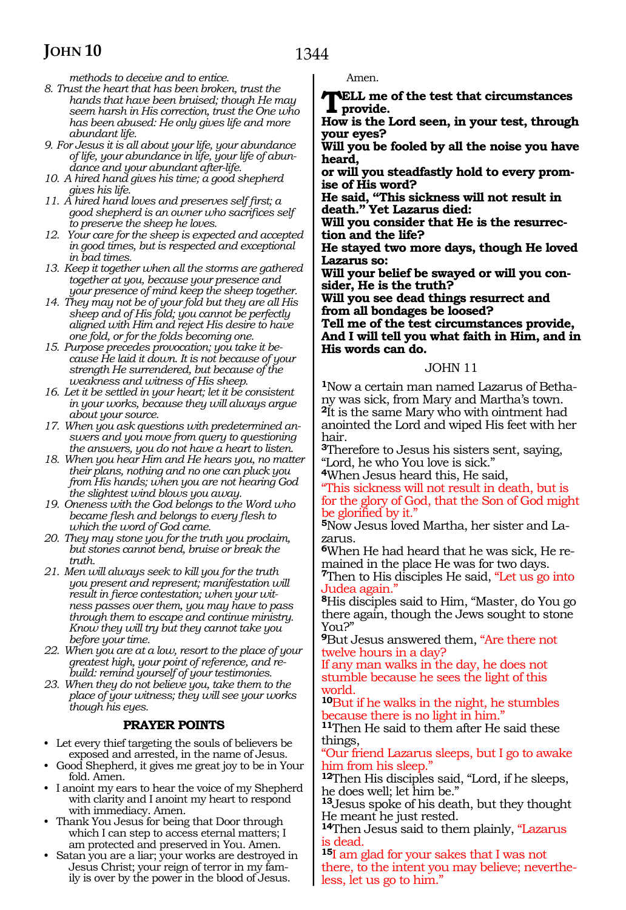1344

*methods to deceive and to entice.*

- *8. Trust the heart that has been broken, trust the hands that have been bruised; though He may seem harsh in His correction, trust the One who has been abused: He only gives life and more abundant life.*
- *9. For Jesus it is all about your life, your abundance of life, your abundance in life, your life of abundance and your abundant after-life.*
- *10. A hired hand gives his time; a good shepherd gives his life.*
- *11. A hired hand loves and preserves self first; a good shepherd is an owner who sacrifices self to preserve the sheep he loves.*
- *12. Your care for the sheep is expected and accepted in good times, but is respected and exceptional in bad times.*
- *13. Keep it together when all the storms are gathered together at you, because your presence and your presence of mind keep the sheep together.*
- *14. They may not be of your fold but they are all His sheep and of His fold; you cannot be perfectly aligned with Him and reject His desire to have one fold, or for the folds becoming one.*
- *15. Purpose precedes provocation; you take it because He laid it down. It is not because of your strength He surrendered, but because of the weakness and witness of His sheep.*
- *16. Let it be settled in your heart; let it be consistent in your works, because they will always argue about your source.*
- *17. When you ask questions with predetermined answers and you move from query to questioning the answers, you do not have a heart to listen.*
- *18. When you hear Him and He hears you, no matter their plans, nothing and no one can pluck you from His hands; when you are not hearing God the slightest wind blows you away.*
- *19. Oneness with the God belongs to the Word who became flesh and belongs to every flesh to which the word of God came.*
- *20. They may stone you for the truth you proclaim, but stones cannot bend, bruise or break the truth.*
- *21. Men will always seek to kill you for the truth you present and represent; manifestation will result in fierce contestation; when your witness passes over them, you may have to pass through them to escape and continue ministry. Know they will try but they cannot take you before your time.*
- *22. When you are at a low, resort to the place of your greatest high, your point of reference, and rebuild: remind yourself of your testimonies.*
- *23. When they do not believe you, take them to the place of your witness; they will see your works though his eyes.*

#### **PRAYER POINTS**

- Let every thief targeting the souls of believers be exposed and arrested, in the name of Jesus.
- Good Shepherd, it gives me great joy to be in Your fold. Amen.
- I anoint my ears to hear the voice of my Shepherd with clarity and I anoint my heart to respond with immediacy. Amen.
- Thank You Jesus for being that Door through which I can step to access eternal matters; I am protected and preserved in You. Amen.
- Satan you are a liar; your works are destroyed in Jesus Christ; your reign of terror in my family is over by the power in the blood of Jesus.

Amen.

**Tell me of the test that circumstances provide.**

**How is the Lord seen, in your test, through your eyes?**

**Will you be fooled by all the noise you have heard,**

**or will you steadfastly hold to every prom ise of His word?**

**He said, "This sickness will not result in death." Yet Lazarus died:**

**Will you consider that He is the resurrec- tion and the life?**

**He stayed two more days, though He loved Lazarus so:**

**Will your belief be swayed or will you con- sider, He is the truth?**

**Will you see dead things resurrect and from all bondages be loosed?**

**Tell me of the test circumstances provide, And I will tell you what faith in Him, and in His words can do.**

#### JOHN 11

**1**Now a certain man named Lazarus of Bethany was sick, from Mary and Martha's town. **<sup>2</sup>**It is the same Mary who with ointment had anointed the Lord and wiped His feet with her hair.

**<sup>3</sup>**Therefore to Jesus his sisters sent, saying, "Lord, he who You love is sick."

**<sup>4</sup>**When Jesus heard this, He said,

"This sickness will not result in death, but is for the glory of God, that the Son of God might be glorified by it."

**<sup>5</sup>**Now Jesus loved Martha, her sister and La- zarus.

**6**When He had heard that he was sick, He remained in the place He was for two days.

**<sup>7</sup>**Then to His disciples He said, "Let us go into Judea again."

**<sup>8</sup>**His disciples said to Him, "Master, do You go there again, though the Jews sought to stone You?"

**<sup>9</sup>**But Jesus answered them, "Are there not twelve hours in a day?

If any man walks in the day, he does not stumble because he sees the light of this world.

**<sup>10</sup>**But if he walks in the night, he stumbles because there is no light in him."

**<sup>11</sup>**Then He said to them after He said these things,

"Our friend Lazarus sleeps, but I go to awake him from his sleep."

**<sup>12</sup>**Then His disciples said, "Lord, if he sleeps, he does well; let him be."

**<sup>13</sup>**Jesus spoke of his death, but they thought He meant he just rested.

**<sup>14</sup>**Then Jesus said to them plainly, "Lazarus is dead.

**<sup>15</sup>**I am glad for your sakes that I was not there, to the intent you may believe; nevertheless, let us go to him."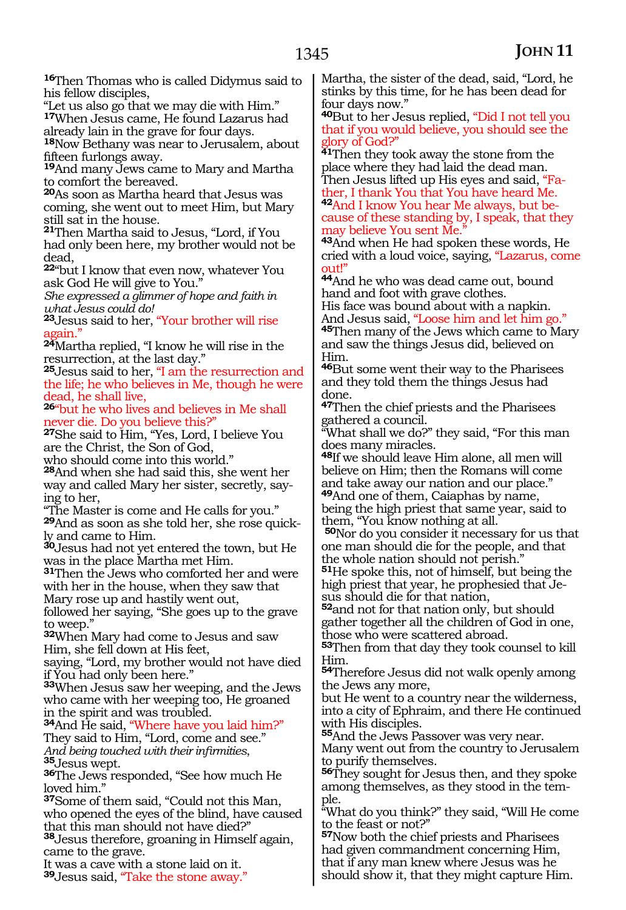**<sup>16</sup>**Then Thomas who is called Didymus said to his fellow disciples,

"Let us also go that we may die with Him." **<sup>17</sup>**When Jesus came, He found Lazarus had already lain in the grave for four days.

**<sup>18</sup>**Now Bethany was near to Jerusalem, about fifteen furlongs away.

**<sup>19</sup>**And many Jews came to Mary and Martha to comfort the bereaved.

**<sup>20</sup>**As soon as Martha heard that Jesus was coming, she went out to meet Him, but Mary still sat in the house.

**<sup>21</sup>**Then Martha said to Jesus, "Lord, if You had only been here, my brother would not be dead,

**<sup>22</sup>**"but I know that even now, whatever You ask God He will give to You."

*She expressed a glimmer of hope and faith in what Jesus could do!*

**<sup>23</sup>**Jesus said to her, "Your brother will rise again.'

**<sup>24</sup>**Martha replied, "I know he will rise in the resurrection, at the last day."

**<sup>25</sup>**Jesus said to her, "I am the resurrection and the life; he who believes in Me, though he were dead, he shall live,

**<sup>26</sup>**"but he who lives and believes in Me shall ever die. Do you believe this?"

**<sup>27</sup>**She said to Him, "Yes, Lord, I believe You are the Christ, the Son of God,

who should come into this world."

**<sup>28</sup>**And when she had said this, she went her way and called Mary her sister, secretly, say- ing to her,

"The Master is come and He calls for you." **29**And as soon as she told her, she rose quickly and came to Him.

**<sup>30</sup>**Jesus had not yet entered the town, but He was in the place Martha met Him.

**<sup>31</sup>**Then the Jews who comforted her and were with her in the house, when they saw that Mary rose up and hastily went out,

followed her saying, "She goes up to the grave to weep."

**<sup>32</sup>**When Mary had come to Jesus and saw Him, she fell down at His feet,

saying, "Lord, my brother would not have died if You had only been here."

**<sup>33</sup>**When Jesus saw her weeping, and the Jews who came with her weeping too, He groaned in the spirit and was troubled.

**<sup>34</sup>**And He said, "Where have you laid him?" They said to Him, "Lord, come and see." *And being touched with their infirmities*, **<sup>35</sup>**Jesus wept. **<sup>36</sup>**The Jews responded, "See how much He

loved him."

**<sup>37</sup>**Some of them said, "Could not this Man, who opened the eyes of the blind, have caused that this man should not have died?"

**<sup>38</sup>**Jesus therefore, groaning in Himself again, came to the grave.

It was a cave with a stone laid on it. **<sup>39</sup>**Jesus said, "Take the stone away." Martha, the sister of the dead, said, "Lord, he stinks by this time, for he has been dead for four days now."

**<sup>40</sup>**But to her Jesus replied, "Did I not tell you that if you would believe, you should see the glory of God?"

**41**Then they took away the stone from the place where they had laid the dead man. Then Jesus lifted up His eyes and said, "Fa-

ther, I thank You that You have heard Me. **42**And I know You hear Me always, but because of these standing by, I speak, that they may believe You sent Me.

**<sup>43</sup>**And when He had spoken these words, He cried with a loud voice, saying, "Lazarus, come out!"

**<sup>44</sup>**And he who was dead came out, bound hand and foot with grave clothes.

His face was bound about with a napkin.<br>And Jesus said, "Loose him and let him go."

**45Then many of the Jews which came to Mary** and saw the things Jesus did, believed on Him.

**<sup>46</sup>**But some went their way to the Pharisees and they told them the things Jesus had done.

**<sup>47</sup>**Then the chief priests and the Pharisees gathered a council.

"What shall we do?" they said, "For this man does many miracles.

**<sup>48</sup>**If we should leave Him alone, all men will believe on Him; then the Romans will come and take away our nation and our place." **<sup>49</sup>**And one of them, Caiaphas by name,

being the high priest that same year, said to them, "You know nothing at all.

**<sup>50</sup>**Nor do you consider it necessary for us that one man should die for the people, and that the whole nation should not perish."

**<sup>51</sup>**He spoke this, not of himself, but being the high priest that year, he prophesied that Je- sus should die for that nation,

**<sup>52</sup>**and not for that nation only, but should gather together all the children of God in one, those who were scattered abroad.

**<sup>53</sup>**Then from that day they took counsel to kill Him.

**<sup>54</sup>**Therefore Jesus did not walk openly among the Jews any more,

but He went to a country near the wilderness, into a city of Ephraim, and there He continued with His disciples.

**<sup>55</sup>**And the Jews Passover was very near.

Many went out from the country to Jerusalem to purify themselves.

**<sup>56</sup>**They sought for Jesus then, and they spoke among themselves, as they stood in the temple.

"What do you think?" they said, "Will He come to the feast or not?"

**<sup>57</sup>**Now both the chief priests and Pharisees had given commandment concerning Him, that if any man knew where Jesus was he should show it, that they might capture Him.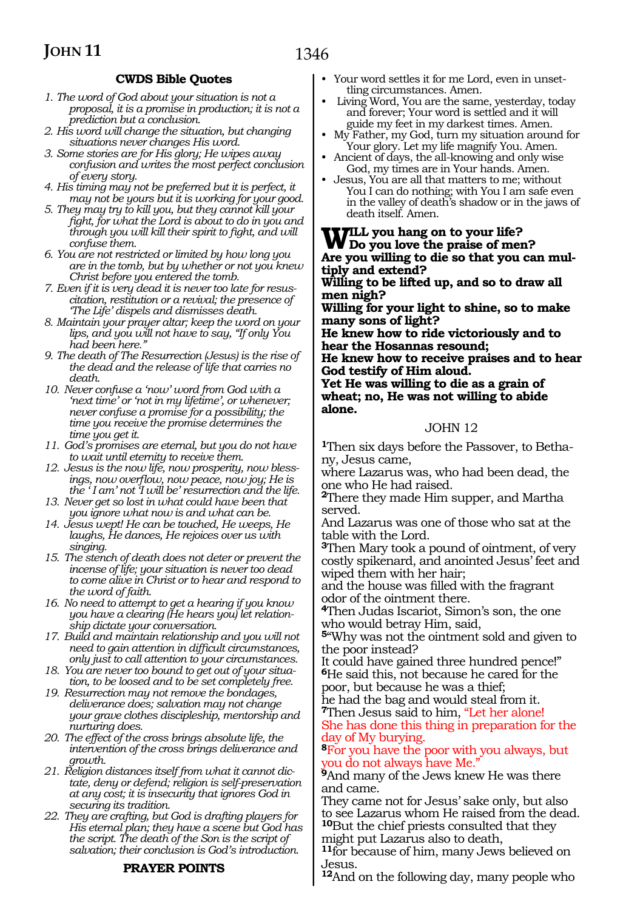#### **CWDS Bible Quotes**

- *1. The word of God about your situation is not a proposal, it is a promise in production; it is not a prediction but a conclusion.*
- *2. His word will change the situation, but changing situations never changes His word.*
- *3. Some stories are for His glory; He wipes away confusion and writes the most perfect conclusion of every story.*
- *4. His timing may not be preferred but it is perfect, it may not be yours but it is working for your good.*
- *5. They may try to kill you, but they cannot kill your fight, for what the Lord is about to do in you and through you will kill their spirit to fight, and will confuse them.*
- *6. You are not restricted or limited by how long you are in the tomb, but by whether or not you knew Christ before you entered the tomb.*
- *7. Even if it is very dead it is never too late for resuscitation, restitution or a revival; the presence of 'The Life' dispels and dismisses death.*
- *8. Maintain your prayer altar; keep the word on your lips, and you will not have to say, "If only You had been here."*
- *9. The death of The Resurrection (Jesus) is the rise of the dead and the release of life that carries no death.*
- *10. Never confuse a 'now' word from God with a 'next time' or 'not in my lifetime', or whenever; never confuse a promise for a possibility; the time you receive the promise determines the time you get it.*
- *11. God's promises are eternal, but you do not have to wait until eternity to receive them.*
- *12. Jesus is the now life, now prosperity, now blessings, now overflow, now peace, now joy; He is the ' I am' not 'I will be' resurrection and the life.*
- *13. Never get so lost in what could have been that you ignore what now is and what can be.*
- *14. Jesus wept! He can be touched, He weeps, He laughs, He dances, He rejoices over us with singing.*
- *15. The stench of death does not deter or prevent the incense of life; your situation is never too dead to come alive in Christ or to hear and respond to the word of faith.*
- *16. No need to attempt to get a hearing if you know you have a clearing (He hears you) let relationship dictate your conversation.*
- *17. Build and maintain relationship and you will not need to gain attention in difficult circumstances, only just to call attention to your circumstances.*
- *18. You are never too bound to get out of your situation, to be loosed and to be set completely free.*
- *19. Resurrection may not remove the bondages, deliverance does; salvation may not change your grave clothes discipleship, mentorship and nurturing does.*
- *20. The effect of the cross brings absolute life, the intervention of the cross brings deliverance and growth.*
- *21. Religion distances itself from what it cannot dictate, deny or defend; religion is self-preservation at any cost; it is insecurity that ignores God in securing its tradition.*
- *22. They are crafting, but God is drafting players for His eternal plan; they have a scene but God has the script. The death of the Son is the script of salvation; their conclusion is God's introduction.*

#### **PRAYER POINTS**

- Your word settles it for me Lord, even in unsettling circumstances. Amen.
- Living Word, You are the same, yesterday, today and forever; Your word is settled and it will guide my feet in my darkest times. Amen.
- My Father, my God, turn my situation around for Your glory. Let my life magnify You. Amen.
- Ancient of days, the all-knowing and only wise God, my times are in Your hands. Amen.
- Jesus, You are all that matters to me; without You I can do nothing; with You I am safe even in the valley of death's shadow or in the jaws of death itself. Amen.

**Will you hang on to your life? Do you love the praise of men? Are you willing to die so that you can mul- tiply and extend?**

**Willing to be lifted up, and so to draw all men nigh?**

**Willing for your light to shine, so to make many sons of light?**

**He knew how to ride victoriously and to hear the Hosannas resound;**

**He knew how to receive praises and to hear God testify of Him aloud.**

**Yet He was willing to die as a grain of wheat; no, He was not willing to abide alone.**

#### JOHN 12

**<sup>1</sup>**Then six days before the Passover, to Betha- ny, Jesus came,

where Lazarus was, who had been dead, the one who He had raised.

**<sup>2</sup>**There they made Him supper, and Martha served.

And Lazarus was one of those who sat at the table with the Lord.

**<sup>3</sup>**Then Mary took a pound of ointment, of very costly spikenard, and anointed Jesus' feet and wiped them with her hair;

and the house was filled with the fragrant odor of the ointment there.

**<sup>4</sup>**Then Judas Iscariot, Simon's son, the one who would betray Him, said,

**<sup>5</sup>**"Why was not the ointment sold and given to the poor instead?

It could have gained three hundred pence!" **<sup>6</sup>**He said this, not because he cared for the poor, but because he was a thief;

he had the bag and would steal from it. **<sup>7</sup>**Then Jesus said to him, "Let her alone! She has done this thing in preparation for the day of My burying.

**<sup>8</sup>**For you have the poor with you always, but you do not always have Me."

<sup>9</sup>And many of the Jews knew He was there and came.

They came not for Jesus' sake only, but also to see Lazarus whom He raised from the dead. **<sup>10</sup>**But the chief priests consulted that they might put Lazarus also to death,

**<sup>11</sup>**for because of him, many Jews believed on Jesus.

**<sup>12</sup>**And on the following day, many people who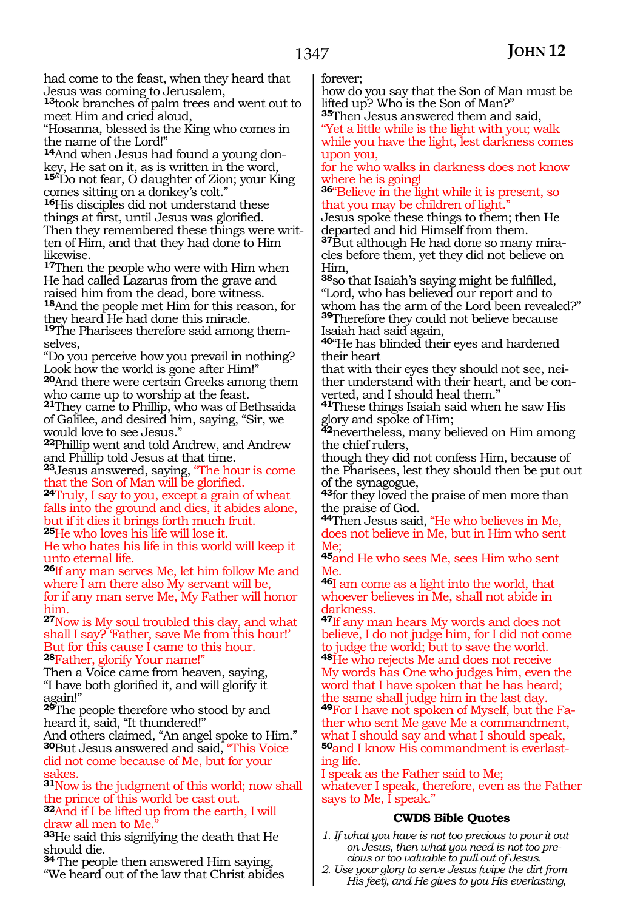had come to the feast, when they heard that Jesus was coming to Jerusalem,

**<sup>13</sup>**took branches of palm trees and went out to meet Him and cried aloud,

"Hosanna, blessed is the King who comes in the name of the Lord!"

**14**And when Jesus had found a young donkey, He sat on it, as is written in the word, **<sup>15</sup>**"Do not fear, O daughter of Zion; your King comes sitting on a donkey's colt."

**<sup>16</sup>**His disciples did not understand these things at first, until Jesus was glorified. ten of Him, and that they had done to Him likewise.

**<sup>17</sup>**Then the people who were with Him when He had called Lazarus from the grave and raised him from the dead, bore witness. **<sup>18</sup>**And the people met Him for this reason, for they heard He had done this miracle.

**19**The Pharisees therefore said among themselves,

"Do you perceive how you prevail in nothing? Look how the world is gone after Him!" **<sup>20</sup>**And there were certain Greeks among them who came up to worship at the feast.

**<sup>21</sup>**They came to Phillip, who was of Bethsaida of Galilee, and desired him, saying, "Sir, we would love to see Jesus."

**<sup>22</sup>**Phillip went and told Andrew, and Andrew and Phillip told Jesus at that time.

**<sup>23</sup>**Jesus answered, saying, "The hour is come

<sup>24</sup>Truly, I say to you, except a grain of wheat falls into the ground and dies, it abides alone, but if it dies it brings forth much fruit. **<sup>25</sup>**He who loves his life will lose it.

He who hates his life in this world will keep it unto eternal life.

**<sup>26</sup>**If any man serves Me, let him follow Me and where I am there also My servant will be, for if any man serve Me, My Father will honor him.

**<sup>27</sup>**Now is My soul troubled this day, and what shall I say? 'Father, save Me from this hour!' But for this cause I came to this hour. **<sup>28</sup>**Father, glorify Your name!"

Then a Voice came from heaven, saying, "I have both glorified it, and will glorify it again!"

**<sup>29</sup>**The people therefore who stood by and heard it, said, "It thundered!"

And others claimed, "An angel spoke to Him." **<sup>30</sup>**But Jesus answered and said, "This Voice did not come because of Me, but for your sakes.

**<sup>31</sup>**Now is the judgment of this world; now shall the prince of this world be cast out. **<sup>32</sup>**And if I be lifted up from the earth, I will draw all men to Me

**<sup>33</sup>**He said this signifying the death that He should die.

**<sup>34</sup>** The people then answered Him saying, "We heard out of the law that Christ abides forever;

how do you say that the Son of Man must be lifted up? Who is the Son of Man?"

**<sup>35</sup>**Then Jesus answered them and said, "Yet a little while is the light with you; walk

while you have the light, lest darkness comes upon you,

for he who walks in darkness does not know where he is going!

**<sup>36</sup>**"Believe in the light while it is present, so that you may be children of light."

Jesus spoke these things to them; then He departed and hid Himself from them.

**<sup>37</sup>**But although He had done so many mira- cles before them, yet they did not believe on Him,

**<sup>38</sup>**so that Isaiah's saying might be fulfilled, "Lord, who has believed our report and to whom has the arm of the Lord been revealed?" **<sup>39</sup>**Therefore they could not believe because Isaiah had said again,

**<sup>40</sup>**"He has blinded their eyes and hardened their heart

that with their eyes they should not see, neither understand with their heart, and be converted, and I should heal them."

**<sup>41</sup>**These things Isaiah said when he saw His glory and spoke of Him;

**<sup>42</sup>**nevertheless, many believed on Him among the chief rulers,

though they did not confess Him, because of the Pharisees, lest they should then be put out of the synagogue,

**<sup>43</sup>**for they loved the praise of men more than the praise of God.

**<sup>44</sup>**Then Jesus said, "He who believes in Me, does not believe in Me, but in Him who sent Me;

**<sup>45</sup>**and He who sees Me, sees Him who sent Me.

**<sup>46</sup>**I am come as a light into the world, that whoever believes in Me, shall not abide in darkness.

**<sup>47</sup>**If any man hears My words and does not believe, I do not judge him, for I did not come to judge the world; but to save the world. **<sup>48</sup>**He who rejects Me and does not receive My words has One who judges him, even the word that I have spoken that he has heard; the same shall judge him in the last day. **<sup>49</sup>**For I have not spoken of Myself, but the Fa- ther who sent Me gave Me a commandment, what I should say and what I should speak, **50**and I know His commandment is everlasting life.

I speak as the Father said to Me; whatever I speak, therefore, even as the Father says to Me,  $\hat{I}$  speak."

#### **CWDS Bible Quotes**

*1. If what you have is not too precious to pour it out on Jesus, then what you need is not too precious or too valuable to pull out of Jesus.*

*2. Use your glory to serve Jesus (wipe the dirt from His feet), and He gives to you His everlasting,*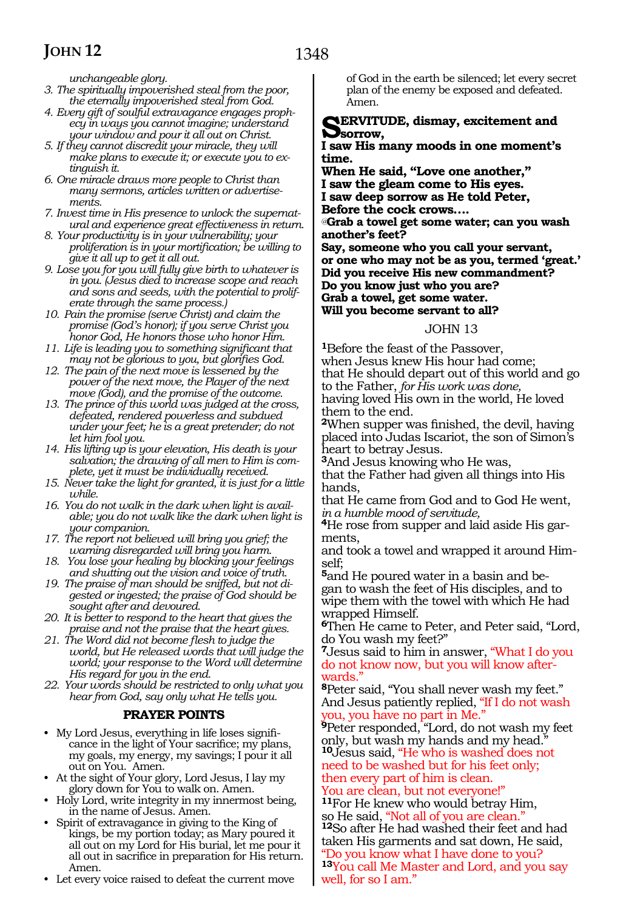*unchangeable glory.*

- *3. The spiritually impoverished steal from the poor, the eternally impoverished steal from God.*
- *4. Every gift of soulful extravagance engages prophecy in ways you cannot imagine; understand your window and pour it all out on Christ.*
- *5. If they cannot discredit your miracle, they will make plans to execute it; or execute you to extinguish it.*
- *6. One miracle draws more people to Christ than many sermons, articles written or advertisements.*
- *7. Invest time in His presence to unlock the supernatural and experience great effectiveness in return.*
- *8. Your productivity is in your vulnerability; your proliferation is in your mortification; be willing to give it all up to get it all out.*
- *9. Lose you for you will fully give birth to whatever is in you. (Jesus died to increase scope and reach and sons and seeds, with the potential to proliferate through the same process.)*
- *10. Pain the promise (serve Christ) and claim the promise (God's honor); if you serve Christ you honor God, He honors those who honor Him.*
- *11. Life is leading you to something significant that may not be glorious to you, but glorifies God.*
- *12. The pain of the next move is lessened by the power of the next move, the Player of the next move (God), and the promise of the outcome.*
- *13. The prince of this world was judged at the cross, defeated, rendered powerless and subdued under your feet; he is a great pretender; do not let him fool you.*
- *14. His lifting up is your elevation, His death is your salvation; the drawing of all men to Him is complete, yet it must be individually received.*
- *15. Never take the light for granted, it is just for a little while.*
- *16. You do not walk in the dark when light is available; you do not walk like the dark when light is your companion.*
- *17. The report not believed will bring you grief; the warning disregarded will bring you harm.*
- *18. You lose your healing by blocking your feelings and shutting out the vision and voice of truth.*
- *19. The praise of man should be sniffed, but not digested or ingested; the praise of God should be sought after and devoured.*
- *20. It is better to respond to the heart that gives the praise and not the praise that the heart gives.*
- *21. The Word did not become flesh to judge the world, but He released words that will judge the world; your response to the Word will determine His regard for you in the end.*
- *22. Your words should be restricted to only what you hear from God, say only what He tells you.*

#### **PRAYER POINTS**

- My Lord Jesus, everything in life loses significance in the light of Your sacrifice; my plans, my goals, my energy, my savings; I pour it all out on You. Amen.
- At the sight of Your glory, Lord Jesus, I lay my glory down for You to walk on. Amen.
- Holy Lord, write integrity in my innermost being, in the name of Jesus. Amen.
- Spirit of extravagance in giving to the King of kings, be my portion today; as Mary poured it all out on my Lord for His burial, let me pour it all out in sacrifice in preparation for His return. Amen.
- Let every voice raised to defeat the current move

of God in the earth be silenced; let every secret plan of the enemy be exposed and defeated. Amen.

#### **SERVITUDE, dismay, excitement and sorrow,**

#### **I saw His many moods in one moment's time.**

**When He said, "Love one another," I saw the gleam come to His eyes. I saw deep sorrow as He told Peter, Before the cock crows….**

*@***Grab a towel get some water; can you wash another's feet?**

**Say, someone who you call your servant, or one who may not be as you, termed 'great.' Did you receive His new commandment? Do you know just who you are? Grab a towel, get some water. Will you become servant to all?**

#### JOHN 13

**<sup>1</sup>**Before the feast of the Passover, when Jesus knew His hour had come; that He should depart out of this world and go to the Father, *for His work was done,* having loved His own in the world, He loved them to the end.

**<sup>2</sup>**When supper was finished, the devil, having placed into Judas Iscariot, the son of Simon's heart to betray Jesus.

**<sup>3</sup>**And Jesus knowing who He was, that the Father had given all things into His hands,

that He came from God and to God He went, *in a humble mood of servitude,*

**4**He rose from supper and laid aside His garments,

and took a towel and wrapped it around Himself;

**5**and He poured water in a basin and began to wash the feet of His disciples, and to wipe them with the towel with which He had wrapped Himself.

**<sup>6</sup>**Then He came to Peter, and Peter said, "Lord, do You wash my feet?"

**<sup>7</sup>**Jesus said to him in answer, "What I do you do not know now, but you will know afterwards."

**<sup>8</sup>**Peter said, "You shall never wash my feet." And Jesus patiently replied, "If I do not wash you, you have no part in Me."

**<sup>9</sup>**Peter responded, "Lord, do not wash my feet only, but wash my hands and my head." **<sup>10</sup>**Jesus said, "He who is washed does not

need to be washed but for his feet only; then every part of him is clean.

You are clean, but not everyone!"

<sup>11</sup>For He knew who would betray Him, so He said, "Not all of you are clean."

<sup>12</sup>So after He had washed their feet and had taken His garments and sat down, He said, "Do you know what I have done to you?

**<sup>13</sup>**You call Me Master and Lord, and you say well, for so I am."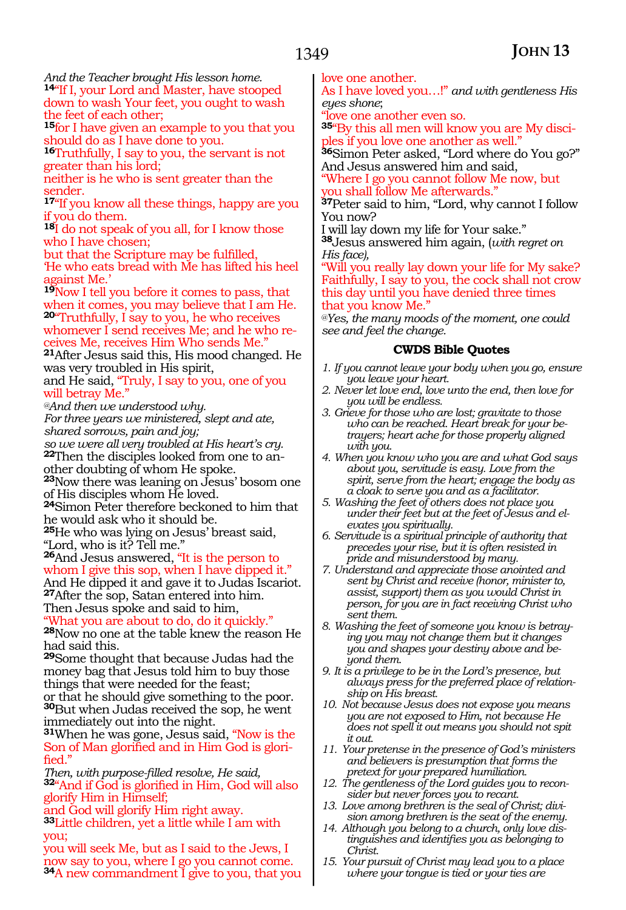*And the Teacher brought His lesson home.* **<sup>14</sup>**"If I, your Lord and Master, have stooped down to wash Your feet, you ought to wash the feet of each other;

**<sup>15</sup>**for I have given an example to you that you should do as I have done to you.

**<sup>16</sup>**Truthfully, I say to you, the servant is not greater than his lord;

neither is he who is sent greater than the sender.

**<sup>17</sup>**"If you know all these things, happy are you if you do them.

**<sup>18</sup>**I do not speak of you all, for I know those who I have chosen;

but that the Scripture may be fulfilled, 'He who eats bread with Me has lifted his heel against Me.'

**<sup>19</sup>**Now I tell you before it comes to pass, that when it comes, you may believe that I am He. **<sup>20</sup>**"Truthfully, I say to you, he who receives whomever I send receives Me; and he who receives Me, receives Him Who sends Me."

**<sup>21</sup>**After Jesus said this, His mood changed. He was very troubled in His spirit,

and He said, "Truly, I say to you, one of you will betray Me."

*@And then we understood why.* 

*For three years we ministered, slept and ate, shared sorrows, pain and joy;*

*so we were all very troubled at His heart's cry.* **22**Then the disciples looked from one to another doubting of whom He spoke.

**<sup>23</sup>**Now there was leaning on Jesus' bosom one of His disciples whom He loved.

**<sup>24</sup>**Simon Peter therefore beckoned to him that he would ask who it should be.

**<sup>25</sup>**He who was lying on Jesus' breast said, "Lord, who is it? Tell me."

**<sup>26</sup>**And Jesus answered, "It is the person to whom I give this sop, when I have dipped it."

And He dipped it and gave it to Judas Iscariot. **<sup>27</sup>**After the sop, Satan entered into him. Then Jesus spoke and said to him,

"What you are about to do, do it quickly." **<sup>28</sup>**Now no one at the table knew the reason He had said this.

**<sup>29</sup>**Some thought that because Judas had the money bag that Jesus told him to buy those things that were needed for the feast; or that he should give something to the poor. **<sup>30</sup>**But when Judas received the sop, he went immediately out into the night.

**<sup>31</sup>**When he was gone, Jesus said, "Now is the Son of Man glorified and in Him God is glorified."

*Then, with purpose-filled resolve, He said,* **<sup>32</sup>**"And if God is glorified in Him, God will also glorify Him in Himself;

and God will glorify Him right away.

**<sup>33</sup>**Little children, yet a little while I am with you;

you will seek Me, but as I said to the Jews, I now say to you, where I go you cannot come. **<sup>34</sup>**A new commandment I give to you, that you love one another.

As I have loved you…!" *and with gentleness His eyes shone*;

"love one another even so.

**<sup>35</sup>**"By this all men will know you are My disci- ples if you love one another as well."

**<sup>36</sup>**Simon Peter asked, "Lord where do You go?" And Jesus answered him and said,

"Where I go you cannot follow Me now, but you shall follow Me afterwards."

**<sup>37</sup>**Peter said to him, "Lord, why cannot I follow You now?

I will lay down my life for Your sake."

**<sup>38</sup>**Jesus answered him again, (*with regret on His face),*

"Will you really lay down your life for My sake? Faithfully, I say to you, the cock shall not crow this day until you have denied three times that you know Me."

*@Yes, the many moods of the moment, one could see and feel the change.*

#### **CWDS Bible Quotes**

- *1. If you cannot leave your body when you go, ensure you leave your heart.*
- *2. Never let love end, love unto the end, then love for you will be endless.*
- *3. Grieve for those who are lost; gravitate to those who can be reached. Heart break for your betrayers; heart ache for those properly aligned with you.*
- *4. When you know who you are and what God says about you, servitude is easy. Love from the spirit, serve from the heart; engage the body as a cloak to serve you and as a facilitator.*
- *5. Washing the feet of others does not place you under their feet but at the feet of Jesus and elevates you spiritually.*
- *6. Servitude is a spiritual principle of authority that precedes your rise, but it is often resisted in pride and misunderstood by many.*
- *7. Understand and appreciate those anointed and sent by Christ and receive (honor, minister to, assist, support) them as you would Christ in person, for you are in fact receiving Christ who sent them.*
- *8. Washing the feet of someone you know is betraying you may not change them but it changes you and shapes your destiny above and beyond them.*
- *9. It is a privilege to be in the Lord's presence, but always press for the preferred place of relationship on His breast.*
- *10. Not because Jesus does not expose you means you are not exposed to Him, not because He does not spell it out means you should not spit it out.*
- *11. Your pretense in the presence of God's ministers and believers is presumption that forms the pretext for your prepared humiliation.*
- *12. The gentleness of the Lord guides you to reconsider but never forces you to recant.*
- *13. Love among brethren is the seal of Christ; division among brethren is the seat of the enemy.*
- *14. Although you belong to a church, only love distinguishes and identifies you as belonging to Christ.*
- *15. Your pursuit of Christ may lead you to a place where your tongue is tied or your ties are*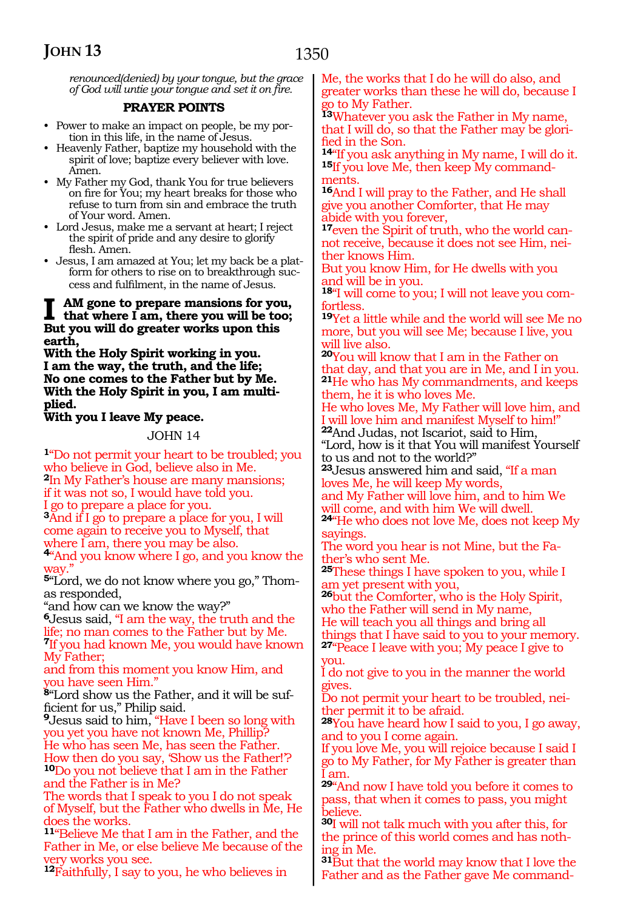*renounced(denied) by your tongue, but the grace of God will untie your tongue and set it on fire.* 

#### **PRAYER POINTS**

- Power to make an impact on people, be my portion in this life, in the name of Jesus.
- Heavenly Father, baptize my household with the spirit of love; baptize every believer with love. Amen.
- My Father my God, thank You for true believers on fire for You; my heart breaks for those who refuse to turn from sin and embrace the truth of Your word. Amen.
- Lord Jesus, make me a servant at heart; I reject the spirit of pride and any desire to glorify flesh. Amen.
- Jesus, I am amazed at You; let my back be a platform for others to rise on to breakthrough success and fulfilment, in the name of Jesus.

### **I** AM gone to prepare mansions for you,<br>that where I am, there you will be too;<br>But way will do graphe wealth was this **But you will do greater works upon this earth,**

**With the Holy Spirit working in you. I am the way, the truth, and the life; No one comes to the Father but by Me. With the Holy Spirit in you, I am multi- plied.**

#### **With you I leave My peace.**

#### JOHN 14

**<sup>1</sup>**"Do not permit your heart to be troubled; you who believe in God, believe also in Me. **<sup>2</sup>**In My Father's house are many mansions; if it was not so, I would have told you. I go to prepare a place for you. **<sup>3</sup>**And if I go to prepare a place for you, I will come again to receive you to Myself, that where I am, there you may be also. **<sup>4</sup>**"And you know where I go, and you know the way. **5**"Lord, we do not know where you go," Thomas responded, "and how can we know the way?" **<sup>6</sup>**Jesus said, "I am the way, the truth and the life; no man comes to the Father but by Me. **<sup>7</sup>**If you had known Me, you would have known My Father; and from this moment you know Him, and you have seen Him." **8**"Lord show us the Father, and it will be sufficient for us," Philip said. **<sup>9</sup>**Jesus said to him, "Have I been so long with you yet you have not known Me, Phillip? He who has seen Me, has seen the Father. How then do you say, 'Show us the Father!'? **<sup>10</sup>**Do you not believe that I am in the Father

and the Father is in Me? The words that I speak to you I do not speak of Myself, but the Father who dwells in Me, He does the works.

**<sup>11</sup>**"Believe Me that I am in the Father, and the Father in Me, or else believe Me because of the very works you see.

**<sup>12</sup>**Faithfully, I say to you, he who believes in

Me, the works that I do he will do also, and greater works than these he will do, because I go to My Father.

**<sup>13</sup>**Whatever you ask the Father in My name, that I will do, so that the Father may be glorified in the Son.

**<sup>14</sup>**"If you ask anything in My name, I will do it. **15**If you love Me, then keep My commandments.

**<sup>16</sup>**And I will pray to the Father, and He shall give you another Comforter, that He may abide with you forever,

**17**even the Spirit of truth, who the world cannot receive, because it does not see Him, neither knows Him.

But you know Him, for He dwells with you and will be in you.

**18**"I will come to you; I will not leave you comfortless.

**<sup>19</sup>**Yet a little while and the world will see Me no more, but you will see Me; because I live, you will live also.

**<sup>20</sup>**You will know that I am in the Father on that day, and that you are in Me, and I in you. **<sup>21</sup>**He who has My commandments, and keeps them, he it is who loves Me.

He who loves Me, My Father will love him, and I will love him and manifest Myself to him!"

**<sup>22</sup>**And Judas, not Iscariot, said to Him, "Lord, how is it that You will manifest Yourself to us and not to the world?"

**<sup>23</sup>**Jesus answered him and said, "If a man loves Me, he will keep My words,

and My Father will love him, and to him We will come, and with him We will dwell.

**<sup>24</sup>**"He who does not love Me, does not keep My sayings.

The word you hear is not Mine, but the Fa- ther's who sent Me.

**<sup>25</sup>**These things I have spoken to you, while I am yet present with you,

**<sup>26</sup>**but the Comforter, who is the Holy Spirit, who the Father will send in My name, He will teach you all things and bring all

things that I have said to you to your memory. **<sup>27</sup>**"Peace I leave with you; My peace I give to

you.

I do not give to you in the manner the world gives.

Do not permit your heart to be troubled, neither permit it to be afraid.

**<sup>28</sup>**You have heard how I said to you, I go away, and to you I come again.

If you love Me, you will rejoice because I said I go to My Father, for My Father is greater than am.

**<sup>29</sup>**"And now I have told you before it comes to pass, that when it comes to pass, you might believe.

**<sup>30</sup>**I will not talk much with you after this, for the prince of this world comes and has nothing in Me.

**<sup>31</sup>**But that the world may know that I love the Father and as the Father gave Me command-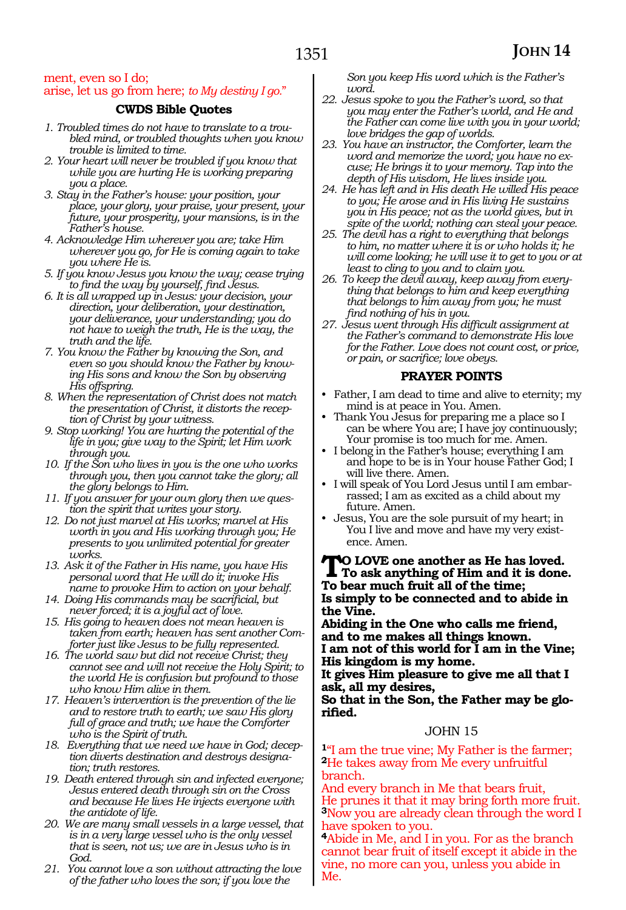#### ment, even so I do; arise, let us go from here; *to My destiny I go.*"

#### **CWDS Bible Quotes**

- *1. Troubled times do not have to translate to a troubled mind, or troubled thoughts when you know trouble is limited to time.*
- *2. Your heart will never be troubled if you know that while you are hurting He is working preparing you a place.*
- *3. Stay in the Father's house: your position, your place, your glory, your praise, your present, your future, your prosperity, your mansions, is in the Father's house.*
- *4. Acknowledge Him wherever you are; take Him wherever you go, for He is coming again to take you where He is.*
- *5. If you know Jesus you know the way; cease trying to find the way by yourself, find Jesus.*
- *6. It is all wrapped up in Jesus: your decision, your direction, your deliberation, your destination, your deliverance, your understanding; you do not have to weigh the truth, He is the way, the truth and the life.*
- *7. You know the Father by knowing the Son, and even so you should know the Father by knowing His sons and know the Son by observing His offspring.*
- *8. When the representation of Christ does not match the presentation of Christ, it distorts the reception of Christ by your witness.*
- *9. Stop working! You are hurting the potential of the life in you; give way to the Spirit; let Him work through you.*
- *10. If the Son who lives in you is the one who works through you, then you cannot take the glory; all the glory belongs to Him.*
- *11. If you answer for your own glory then we question the spirit that writes your story.*
- *12. Do not just marvel at His works; marvel at His worth in you and His working through you; He presents to you unlimited potential for greater works.*
- *13. Ask it of the Father in His name, you have His personal word that He will do it; invoke His name to provoke Him to action on your behalf.*
- *14. Doing His commands may be sacrificial, but never forced; it is a joyful act of love.*
- *15. His going to heaven does not mean heaven is taken from earth; heaven has sent another Comforter just like Jesus to be fully represented.*
- *16. The world saw but did not receive Christ; they cannot see and will not receive the Holy Spirit; to the world He is confusion but profound to those who know Him alive in them.*
- *17. Heaven's intervention is the prevention of the lie and to restore truth to earth; we saw His glory full of grace and truth; we have the Comforter who is the Spirit of truth.*
- *18. Everything that we need we have in God; deception diverts destination and destroys designation; truth restores.*
- *19. Death entered through sin and infected everyone; Jesus entered death through sin on the Cross and because He lives He injects everyone with the antidote of life.*
- *20. We are many small vessels in a large vessel, that is in a very large vessel who is the only vessel that is seen, not us; we are in Jesus who is in God.*
- *21. You cannot love a son without attracting the love of the father who loves the son; if you love the*

*Son you keep His word which is the Father's word.*

- *22. Jesus spoke to you the Father's word, so that you may enter the Father's world, and He and the Father can come live with you in your world; love bridges the gap of worlds.*
- *23. You have an instructor, the Comforter, learn the word and memorize the word; you have no excuse; He brings it to your memory. Tap into the depth of His wisdom, He lives inside you.*
- *24. He has left and in His death He willed His peace to you; He arose and in His living He sustains you in His peace; not as the world gives, but in spite of the world; nothing can steal your peace.*
- *25. The devil has a right to everything that belongs to him, no matter where it is or who holds it; he will come looking; he will use it to get to you or at least to cling to you and to claim you.*
- *26. To keep the devil away, keep away from everything that belongs to him and keep everything that belongs to him away from you; he must find nothing of his in you.*
- *27. Jesus went through His difficult assignment at the Father's command to demonstrate His love for the Father. Love does not count cost, or price, or pain, or sacrifice; love obeys.*

#### **PRAYER POINTS**

- Father, I am dead to time and alive to eternity; my mind is at peace in You. Amen.
- Thank You Jesus for preparing me a place so I can be where You are; I have joy continuously; Your promise is too much for me. Amen.
- I belong in the Father's house; everything I am and hope to be is in Your house Father God; I will live there. Amen.
- I will speak of You Lord Jesus until I am embarrassed; I am as excited as a child about my future. Amen.
- Jesus, You are the sole pursuit of my heart; in You I live and move and have my very existence. Amen.

**TO LOVE one another as He has loved.**<br>To ask anything of Him and it is done. **To bear much fruit all of the time; Is simply to be connected and to abide in the Vine.**

**Abiding in the One who calls me friend, and to me makes all things known. I am not of this world for I am in the Vine; His kingdom is my home.**

**It gives Him pleasure to give me all that I ask, all my desires,**

**So that in the Son, the Father may be glorified.**

#### JOHN 15

**<sup>1</sup>**"I am the true vine; My Father is the farmer; **<sup>2</sup>**He takes away from Me every unfruitful branch.

And every branch in Me that bears fruit, He prunes it that it may bring forth more fruit. **<sup>3</sup>**Now you are already clean through the word I have spoken to you.

**<sup>4</sup>**Abide in Me, and I in you. For as the branch cannot bear fruit of itself except it abide in the vine, no more can you, unless you abide in Me.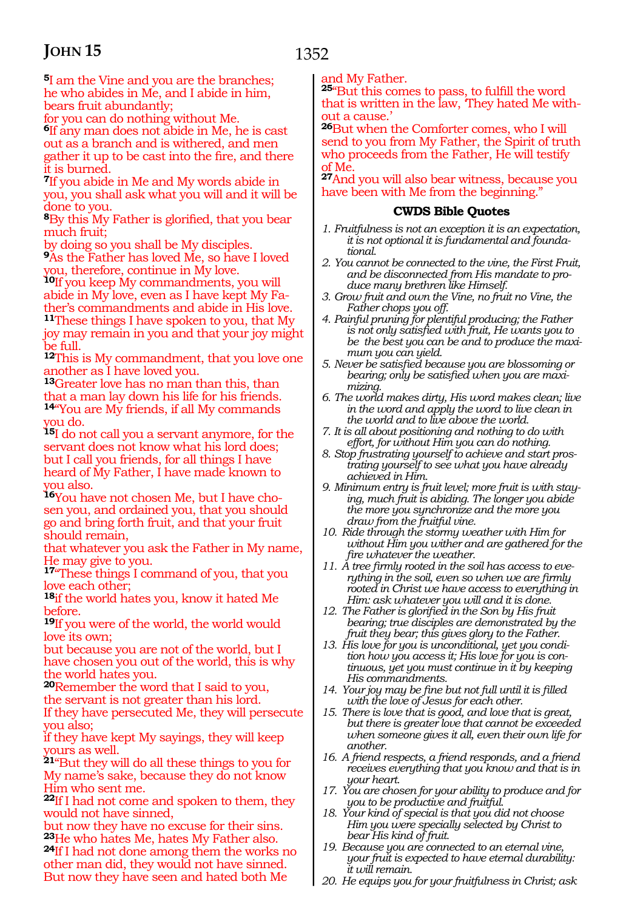1352

**<sup>5</sup>**I am the Vine and you are the branches; he who abides in Me, and I abide in him, bears fruit abundantly;

for you can do nothing without Me.

**<sup>6</sup>**If any man does not abide in Me, he is cast out as a branch and is withered, and men gather it up to be cast into the fire, and there it is burned.

**<sup>7</sup>**If you abide in Me and My words abide in you, you shall ask what you will and it will be done to you.

**<sup>8</sup>**By this My Father is glorified, that you bear much fruit;

by doing so you shall be My disciples. **<sup>9</sup>**As the Father has loved Me, so have I loved you, therefore, continue in My love.

**<sup>10</sup>**If you keep My commandments, you will abide in My love, even as I have kept My Father's commandments and abide in His love. **<sup>11</sup>**These things I have spoken to you, that My joy may remain in you and that your joy might be full.

**<sup>12</sup>**This is My commandment, that you love one another as I have loved you.

**<sup>13</sup>**Greater love has no man than this, than that a man lay down his life for his friends. **<sup>14</sup>**"You are My friends, if all My commands you do.

**<sup>15</sup>**I do not call you a servant anymore, for the servant does not know what his lord does; but I call you friends, for all things I have heard of My Father, I have made known to you also.

**16**You have not chosen Me, but I have chosen you, and ordained you, that you should go and bring forth fruit, and that your fruit should remain,

that whatever you ask the Father in My name, He may give to you.

**<sup>17</sup>**"These things I command of you, that you love each other;

**<sup>18</sup>**if the world hates you, know it hated Me before.

**<sup>19</sup>**If you were of the world, the world would love its own;

but because you are not of the world, but I have chosen you out of the world, this is why the world hates you.

**<sup>20</sup>**Remember the word that I said to you,

the servant is not greater than his lord. If they have persecuted Me, they will persecute you also;

if they have kept My sayings, they will keep yours as well.

**<sup>21</sup>**"But they will do all these things to you for My name's sake, because they do not know Him who sent me.

**<sup>22</sup>**If I had not come and spoken to them, they would not have sinned,

but now they have no excuse for their sins. **<sup>23</sup>**He who hates Me, hates My Father also. **24**If I had not done among them the works no other man did, they would not have sinned. But now they have seen and hated both Me

and My Father.

**<sup>25</sup>**"But this comes to pass, to fulfill the word that is written in the law, 'They hated Me without a cause.'

**<sup>26</sup>**But when the Comforter comes, who I will send to you from My Father, the Spirit of truth who proceeds from the Father, He will testify of Me.

**<sup>27</sup>**And you will also bear witness, because you have been with Me from the beginning."

#### **CWDS Bible Quotes**

- *1. Fruitfulness is not an exception it is an expectation, it is not optional it is fundamental and foundational.*
- *2. You cannot be connected to the vine, the First Fruit, and be disconnected from His mandate to produce many brethren like Himself.*
- *3. Grow fruit and own the Vine, no fruit no Vine, the Father chops you off.*
- *4. Painful pruning for plentiful producing; the Father is not only satisfied with fruit, He wants you to be the best you can be and to produce the maximum you can yield.*
- *5. Never be satisfied because you are blossoming or bearing; only be satisfied when you are maximizing.*
- *6. The world makes dirty, His word makes clean; live in the word and apply the word to live clean in the world and to live above the world.*
- *7. It is all about positioning and nothing to do with effort, for without Him you can do nothing.*
- *8. Stop frustrating yourself to achieve and start prostrating yourself to see what you have already achieved in Him.*
- *9. Minimum entry is fruit level; more fruit is with staying, much fruit is abiding. The longer you abide the more you synchronize and the more you draw from the fruitful vine.*

*10. Ride through the stormy weather with Him for without Him you wither and are gathered for the fire whatever the weather.* 

- *11. A tree firmly rooted in the soil has access to everything in the soil, even so when we are firmly rooted in Christ we have access to everything in Him: ask whatever you will and it is done.*
- *12. The Father is glorified in the Son by His fruit bearing; true disciples are demonstrated by the fruit they bear; this gives glory to the Father.*
- *13. His love for you is unconditional, yet you condition how you access it; His love for you is continuous, yet you must continue in it by keeping His commandments.*
- *14. Your joy may be fine but not full until it is filled with the love of Jesus for each other.*
- *15. There is love that is good, and love that is great, but there is greater love that cannot be exceeded when someone gives it all, even their own life for another.*
- *16. A friend respects, a friend responds, and a friend receives everything that you know and that is in your heart.*
- *17. You are chosen for your ability to produce and for you to be productive and fruitful.*
- *18. Your kind of special is that you did not choose Him you were specially selected by Christ to bear His kind of fruit.*
- *19. Because you are connected to an eternal vine, your fruit is expected to have eternal durability: it will remain.*
- *20. He equips you for your fruitfulness in Christ; ask*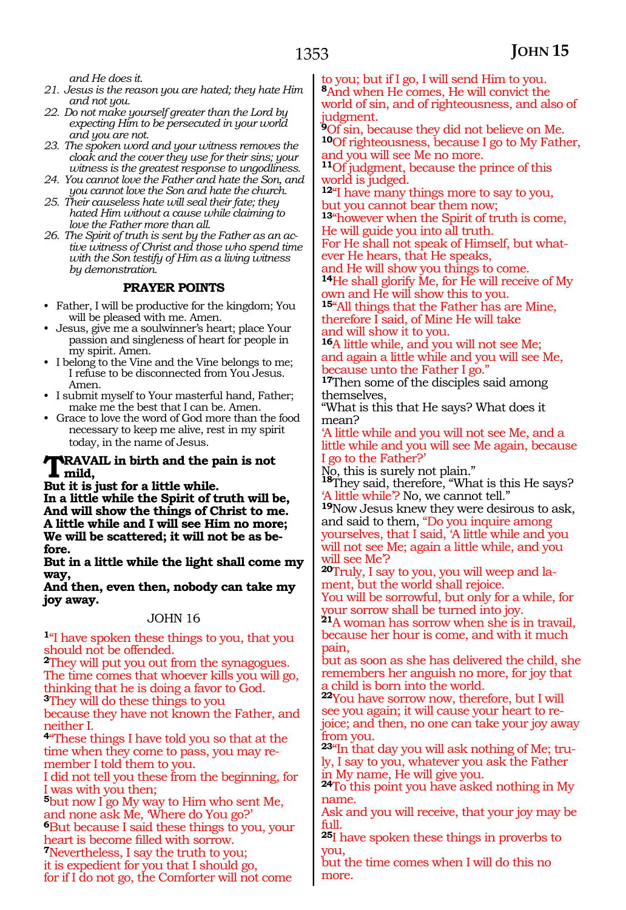*and He does it.*

- *21. Jesus is the reason you are hated; they hate Him and not you.*
- *22. Do not make yourself greater than the Lord by expecting Him to be persecuted in your world and you are not.*
- *23. The spoken word and your witness removes the cloak and the cover they use for their sins; your witness is the greatest response to ungodliness.*
- *24. You cannot love the Father and hate the Son, and*
- *you cannot love the Son and hate the church. 25. Their causeless hate will seal their fate; they hated Him without a cause while claiming to love the Father more than all.*
- *26. The Spirit of truth is sent by the Father as an active witness of Christ and those who spend time with the Son testify of Him as a living witness by demonstration.*

#### **PRAYER POINTS**

- Father, I will be productive for the kingdom; You will be pleased with me. Amen.
- Jesus, give me a soulwinner's heart; place Your passion and singleness of heart for people in my spirit. Amen.
- I belong to the Vine and the Vine belongs to me; I refuse to be disconnected from You Jesus. Amen.
- I submit myself to Your masterful hand, Father; make me the best that I can be. Amen.
- Grace to love the word of God more than the food necessary to keep me alive, rest in my spirit today, in the name of Jesus.

#### **TRAVAIL in birth and the pain is not mild,**

#### **But it is just for a little while.**

**In a little while the Spirit of truth will be, And will show the things of Christ to me. A little while and I will see Him no more; We will be scattered; it will not be as before.**

**But in a little while the light shall come my way,**

**And then, even then, nobody can take my joy away.**

#### JOHN 16

**<sup>1</sup>**"I have spoken these things to you, that you should not be offended.

**<sup>2</sup>**They will put you out from the synagogues. The time comes that whoever kills you will go, thinking that he is doing a favor to God. **<sup>3</sup>**They will do these things to you

because they have not known the Father, and neither I.

**<sup>4</sup>**"These things I have told you so that at the time when they come to pass, you may remember I told them to you.

I did not tell you these from the beginning, for I was with you then;

**<sup>5</sup>**but now I go My way to Him who sent Me, and none ask Me, 'Where do You go?'

**<sup>6</sup>**But because I said these things to you, your heart is become filled with sorrow.

**<sup>7</sup>**Nevertheless, I say the truth to you;

it is expedient for you that I should go,

for if I do not go, the Comforter will not come

to you; but if I go, I will send Him to you.

**<sup>8</sup>**And when He comes, He will convict the world of sin, and of righteousness, and also of judgment.

**<sup>9</sup>**Of sin, because they did not believe on Me. **<sup>10</sup>**Of righteousness, because I go to My Father, and you will see Me no more.

**<sup>11</sup>**Of judgment, because the prince of this world is judged.

**<sup>12</sup>**"I have many things more to say to you, but you cannot bear them now;

**<sup>13</sup>**"however when the Spirit of truth is come, He will guide you into all truth.

For He shall not speak of Himself, but whatever He hears, that He speaks,

and He will show you things to come.

**<sup>14</sup>**He shall glorify Me, for He will receive of My own and He will show this to you.

**<sup>15</sup>**"All things that the Father has are Mine, therefore I said, of Mine He will take and will show it to you.

**<sup>16</sup>**A little while, and you will not see Me; and again a little while and you will see Me, because unto the Father I go."

**<sup>17</sup>**Then some of the disciples said among themselves,

"What is this that He says? What does it mean?

'A little while and you will not see Me, and a little while and you will see Me again, because I go to the Father?'

No, this is surely not plain." **<sup>18</sup>**They said, therefore, "What is this He says?

'A little while'? No, we cannot tell."

**<sup>19</sup>**Now Jesus knew they were desirous to ask, and said to them, "Do you inquire among yourselves, that I said, 'A little while and you will not see Me; again a little while, and you will see Me'?

**<sup>20</sup>**Truly, I say to you, you will weep and la- ment, but the world shall rejoice.

You will be sorrowful, but only for a while, for your sorrow shall be turned into joy.

**<sup>21</sup>**A woman has sorrow when she is in travail, because her hour is come, and with it much pain,

but as soon as she has delivered the child, she remembers her anguish no more, for joy that a child is born into the world.

**<sup>22</sup>**You have sorrow now, therefore, but I will see you again; it will cause your heart to rejoice; and then, no one can take your joy away from you.

**23**"In that day you will ask nothing of Me; truly, I say to you, whatever you ask the Father in My name, He will give you.

**<sup>24</sup>**To this point you have asked nothing in My name.

Ask and you will receive, that your joy may be full.

**<sup>25</sup>**I have spoken these things in proverbs to you,

but the time comes when I will do this no more.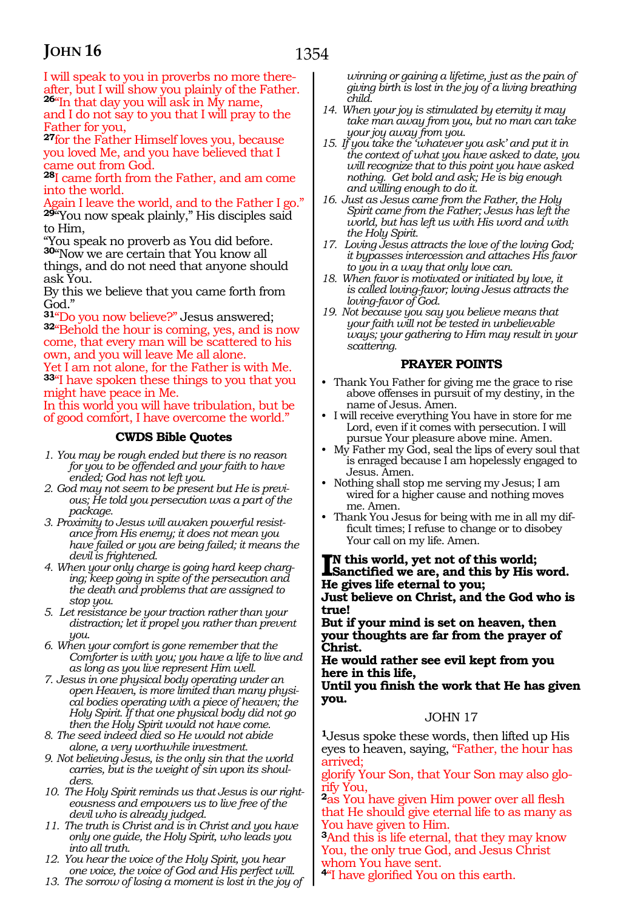I will speak to you in proverbs no more thereafter, but I will show you plainly of the Father. **<sup>26</sup>**"In that day you will ask in My name,

and I do not say to you that I will pray to the Father for you,

**<sup>27</sup>**for the Father Himself loves you, because you loved Me, and you have believed that I came out from God.

**<sup>28</sup>**I came forth from the Father, and am come into the world.

Again I leave the world, and to the Father I go." **<sup>29</sup>**"You now speak plainly," His disciples said to Him,

"You speak no proverb as You did before. **<sup>30</sup>**"Now we are certain that You know all things, and do not need that anyone should ask You.

By this we believe that you came forth from God."

**<sup>31</sup>**"Do you now believe?" Jesus answered; **<sup>32</sup>**"Behold the hour is coming, yes, and is now come, that every man will be scattered to his own, and you will leave Me all alone.

Yet I am not alone, for the Father is with Me. **<sup>33</sup>**"I have spoken these things to you that you might have peace in Me.

In this world you will have tribulation, but be of good comfort, I have overcome the world."

#### **CWDS Bible Quotes**

- *1. You may be rough ended but there is no reason for you to be offended and your faith to have ended; God has not left you.*
- *2. God may not seem to be present but He is previous; He told you persecution was a part of the package.*
- *3. Proximity to Jesus will awaken powerful resistance from His enemy; it does not mean you have failed or you are being failed; it means the devil is frightened.*
- *4. When your only charge is going hard keep charging; keep going in spite of the persecution and the death and problems that are assigned to stop you.*
- *5. Let resistance be your traction rather than your distraction; let it propel you rather than prevent you.*
- *6. When your comfort is gone remember that the Comforter is with you; you have a life to live and as long as you live represent Him well.*
- *7. Jesus in one physical body operating under an open Heaven, is more limited than many physical bodies operating with a piece of heaven; the Holy Spirit. If that one physical body did not go then the Holy Spirit would not have come.*
- *8. The seed indeed died so He would not abide alone, a very worthwhile investment.*
- *9. Not believing Jesus, is the only sin that the world carries, but is the weight of sin upon its shoulders.*
- *10. The Holy Spirit reminds us that Jesus is our righteousness and empowers us to live free of the devil who is already judged.*
- *11. The truth is Christ and is in Christ and you have only one guide, the Holy Spirit, who leads you into all truth.*
- *12. You hear the voice of the Holy Spirit, you hear one voice, the voice of God and His perfect will.*
- *13. The sorrow of losing a moment is lost in the joy of*

*winning or gaining a lifetime, just as the pain of giving birth is lost in the joy of a living breathing child.*

- *14. When your joy is stimulated by eternity it may take man away from you, but no man can take your joy away from you.*
- *15. If you take the 'whatever you ask' and put it in the context of what you have asked to date, you will recognize that to this point you have asked nothing. Get bold and ask; He is big enough and willing enough to do it.*
- *16. Just as Jesus came from the Father, the Holy Spirit came from the Father; Jesus has left the world, but has left us with His word and with the Holy Spirit.*
- *17. Loving Jesus attracts the love of the loving God; it bypasses intercession and attaches His favor to you in a way that only love can.*
- *18. When favor is motivated or initiated by love, it is called loving-favor; loving Jesus attracts the loving-favor of God.*
- *19. Not because you say you believe means that your faith will not be tested in unbelievable ways; your gathering to Him may result in your scattering.*

#### **PRAYER POINTS**

- Thank You Father for giving me the grace to rise above offenses in pursuit of my destiny, in the name of Jesus. Amen.
- I will receive everything You have in store for me Lord, even if it comes with persecution. I will pursue Your pleasure above mine. Amen.
- My Father my God, seal the lips of every soul that is enraged because I am hopelessly engaged to Jesus. Amen.
- Nothing shall stop me serving my Jesus; I am wired for a higher cause and nothing moves me. Amen.
- Thank You Jesus for being with me in all my difficult times; I refuse to change or to disobey Your call on my life. Amen.

#### **I**N this world, yet not of this world;<br>Sanctified we are, and this by His word. **n this world, yet not of this world; He gives life eternal to you;**

**Just believe on Christ, and the God who is true!**

**But if your mind is set on heaven, then your thoughts are far from the prayer of Christ.**

**He would rather see evil kept from you here in this life,**

**Until you finish the work that He has given you.**

#### JOHN 17

**<sup>1</sup>**Jesus spoke these words, then lifted up His eyes to heaven, saying, "Father, the hour has arrived;

glorify Your Son, that Your Son may also glorify You,

**<sup>2</sup>**as You have given Him power over all flesh that He should give eternal life to as many as You have given to Him.

**<sup>3</sup>**And this is life eternal, that they may know You, the only true God, and Jesus Christ whom You have sent.

**<sup>4</sup>**"I have glorified You on this earth.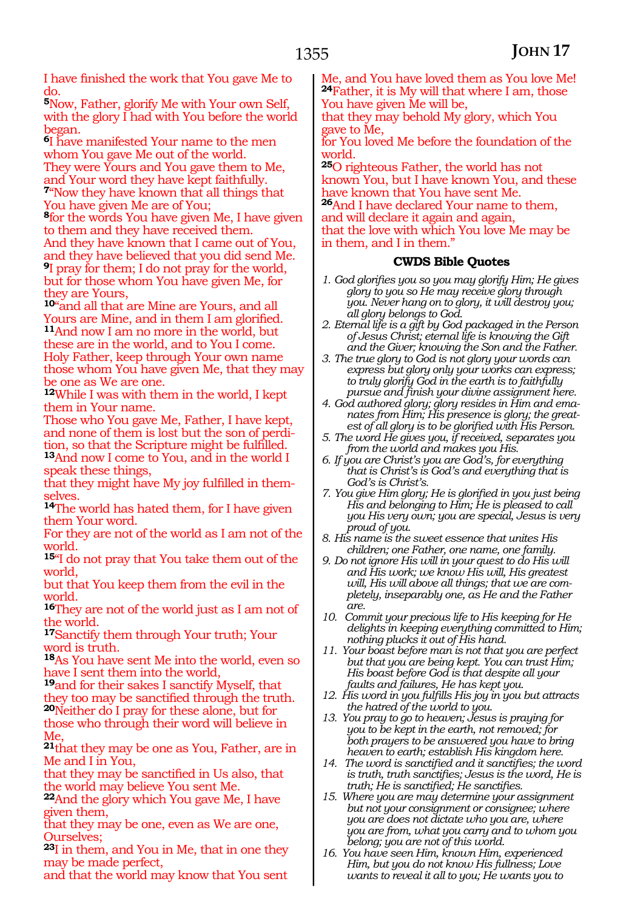I have finished the work that You gave Me to do.

**<sup>5</sup>**Now, Father, glorify Me with Your own Self, with the glory I had with You before the world began.

**<sup>6</sup>**I have manifested Your name to the men whom You gave Me out of the world. They were Yours and You gave them to Me, and Your word they have kept faithfully. **<sup>7</sup>**"Now they have known that all things that You have given Me are of You;

**<sup>8</sup>**for the words You have given Me, I have given to them and they have received them. And they have known that I came out of You, and they have believed that you did send Me. **<sup>9</sup>**I pray for them; I do not pray for the world, but for those whom You have given Me, for they are Yours,

**<sup>10</sup>**"and all that are Mine are Yours, and all Yours are Mine, and in them I am glorified. **<sup>11</sup>**And now I am no more in the world, but these are in the world, and to You I come. Holy Father, keep through Your own name those whom You have given Me, that they may be one as We are one.

**<sup>12</sup>**While I was with them in the world, I kept them in Your name.

Those who You gave Me, Father, I have kept, and none of them is lost but the son of perdition, so that the Scripture might be fulfilled.

**<sup>13</sup>**And now I come to You, and in the world I speak these things,

that they might have My joy fulfilled in themselves.

**<sup>14</sup>**The world has hated them, for I have given them Your word.

For they are not of the world as I am not of the world.

**<sup>15</sup>**"I do not pray that You take them out of the world,

but that You keep them from the evil in the world.

**<sup>16</sup>**They are not of the world just as I am not of the world.

**<sup>17</sup>**Sanctify them through Your truth; Your word is truth.

**<sup>18</sup>**As You have sent Me into the world, even so have I sent them into the world,

**<sup>19</sup>**and for their sakes I sanctify Myself, that they too may be sanctified through the truth. **<sup>20</sup>**Neither do I pray for these alone, but for those who through their word will believe in Me,

**<sup>21</sup>**that they may be one as You, Father, are in Me and I in You,

that they may be sanctified in Us also, that the world may believe You sent Me.

**<sup>22</sup>**And the glory which You gave Me, I have given them,

that they may be one, even as We are one, Ourselves;

**<sup>23</sup>**I in them, and You in Me, that in one they may be made perfect,

and that the world may know that You sent

Me, and You have loved them as You love Me! **<sup>24</sup>**Father, it is My will that where I am, those You have given Me will be,

that they may behold My glory, which You gave to Me,

for You loved Me before the foundation of the world.

**<sup>25</sup>**O righteous Father, the world has not known You, but I have known You, and these have known that You have sent Me. **<sup>26</sup>**And I have declared Your name to them, and will declare it again and again, that the love with which You love Me may be in them, and I in them."

#### **CWDS Bible Quotes**

- *1. God glorifies you so you may glorify Him; He gives glory to you so He may receive glory through you. Never hang on to glory, it will destroy you; all glory belongs to God.*
- *2. Eternal life is a gift by God packaged in the Person of Jesus Christ; eternal life is knowing the Gift and the Giver; knowing the Son and the Father.*
- *3. The true glory to God is not glory your words can express but glory only your works can express; to truly glorify God in the earth is to faithfully pursue and finish your divine assignment here.*
- *4. God authored glory; glory resides in Him and emanates from Him; His presence is glory; the greatest of all glory is to be glorified with His Person.*
- *5. The word He gives you, if received, separates you from the world and makes you His.*
- *6. If you are Christ's you are God's, for everything that is Christ's is God's and everything that is God's is Christ's.*
- *7. You give Him glory; He is glorified in you just being His and belonging to Him; He is pleased to call you His very own; you are special, Jesus is very proud of you.*
- *8. His name is the sweet essence that unites His children; one Father, one name, one family.*
- *9. Do not ignore His will in your quest to do His will and His work; we know His will, His greatest will, His will above all things; that we are completely, inseparably one, as He and the Father are.*
- *10. Commit your precious life to His keeping for He delights in keeping everything committed to Him; nothing plucks it out of His hand.*
- *11. Your boast before man is not that you are perfect but that you are being kept. You can trust Him; His boast before God is that despite all your faults and failures, He has kept you.*
- *12. His word in you fulfills His joy in you but attracts the hatred of the world to you.*
- *13. You pray to go to heaven; Jesus is praying for you to be kept in the earth, not removed; for both prayers to be answered you have to bring heaven to earth; establish His kingdom here.*
- *14. The word is sanctified and it sanctifies; the word is truth, truth sanctifies; Jesus is the word, He is truth; He is sanctified; He sanctifies.*
- *15. Where you are may determine your assignment but not your consignment or consignee; where you are does not dictate who you are, where you are from, what you carry and to whom you belong; you are not of this world.*
- *16. You have seen Him, known Him, experienced Him, but you do not know His fullness; Love wants to reveal it all to you; He wants you to*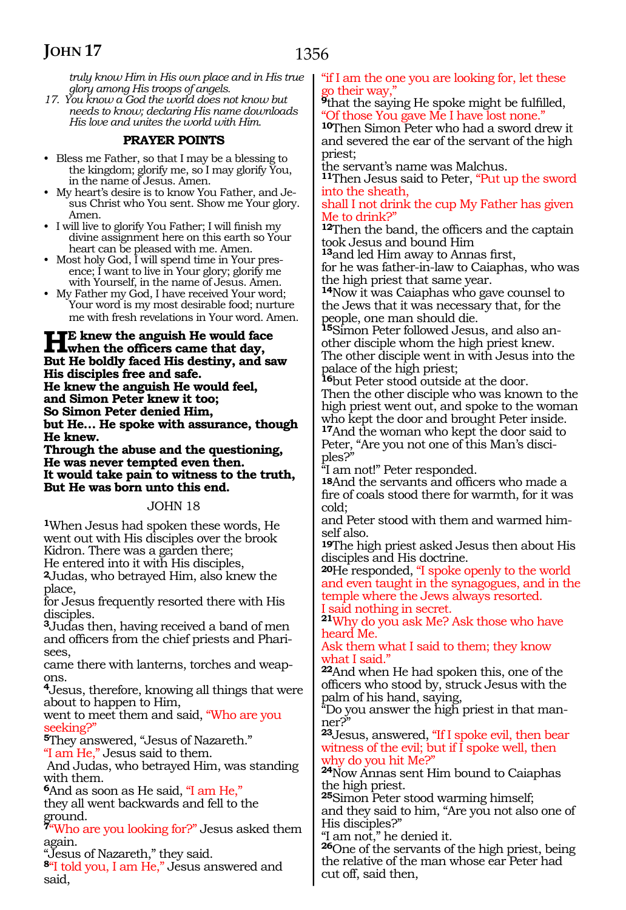*truly know Him in His own place and in His true glory among His troops of angels.*

*17. You know a God the world does not know but needs to know; declaring His name downloads His love and unites the world with Him.* 

#### **PRAYER POINTS**

- Bless me Father, so that I may be a blessing to the kingdom; glorify me, so I may glorify You, in the name of Jesus. Amen.
- My heart's desire is to know You Father, and Jesus Christ who You sent. Show me Your glory. Amen.
- I will live to glorify You Father; I will finish my divine assignment here on this earth so Your heart can be pleased with me. Amen.
- Most holy God, I will spend time in Your presence; I want to live in Your glory; glorify me with Yourself, in the name of Jesus. Amen.
- My Father my God, I have received Your word; Your word is my most desirable food; nurture me with fresh revelations in Your word. Amen.

#### **He knew the anguish He would face**<br> **Livian the officers came that day,**<br> **Put He heldly faced His destiny and so But He boldly faced His destiny, and saw His disciples free and safe. He knew the anguish He would feel, and Simon Peter knew it too; So Simon Peter denied Him, but He… He spoke with assurance, though He knew.**

**Through the abuse and the questioning, He was never tempted even then. It would take pain to witness to the truth, But He was born unto this end.**

#### JOHN 18

**<sup>1</sup>**When Jesus had spoken these words, He went out with His disciples over the brook Kidron. There was a garden there;

He entered into it with His disciples, **2**Judas, who betrayed Him, also knew the place,

for Jesus frequently resorted there with His disciples.

**<sup>3</sup>**Judas then, having received a band of men and officers from the chief priests and Pharisees,

came there with lanterns, torches and weapons.

**<sup>4</sup>**Jesus, therefore, knowing all things that were about to happen to Him,

went to meet them and said, "Who are you seeking?"

**<sup>5</sup>**They answered, "Jesus of Nazareth." "I am He," Jesus said to them.

 And Judas, who betrayed Him, was standing with them.

**<sup>6</sup>**And as soon as He said, "I am He," they all went backwards and fell to the

ground.

**<sup>7</sup>**"Who are you looking for?" Jesus asked them again.

"Jesus of Nazareth," they said.

**<sup>8</sup>**"I told you, I am He," Jesus answered and said,

#### "if I am the one you are looking for, let these go their way,"

<sup>9</sup>that the saying He spoke might be fulfilled, "Of those You gave Me I have lost none."

**<sup>10</sup>**Then Simon Peter who had a sword drew it and severed the ear of the servant of the high priest;

the servant's name was Malchus.

**<sup>11</sup>**Then Jesus said to Peter, "Put up the sword into the sheath,

shall I not drink the cup My Father has given Me to drink?"

**<sup>12</sup>**Then the band, the officers and the captain took Jesus and bound Him

**<sup>13</sup>**and led Him away to Annas first,

for he was father-in-law to Caiaphas, who was the high priest that same year.

**<sup>14</sup>**Now it was Caiaphas who gave counsel to the Jews that it was necessary that, for the people, one man should die.

**15**Simon Peter followed Jesus, and also another disciple whom the high priest knew. The other disciple went in with Jesus into the palace of the high priest;

**<sup>16</sup>**but Peter stood outside at the door.

Then the other disciple who was known to the high priest went out, and spoke to the woman who kept the door and brought Peter inside. **<sup>17</sup>**And the woman who kept the door said to

Peter, "Are you not one of this Man's disciples?"

"I am not!" Peter responded.

**18**And the servants and officers who made a fire of coals stood there for warmth, for it was cold;

and Peter stood with them and warmed him- self also.

**19**The high priest asked Jesus then about His disciples and His doctrine.

**20**He responded, "I spoke openly to the world and even taught in the synagogues, and in the temple where the Jews always resorted. I said nothing in secret.

**<sup>21</sup>**Why do you ask Me? Ask those who have heard Me.

Ask them what I said to them; they know what I said.'

**<sup>22</sup>**And when He had spoken this, one of the officers who stood by, struck Jesus with the palm of his hand, saying,

"Do you answer the high priest in that manner?"

**<sup>23</sup>**Jesus, answered, "If I spoke evil, then bear witness of the evil; but if I spoke well, then why do you hit Me?"

**<sup>24</sup>**Now Annas sent Him bound to Caiaphas the high priest.

**<sup>25</sup>**Simon Peter stood warming himself; and they said to him, "Are you not also one of His disciples?"

"I am not," he denied it.

**<sup>26</sup>**One of the servants of the high priest, being the relative of the man whose ear Peter had cut off, said then,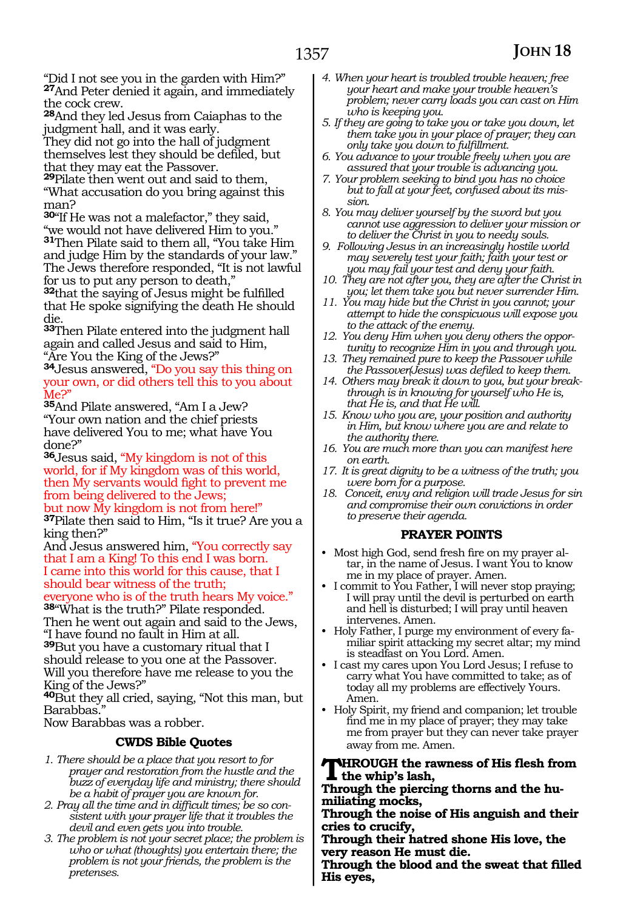"Did I not see you in the garden with Him?" **<sup>27</sup>**And Peter denied it again, and immediately the cock crew.

**<sup>28</sup>**And they led Jesus from Caiaphas to the judgment hall, and it was early.

They did not go into the hall of judgment themselves lest they should be defiled, but that they may eat the Passover.

**<sup>29</sup>**Pilate then went out and said to them, "What accusation do you bring against this man?

**<sup>30</sup>**"If He was not a malefactor," they said, "we would not have delivered Him to you." **<sup>31</sup>**Then Pilate said to them all, "You take Him and judge Him by the standards of your law." The Jews therefore responded, "It is not lawful for us to put any person to death,"

**<sup>32</sup>**that the saying of Jesus might be fulfilled that He spoke signifying the death He should die.

**<sup>33</sup>**Then Pilate entered into the judgment hall again and called Jesus and said to Him, "Are You the King of the Jews?"

**<sup>34</sup>**Jesus answered, "Do you say this thing on your own, or did others tell this to you about Me?'

**<sup>35</sup>**And Pilate answered, "Am I a Jew? "Your own nation and the chief priests have delivered You to me; what have You done?"

**<sup>36</sup>**Jesus said, "My kingdom is not of this world, for if My kingdom was of this world, then My servants would fight to prevent me from being delivered to the Jews;

but now My kingdom is not from here!" **<sup>37</sup>**Pilate then said to Him, "Is it true? Are you a king then?"

And Jesus answered him, "You correctly say that I am a King! To this end I was born. I came into this world for this cause, that I should bear witness of the truth;

everyone who is of the truth hears My voice." **<sup>38</sup>**"What is the truth?" Pilate responded.

Then he went out again and said to the Jews, "I have found no fault in Him at all.

**<sup>39</sup>**But you have a customary ritual that I should release to you one at the Passover. Will you therefore have me release to you the King of the Jews?"

**<sup>40</sup>**But they all cried, saying, "Not this man, but Barabbas.'

Now Barabbas was a robber.

#### **CWDS Bible Quotes**

- *1. There should be a place that you resort to for prayer and restoration from the hustle and the buzz of everyday life and ministry; there should be a habit of prayer you are known for.*
- *2. Pray all the time and in difficult times; be so consistent with your prayer life that it troubles the devil and even gets you into trouble.*
- *3. The problem is not your secret place; the problem is who or what (thoughts) you entertain there; the problem is not your friends, the problem is the pretenses.*
- *4. When your heart is troubled trouble heaven; free your heart and make your trouble heaven's problem; never carry loads you can cast on Him who is keeping you.*
- *5. If they are going to take you or take you down, let them take you in your place of prayer; they can only take you down to fulfillment.*
- *6. You advance to your trouble freely when you are assured that your trouble is advancing you.*
- *7. Your problem seeking to bind you has no choice but to fall at your feet, confused about its mission.*
- *8. You may deliver yourself by the sword but you cannot use aggression to deliver your mission or to deliver the Christ in you to needy souls.*
- *9. Following Jesus in an increasingly hostile world may severely test your faith; faith your test or you may fail your test and deny your faith.*
- *10. They are not after you, they are after the Christ in you; let them take you but never surrender Him.*
- *11. You may hide but the Christ in you cannot; your attempt to hide the conspicuous will expose you to the attack of the enemy.*
- *12. You deny Him when you deny others the opportunity to recognize Him in you and through you.*
- *13. They remained pure to keep the Passover while the Passover(Jesus) was defiled to keep them.*
- *14. Others may break it down to you, but your breakthrough is in knowing for yourself who He is, that He is, and that He will.*
- *15. Know who you are, your position and authority in Him, but know where you are and relate to the authority there.*
- *16. You are much more than you can manifest here on earth.*
- *17. It is great dignity to be a witness of the truth; you were born for a purpose.*
- *18. Conceit, envy and religion will trade Jesus for sin and compromise their own convictions in order to preserve their agenda.*

#### **PRAYER POINTS**

- Most high God, send fresh fire on my prayer altar, in the name of Jesus. I want You to know me in my place of prayer. Amen.
- I commit to You Father, I will never stop praying; I will pray until the devil is perturbed on earth and hell is disturbed; I will pray until heaven intervenes. Amen.
- Holy Father, I purge my environment of every familiar spirit attacking my secret altar; my mind is steadfast on You Lord. Amen.
- I cast my cares upon You Lord Jesus; I refuse to carry what You have committed to take; as of today all my problems are effectively Yours. Amen.
- Holy Spirit, my friend and companion; let trouble find me in my place of prayer; they may take me from prayer but they can never take prayer away from me. Amen.

#### **Through the rawness of His flesh from the whip's lash,**

**Through the piercing thorns and the hu- miliating mocks,**

**Through the noise of His anguish and their cries to crucify,**

**Through their hatred shone His love, the very reason He must die.**

**Through the blood and the sweat that filled His eyes,**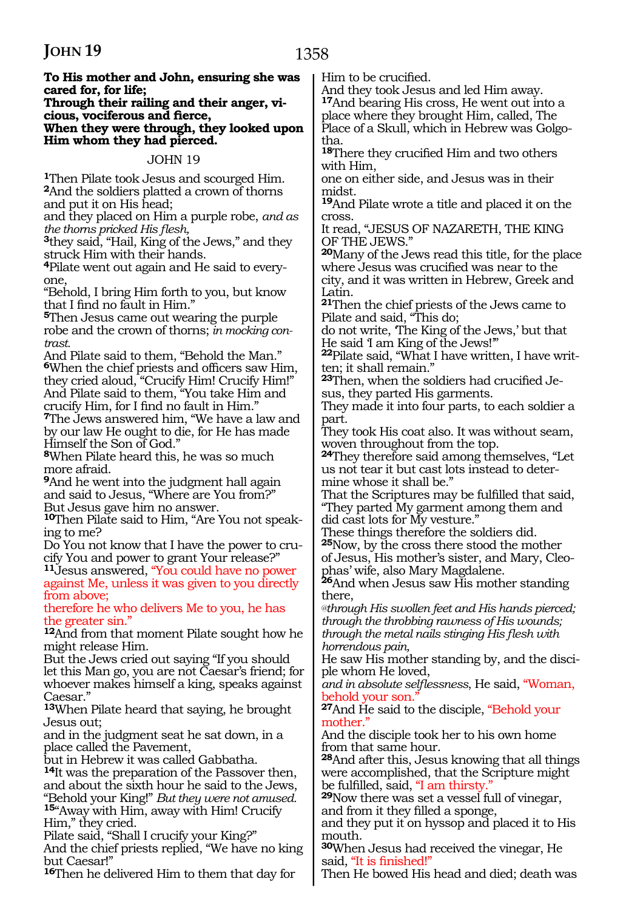#### **To His mother and John, ensuring she was cared for, for life;**

#### **Through their railing and their anger, vi cious, vociferous and fierce, When they were through, they looked upon Him whom they had pierced.**

#### JOHN 19

**<sup>1</sup>**Then Pilate took Jesus and scourged Him. **<sup>2</sup>**And the soldiers platted a crown of thorns and put it on His head;

and they placed on Him a purple robe, *and as the thorns pricked His flesh,*

**<sup>3</sup>**they said, "Hail, King of the Jews," and they struck Him with their hands.

**4**Pilate went out again and He said to everyone,

"Behold, I bring Him forth to you, but know that I find no fault in Him."

**<sup>5</sup>**Then Jesus came out wearing the purple robe and the crown of thorns; *in mocking contrast.*

And Pilate said to them, "Behold the Man." **<sup>6</sup>**When the chief priests and officers saw Him, they cried aloud, "Crucify Him! Crucify Him!" And Pilate said to them, "You take Him and crucify Him, for I find no fault in Him."

**<sup>7</sup>**The Jews answered him, "We have a law and by our law He ought to die, for He has made Himself the Son of God."

**<sup>8</sup>**When Pilate heard this, he was so much more afraid.

**<sup>9</sup>**And he went into the judgment hall again and said to Jesus, "Where are You from?" But Jesus gave him no answer.

**10**Then Pilate said to Him, "Are You not speaking to me?

Do You not know that I have the power to crucify You and power to grant Your release?"

**<sup>11</sup>**Jesus answered, "You could have no power against Me, unless it was given to you directly from above;

therefore he who delivers Me to you, he has the greater sin."

**<sup>12</sup>**And from that moment Pilate sought how he might release Him.

But the Jews cried out saying "If you should let this Man go, you are not Caesar's friend; for whoever makes himself a king, speaks against Caesar.

**<sup>13</sup>**When Pilate heard that saying, he brought Jesus out;

and in the judgment seat he sat down, in a place called the Pavement,

but in Hebrew it was called Gabbatha.

**<sup>14</sup>**It was the preparation of the Passover then, and about the sixth hour he said to the Jews,<br>"Behold your King!" *But they were not amused.* 15" Away with Him, away with Him! Crucify Him," they cried.

Pilate said, "Shall I crucify your King?" And the chief priests replied, "We have no king but Caesar!"

**<sup>16</sup>**Then he delivered Him to them that day for

Him to be crucified.

And they took Jesus and led Him away. **<sup>17</sup>**And bearing His cross, He went out into a place where they brought Him, called, The Place of a Skull, which in Hebrew was Golgo- tha.

**<sup>18</sup>**There they crucified Him and two others with Him,

one on either side, and Jesus was in their midst.

**<sup>19</sup>**And Pilate wrote a title and placed it on the cross.

It read, "JESUS OF NAZARETH, THE KING OF THE JEWS."

**<sup>20</sup>**Many of the Jews read this title, for the place where Jesus was crucified was near to the city, and it was written in Hebrew, Greek and Latin.

**<sup>21</sup>**Then the chief priests of the Jews came to Pilate and said, "This do;

do not write, 'The King of the Jews,' but that He said 'I am King of the Jews!'"

22Pilate said, "What I have written, I have written; it shall remain."

**23**Then, when the soldiers had crucified Jesus, they parted His garments.

They made it into four parts, to each soldier a part.

They took His coat also. It was without seam, woven throughout from the top.

**<sup>24</sup>**They therefore said among themselves, "Let us not tear it but cast lots instead to determine whose it shall be."

That the Scriptures may be fulfilled that said, "They parted My garment among them and

did cast lots for My vesture."

These things therefore the soldiers did. **<sup>25</sup>**Now, by the cross there stood the mother

of Jesus, His mother's sister, and Mary, Cleophas' wife, also Mary Magdalene.

**<sup>26</sup>**And when Jesus saw His mother standing there,

*@through His swollen feet and His hands pierced; through the throbbing rawness of His wounds; through the metal nails stinging His flesh with horrendous pain,* 

He saw His mother standing by, and the disciple whom He loved,

*and in absolute selflessness*, He said, "Woman, behold your son.

**<sup>27</sup>**And He said to the disciple, "Behold your mother."

And the disciple took her to his own home from that same hour.

**<sup>28</sup>**And after this, Jesus knowing that all things were accomplished, that the Scripture might

be fulfilled, said, "I am thirsty." **<sup>29</sup>**Now there was set a vessel full of vinegar, and from it they filled a sponge,

and they put it on hyssop and placed it to His mouth.

**<sup>30</sup>**When Jesus had received the vinegar, He said, "It is finished!"

Then He bowed His head and died; death was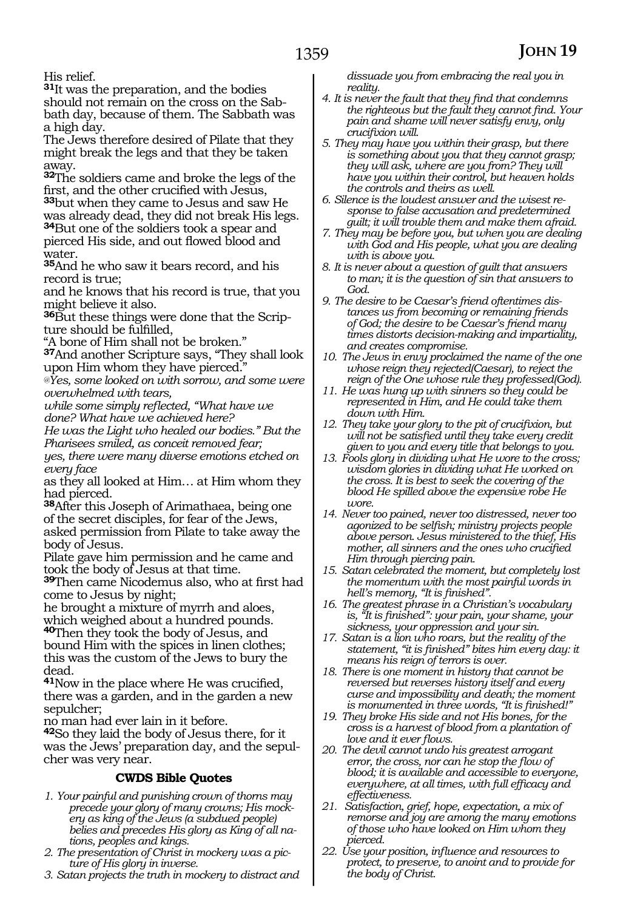His relief.

**<sup>31</sup>**It was the preparation, and the bodies should not remain on the cross on the Sabbath day, because of them. The Sabbath was a high day.

The Jews therefore desired of Pilate that they might break the legs and that they be taken away.

**<sup>32</sup>**The soldiers came and broke the legs of the first, and the other crucified with Jesus,

**<sup>33</sup>**but when they came to Jesus and saw He was already dead, they did not break His legs.

**<sup>34</sup>**But one of the soldiers took a spear and pierced His side, and out flowed blood and water.

**<sup>35</sup>**And he who saw it bears record, and his record is true;

and he knows that his record is true, that you might believe it also.

**36**But these things were done that the Scripture should be fulfilled,

"A bone of Him shall not be broken."

**<sup>37</sup>**And another Scripture says, "They shall look upon Him whom they have pierced."

*@Yes, some looked on with sorrow, and some were overwhelmed with tears,*

*while some simply reflected, "What have we done? What have we achieved here?*

*He was the Light who healed our bodies." But the Pharisees smiled, as conceit removed fear;*

*yes, there were many diverse emotions etched on every face*

as they all looked at Him… at Him whom they had pierced.

**<sup>38</sup>**After this Joseph of Arimathaea, being one of the secret disciples, for fear of the Jews, asked permission from Pilate to take away the body of Jesus.

Pilate gave him permission and he came and took the body of Jesus at that time.

**<sup>39</sup>**Then came Nicodemus also, who at first had come to Jesus by night;

he brought a mixture of myrrh and aloes, which weighed about a hundred pounds.

**<sup>40</sup>**Then they took the body of Jesus, and bound Him with the spices in linen clothes; this was the custom of the Jews to bury the dead.

**<sup>41</sup>**Now in the place where He was crucified, there was a garden, and in the garden a new sepulcher;

no man had ever lain in it before.

**<sup>42</sup>**So they laid the body of Jesus there, for it was the Jews' preparation day, and the sepulcher was very near.

#### **CWDS Bible Quotes**

- *1. Your painful and punishing crown of thorns may precede your glory of many crowns; His mockery as king of the Jews (a subdued people) belies and precedes His glory as King of all nations, peoples and kings.*
- *2. The presentation of Christ in mockery was a picture of His glory in inverse.*
- *3. Satan projects the truth in mockery to distract and*

*dissuade you from embracing the real you in reality.*

- *4. It is never the fault that they find that condemns the righteous but the fault they cannot find. Your pain and shame will never satisfy envy, only crucifixion will.*
- *5. They may have you within their grasp, but there is something about you that they cannot grasp; they will ask, where are you from? They will have you within their control, but heaven holds the controls and theirs as well.*
- *6. Silence is the loudest answer and the wisest response to false accusation and predetermined guilt; it will trouble them and make them afraid.*
- *7. They may be before you, but when you are dealing with God and His people, what you are dealing with is above you.*
- *8. It is never about a question of guilt that answers to man; it is the question of sin that answers to God.*
- *9. The desire to be Caesar's friend oftentimes distances us from becoming or remaining friends of God; the desire to be Caesar's friend many times distorts decision-making and impartiality, and creates compromise.*
- *10. The Jews in envy proclaimed the name of the one whose reign they rejected(Caesar), to reject the reign of the One whose rule they professed(God).*
- *11. He was hung up with sinners so they could be represented in Him, and He could take them down with Him.*
- *12. They take your glory to the pit of crucifixion, but will not be satisfied until they take every credit given to you and every title that belongs to you.*
- *13. Fools glory in dividing what He wore to the cross; wisdom glories in dividing what He worked on the cross. It is best to seek the covering of the blood He spilled above the expensive robe He wore.*
- *14. Never too pained, never too distressed, never too agonized to be selfish; ministry projects people above person. Jesus ministered to the thief, His mother, all sinners and the ones who crucified Him through piercing pain.*
- *15. Satan celebrated the moment, but completely lost the momentum with the most painful words in hell's memory, "It is finished".*
- *16. The greatest phrase in a Christian's vocabulary is, "It is finished": your pain, your shame, your sickness, your oppression and your sin.*
- *17. Satan is a lion who roars, but the reality of the statement, "it is finished" bites him every day: it means his reign of terrors is over.*
- *18. There is one moment in history that cannot be reversed but reverses history itself and every curse and impossibility and death; the moment is monumented in three words, "It is finished!"*
- *19. They broke His side and not His bones, for the cross is a harvest of blood from a plantation of love and it ever flows.*
- *20. The devil cannot undo his greatest arrogant error, the cross, nor can he stop the flow of blood; it is available and accessible to everyone, everywhere, at all times, with full efficacy and effectiveness.*
- *21. Satisfaction, grief, hope, expectation, a mix of remorse and joy are among the many emotions of those who have looked on Him whom they pierced.*
- *22. Use your position, influence and resources to protect, to preserve, to anoint and to provide for the body of Christ.*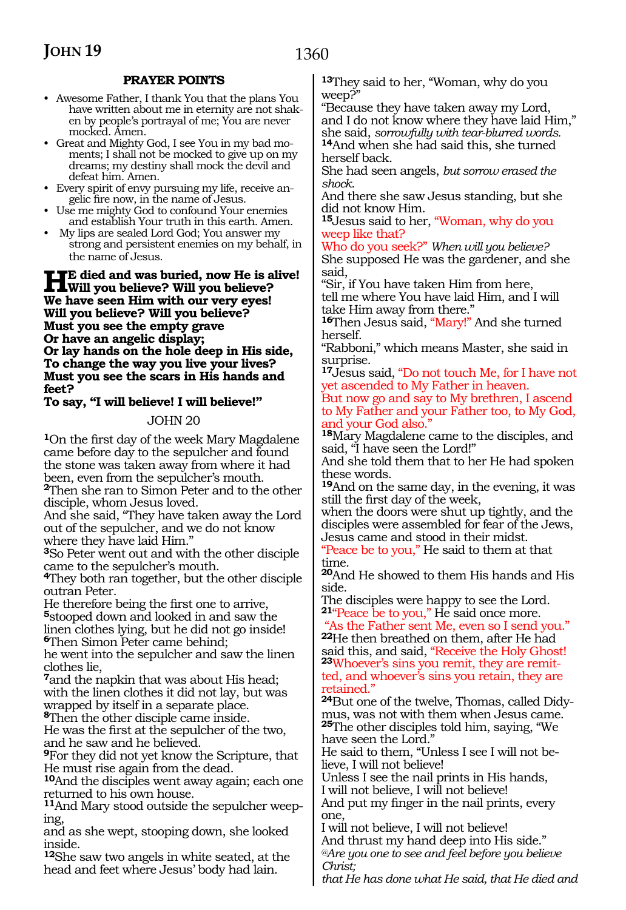#### **PRAYER POINTS**

- Awesome Father, I thank You that the plans You have written about me in eternity are not shaken by people's portrayal of me; You are never mocked. Amen.
- Great and Mighty God, I see You in my bad moments; I shall not be mocked to give up on my dreams; my destiny shall mock the devil and defeat him. Amen.
- Every spirit of envy pursuing my life, receive angelic fire now, in the name of Jesus.
- Use me mighty God to confound Your enemies and establish Your truth in this earth. Amen.
- My lips are sealed Lord God; You answer my strong and persistent enemies on my behalf, in the name of Jesus.

#### **He died and was buried, now He is alive! Will you believe? Will you believe? We have seen Him with our very eyes! Will you believe? Will you believe? Must you see the empty grave Or have an angelic display; Or lay hands on the hole deep in His side, To change the way you live your lives? Must you see the scars in His hands and feet?**

#### **To say, "I will believe! I will believe!"**

#### JOHN 20

**<sup>1</sup>**On the first day of the week Mary Magdalene came before day to the sepulcher and found the stone was taken away from where it had been, even from the sepulcher's mouth. **<sup>2</sup>**Then she ran to Simon Peter and to the other disciple, whom Jesus loved.

And she said, "They have taken away the Lord out of the sepulcher, and we do not know where they have laid Him."

**<sup>3</sup>**So Peter went out and with the other disciple came to the sepulcher's mouth.

**<sup>4</sup>**They both ran together, but the other disciple outran Peter.

He therefore being the first one to arrive, **<sup>5</sup>**stooped down and looked in and saw the linen clothes lying, but he did not go inside! **<sup>6</sup>**Then Simon Peter came behind;

he went into the sepulcher and saw the linen clothes lie,

**<sup>7</sup>**and the napkin that was about His head; with the linen clothes it did not lay, but was wrapped by itself in a separate place. **<sup>8</sup>**Then the other disciple came inside.

He was the first at the sepulcher of the two, and he saw and he believed.

**<sup>9</sup>**For they did not yet know the Scripture, that He must rise again from the dead.

**<sup>10</sup>**And the disciples went away again; each one returned to his own house.

**11**And Mary stood outside the sepulcher weeping,

and as she wept, stooping down, she looked inside.

**<sup>12</sup>**She saw two angels in white seated, at the head and feet where Jesus' body had lain.

**<sup>13</sup>**They said to her, "Woman, why do you weep?"

"Because they have taken away my Lord, and I do not know where they have laid Him,"<br>she said, sorrowfully with tear-blurred words. <sup>14</sup>And when she had said this, she turned herself back.

She had seen angels, *but sorrow erased the shock.*

And there she saw Jesus standing, but she did not know Him.

**<sup>15</sup>**Jesus said to her, "Woman, why do you weep like that?

Who do you seek?" *When will you believe?* She supposed He was the gardener, and she said,

"Sir, if You have taken Him from here, tell me where You have laid Him, and I will take Him away from there."

**<sup>16</sup>**Then Jesus said, "Mary!" And she turned herself.

"Rabboni," which means Master, she said in surprise.

**<sup>17</sup>**Jesus said, "Do not touch Me, for I have not yet ascended to My Father in heaven.

But now go and say to My brethren, I ascend to My Father and your Father too, to My God, and your God also."

**<sup>18</sup>**Mary Magdalene came to the disciples, and said, "I have seen the Lord!"

And she told them that to her He had spoken these words.

**<sup>19</sup>**And on the same day, in the evening, it was still the first day of the week,

when the doors were shut up tightly, and the disciples were assembled for fear of the Jews, Jesus came and stood in their midst.

"Peace be to you," He said to them at that time.

**<sup>20</sup>**And He showed to them His hands and His side.

The disciples were happy to see the Lord. **<sup>21</sup>**"Peace be to you," He said once more.

"As the Father sent Me, even so I send you." **<sup>22</sup>**He then breathed on them, after He had <sup>23</sup>Whoever's sins you remit, they are remitted, and whoever's sins you retain, they are retained."

**24**But one of the twelve, Thomas, called Didymus, was not with them when Jesus came. **<sup>25</sup>**The other disciples told him, saying, "We have seen the Lord."

He said to them, "Unless I see I will not believe, I will not believe!

Unless I see the nail prints in His hands, I will not believe, I will not believe!

And put my finger in the nail prints, every one,

I will not believe, I will not believe! And thrust my hand deep into His side." *@Are you one to see and feel before you believe Christ;*

*that He has done what He said, that He died and*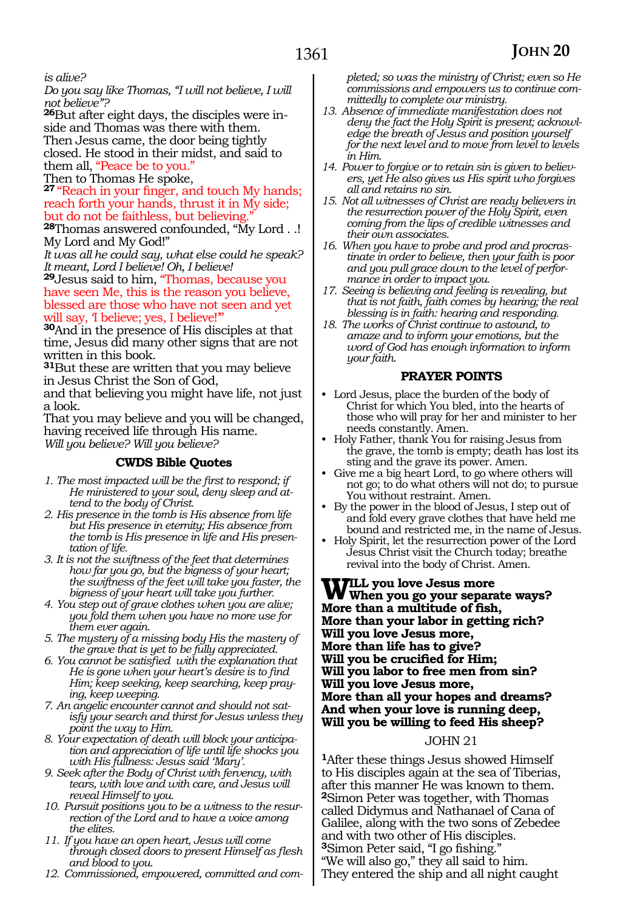#### *is alive?*

*Do you say like Thomas, "I will not believe, I will not believe"?*

**26**But after eight days, the disciples were inside and Thomas was there with them. Then Jesus came, the door being tightly closed. He stood in their midst, and said to them all, "Peace be to you."

Then to Thomas He spoke,

**<sup>27</sup>** "Reach in your finger, and touch My hands; reach forth your hands, thrust it in My side; but do not be faithless, but believing

**<sup>28</sup>**Thomas answered confounded, "My Lord . .! My Lord and My God!"

*It was all he could say, what else could he speak? It meant, Lord I believe! Oh, I believe!* 

**<sup>29</sup>**Jesus said to him, "Thomas, because you have seen Me, this is the reason you believe, blessed are those who have not seen and yet will say, 'I believe; yes, I believe!"

**<sup>30</sup>**And in the presence of His disciples at that time, Jesus did many other signs that are not written in this book.

**<sup>31</sup>**But these are written that you may believe in Jesus Christ the Son of God,

and that believing you might have life, not just a look.

That you may believe and you will be changed, having received life through His name. *Will you believe? Will you believe?*

#### **CWDS Bible Quotes**

*1. The most impacted will be the first to respond; if He ministered to your soul, deny sleep and attend to the body of Christ.*

- *2. His presence in the tomb is His absence from life but His presence in eternity; His absence from the tomb is His presence in life and His presentation of life.*
- *3. It is not the swiftness of the feet that determines how far you go, but the bigness of your heart; the swiftness of the feet will take you faster, the bigness of your heart will take you further.*
- *4. You step out of grave clothes when you are alive; you fold them when you have no more use for them ever again.*
- *5. The mystery of a missing body His the mastery of the grave that is yet to be fully appreciated.*
- *6. You cannot be satisfied with the explanation that He is gone when your heart's desire is to find Him; keep seeking, keep searching, keep praying, keep weeping.*
- *7. An angelic encounter cannot and should not satisfy your search and thirst for Jesus unless they point the way to Him.*
- *8. Your expectation of death will block your anticipation and appreciation of life until life shocks you with His fullness: Jesus said 'Mary'.*
- *9. Seek after the Body of Christ with fervency, with tears, with love and with care, and Jesus will reveal Himself to you.*
- *10. Pursuit positions you to be a witness to the resurrection of the Lord and to have a voice among the elites.*
- *11. If you have an open heart, Jesus will come through closed doors to present Himself as flesh and blood to you.*
- *12. Commissioned, empowered, committed and com-*

*pleted; so was the ministry of Christ; even so He commissions and empowers us to continue committedly to complete our ministry.*

- *13. Absence of immediate manifestation does not deny the fact the Holy Spirit is present; acknowledge the breath of Jesus and position yourself for the next level and to move from level to levels in Him.*
- *14. Power to forgive or to retain sin is given to believers, yet He also gives us His spirit who forgives all and retains no sin.*
- *15. Not all witnesses of Christ are ready believers in the resurrection power of the Holy Spirit, even coming from the lips of credible witnesses and their own associates.*
- *16. When you have to probe and prod and procrastinate in order to believe, then your faith is poor and you pull grace down to the level of performance in order to impact you.*
- *17. Seeing is believing and feeling is revealing, but that is not faith, faith comes by hearing; the real blessing is in faith: hearing and responding.*
- *18. The works of Christ continue to astound, to amaze and to inform your emotions, but the word of God has enough information to inform your faith.*

#### **PRAYER POINTS**

- Lord Jesus, place the burden of the body of Christ for which You bled, into the hearts of those who will pray for her and minister to her needs constantly. Amen.
- Holy Father, thank You for raising Jesus from the grave, the tomb is empty; death has lost its sting and the grave its power. Amen.
- Give me a big heart Lord, to go where others will not go; to do what others will not do; to pursue You without restraint. Amen.
- By the power in the blood of Jesus, I step out of and fold every grave clothes that have held me bound and restricted me, in the name of Jesus.
- Holy Spirit, let the resurrection power of the Lord Jesus Christ visit the Church today; breathe revival into the body of Christ. Amen.

**Will you love Jesus more When you go your separate ways? More than a multitude of fish, More than your labor in getting rich? Will you love Jesus more, More than life has to give? Will you be crucified for Him; Will you labor to free men from sin? Will you love Jesus more, More than all your hopes and dreams? And when your love is running deep, Will you be willing to feed His sheep?**

#### JOHN 21

**<sup>1</sup>**After these things Jesus showed Himself to His disciples again at the sea of Tiberias, after this manner He was known to them. **<sup>2</sup>**Simon Peter was together, with Thomas called Didymus and Nathanael of Cana of Galilee, along with the two sons of Zebedee and with two other of His disciples. **<sup>3</sup>**Simon Peter said, "I go fishing." "We will also go," they all said to him. They entered the ship and all night caught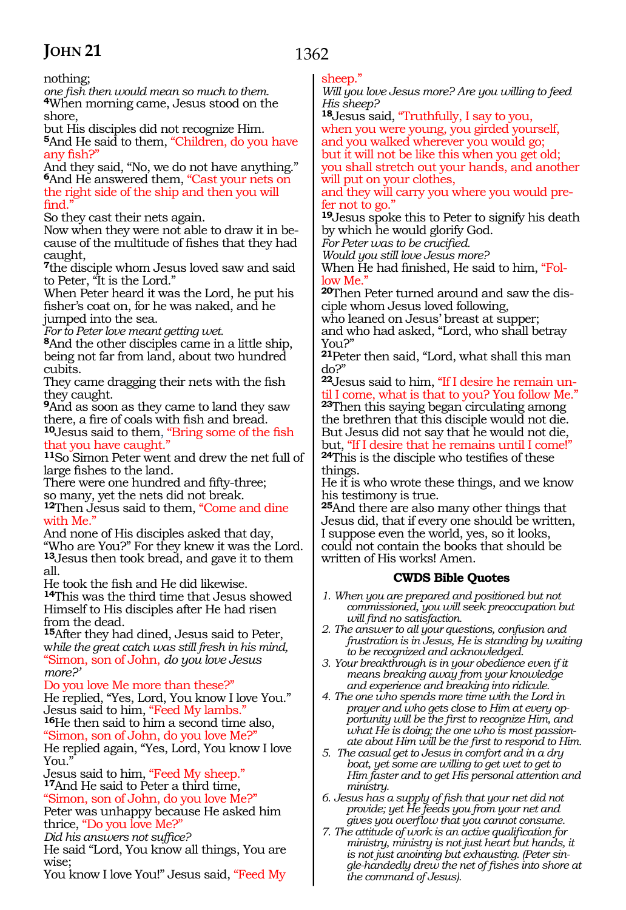nothing;<br>one fish then would mean so much to them. <sup>4</sup>When morning came, Jesus stood on the shore,

but His disciples did not recognize Him. **<sup>5</sup>**And He said to them, "Children, do you have any fish?"

And they said, "No, we do not have anything." **<sup>6</sup>**And He answered them, "Cast your nets on the right side of the ship and then you will find."

So they cast their nets again.

Now when they were not able to draw it in because of the multitude of fishes that they had caught,

**<sup>7</sup>**the disciple whom Jesus loved saw and said to Peter, "It is the Lord."

When Peter heard it was the Lord, he put his fisher's coat on, for he was naked, and he jumped into the sea.

*For to Peter love meant getting wet.* 

**<sup>8</sup>**And the other disciples came in a little ship, being not far from land, about two hundred cubits.

They came dragging their nets with the fish they caught.

**<sup>9</sup>**And as soon as they came to land they saw there, a fire of coals with fish and bread.

**<sup>10</sup>**Jesus said to them, "Bring some of the fish that you have caught."

**<sup>11</sup>**So Simon Peter went and drew the net full of large fishes to the land.

There were one hundred and fifty-three; so many, yet the nets did not break.

**<sup>12</sup>**Then Jesus said to them, "Come and dine with Me."

And none of His disciples asked that day, "Who are You?" For they knew it was the Lord. **<sup>13</sup>**Jesus then took bread, and gave it to them

all.<br>He took the fish and He did likewise.

14This was the third time that Jesus showed Himself to His disciples after He had risen from the dead.

**<sup>15</sup>**After they had dined, Jesus said to Peter, w*hile the great catch was still fresh in his mind,* "Simon, son of John, *do you love Jesus more?'*

Do you love Me more than these?"

He replied, "Yes, Lord, You know I love You."<br>Jesus said to him, "Feed My lambs." 16He then said to him a second time also, "Simon, son of John, do you love Me?" He replied again, "Yes, Lord, You know I love You."<br>Jesus said to him, "Feed My sheep."

<sup>17</sup>And He said to Peter a third time, "Simon, son of John, do you love Me?"

Peter was unhappy because He asked him thrice, "Do you love Me?"

*Did his answers not suffice?*

He said "Lord, You know all things, You are wise;

You know I love You!" Jesus said, "Feed My

#### sheep."

1362

*Will you love Jesus more? Are you willing to feed His sheep?* 

**<sup>18</sup>**Jesus said, "Truthfully, I say to you, when you were young, you girded yourself, and you walked wherever you would go; but it will not be like this when you get old; you shall stretch out your hands, and another

will put on your clothes, and they will carry you where you would pre-

fer not to go." **<sup>19</sup>**Jesus spoke this to Peter to signify his death by which he would glorify God.

*For Peter was to be crucified.* 

*Would you still love Jesus more?* 

When He had finished, He said to him, "Follow Me.

**20**Then Peter turned around and saw the disciple whom Jesus loved following,

who leaned on Jesus' breast at supper; and who had asked, "Lord, who shall betray

You?"

**<sup>21</sup>**Peter then said, "Lord, what shall this man do?"

**22**Jesus said to him, "If I desire he remain until I come, what is that to you? You follow Me." **<sup>23</sup>**Then this saying began circulating among the brethren that this disciple would not die. But Jesus did not say that he would not die, but, "If I desire that he remains until I come!" **<sup>24</sup>**This is the disciple who testifies of these things.

He it is who wrote these things, and we know his testimony is true.

**<sup>25</sup>**And there are also many other things that Jesus did, that if every one should be written, I suppose even the world, yes, so it looks, could not contain the books that should be written of His works! Amen.

#### **CWDS Bible Quotes**

*1. When you are prepared and positioned but not commissioned, you will seek preoccupation but will find no satisfaction.*

*2. The answer to all your questions, confusion and frustration is in Jesus, He is standing by waiting to be recognized and acknowledged.*

- *3. Your breakthrough is in your obedience even if it means breaking away from your knowledge and experience and breaking into ridicule.*
- *4. The one who spends more time with the Lord in prayer and who gets close to Him at every opportunity will be the first to recognize Him, and what He is doing; the one who is most passionate about Him will be the first to respond to Him.*
- *5. The casual get to Jesus in comfort and in a dry boat, yet some are willing to get wet to get to Him faster and to get His personal attention and ministry.*
- *6. Jesus has a supply of fish that your net did not provide; yet He feeds you from your net and gives you overflow that you cannot consume.*
- *7. The attitude of work is an active qualification for ministry, ministry is not just heart but hands, it is not just anointing but exhausting. (Peter single-handedly drew the net of fishes into shore at the command of Jesus).*